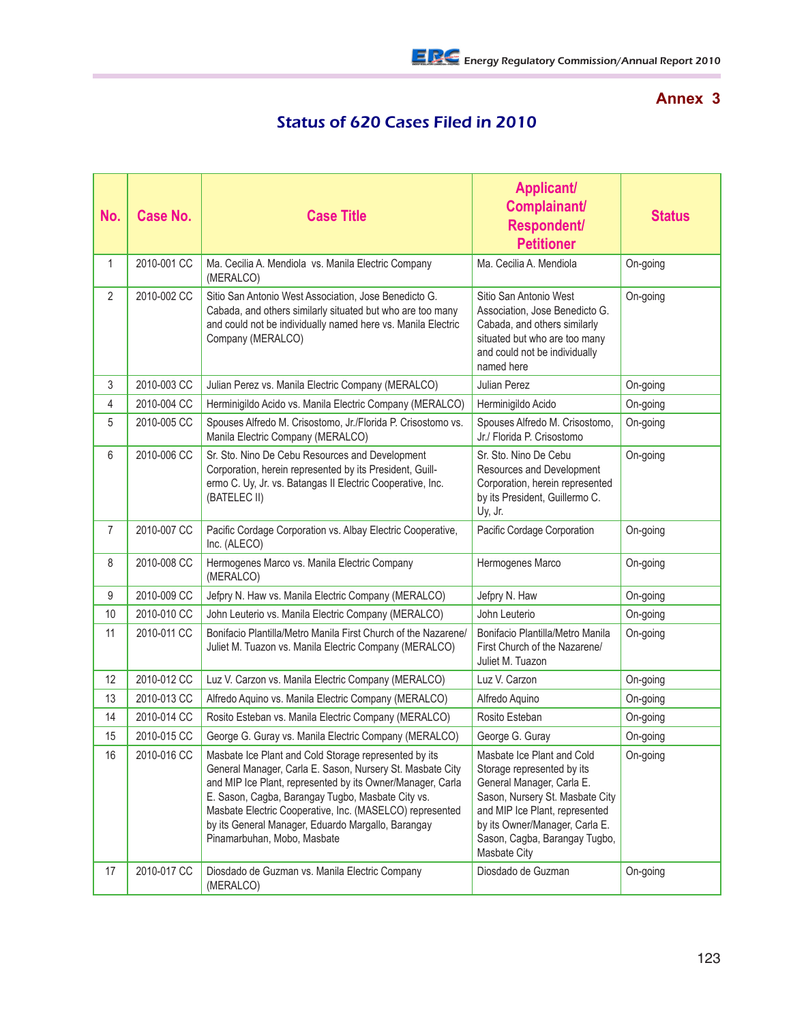## **Annex 3**

## Status of 620 Cases Filed in 2010

| No.            | <b>Case No.</b> | <b>Case Title</b>                                                                                                                                                                                                                                                                                                                                                                      | <b>Applicant/</b><br>Complainant/<br><b>Respondent/</b><br><b>Petitioner</b>                                                                                                                                                                  | <b>Status</b> |
|----------------|-----------------|----------------------------------------------------------------------------------------------------------------------------------------------------------------------------------------------------------------------------------------------------------------------------------------------------------------------------------------------------------------------------------------|-----------------------------------------------------------------------------------------------------------------------------------------------------------------------------------------------------------------------------------------------|---------------|
| $\mathbf{1}$   | 2010-001 CC     | Ma. Cecilia A. Mendiola vs. Manila Electric Company<br>(MERALCO)                                                                                                                                                                                                                                                                                                                       | Ma. Cecilia A. Mendiola                                                                                                                                                                                                                       | On-going      |
| $\overline{2}$ | 2010-002 CC     | Sitio San Antonio West Association, Jose Benedicto G.<br>Cabada, and others similarly situated but who are too many<br>and could not be individually named here vs. Manila Electric<br>Company (MERALCO)                                                                                                                                                                               | Sitio San Antonio West<br>Association, Jose Benedicto G.<br>Cabada, and others similarly<br>situated but who are too many<br>and could not be individually<br>named here                                                                      | On-going      |
| 3              | 2010-003 CC     | Julian Perez vs. Manila Electric Company (MERALCO)                                                                                                                                                                                                                                                                                                                                     | Julian Perez                                                                                                                                                                                                                                  | On-going      |
| 4              | 2010-004 CC     | Herminigildo Acido vs. Manila Electric Company (MERALCO)                                                                                                                                                                                                                                                                                                                               | Herminigildo Acido                                                                                                                                                                                                                            | On-going      |
| 5              | 2010-005 CC     | Spouses Alfredo M. Crisostomo, Jr./Florida P. Crisostomo vs.<br>Manila Electric Company (MERALCO)                                                                                                                                                                                                                                                                                      | Spouses Alfredo M. Crisostomo,<br>Jr./ Florida P. Crisostomo                                                                                                                                                                                  | On-going      |
| 6              | 2010-006 CC     | Sr. Sto. Nino De Cebu Resources and Development<br>Corporation, herein represented by its President, Guill-<br>ermo C. Uy, Jr. vs. Batangas II Electric Cooperative, Inc.<br>(BATELEC II)                                                                                                                                                                                              | Sr. Sto. Nino De Cebu<br>Resources and Development<br>Corporation, herein represented<br>by its President, Guillermo C.<br>Uy, Jr.                                                                                                            | On-going      |
| $\overline{7}$ | 2010-007 CC     | Pacific Cordage Corporation vs. Albay Electric Cooperative,<br>Inc. (ALECO)                                                                                                                                                                                                                                                                                                            | Pacific Cordage Corporation                                                                                                                                                                                                                   | On-going      |
| 8              | 2010-008 CC     | Hermogenes Marco vs. Manila Electric Company<br>(MERALCO)                                                                                                                                                                                                                                                                                                                              | Hermogenes Marco                                                                                                                                                                                                                              | On-going      |
| 9              | 2010-009 CC     | Jefpry N. Haw vs. Manila Electric Company (MERALCO)                                                                                                                                                                                                                                                                                                                                    | Jefpry N. Haw                                                                                                                                                                                                                                 | On-going      |
| 10             | 2010-010 CC     | John Leuterio vs. Manila Electric Company (MERALCO)                                                                                                                                                                                                                                                                                                                                    | John Leuterio                                                                                                                                                                                                                                 | On-going      |
| 11             | 2010-011 CC     | Bonifacio Plantilla/Metro Manila First Church of the Nazarene/<br>Juliet M. Tuazon vs. Manila Electric Company (MERALCO)                                                                                                                                                                                                                                                               | Bonifacio Plantilla/Metro Manila<br>First Church of the Nazarene/<br>Juliet M. Tuazon                                                                                                                                                         | On-going      |
| 12             | 2010-012 CC     | Luz V. Carzon vs. Manila Electric Company (MERALCO)                                                                                                                                                                                                                                                                                                                                    | Luz V. Carzon                                                                                                                                                                                                                                 | On-going      |
| 13             | 2010-013 CC     | Alfredo Aquino vs. Manila Electric Company (MERALCO)                                                                                                                                                                                                                                                                                                                                   | Alfredo Aquino                                                                                                                                                                                                                                | On-going      |
| 14             | 2010-014 CC     | Rosito Esteban vs. Manila Electric Company (MERALCO)                                                                                                                                                                                                                                                                                                                                   | Rosito Esteban                                                                                                                                                                                                                                | On-going      |
| 15             | 2010-015 CC     | George G. Guray vs. Manila Electric Company (MERALCO)                                                                                                                                                                                                                                                                                                                                  | George G. Guray                                                                                                                                                                                                                               | On-going      |
| 16             | 2010-016 CC     | Masbate Ice Plant and Cold Storage represented by its<br>General Manager, Carla E. Sason, Nursery St. Masbate City<br>and MIP Ice Plant, represented by its Owner/Manager, Carla<br>E. Sason, Cagba, Barangay Tugbo, Masbate City vs.<br>Masbate Electric Cooperative, Inc. (MASELCO) represented<br>by its General Manager, Eduardo Margallo, Barangay<br>Pinamarbuhan, Mobo, Masbate | Masbate Ice Plant and Cold<br>Storage represented by its<br>General Manager, Carla E.<br>Sason, Nursery St. Masbate City<br>and MIP Ice Plant, represented<br>by its Owner/Manager, Carla E.<br>Sason, Cagba, Barangay Tugbo,<br>Masbate City | On-going      |
| 17             | 2010-017 CC     | Diosdado de Guzman vs. Manila Electric Company<br>(MERALCO)                                                                                                                                                                                                                                                                                                                            | Diosdado de Guzman                                                                                                                                                                                                                            | On-going      |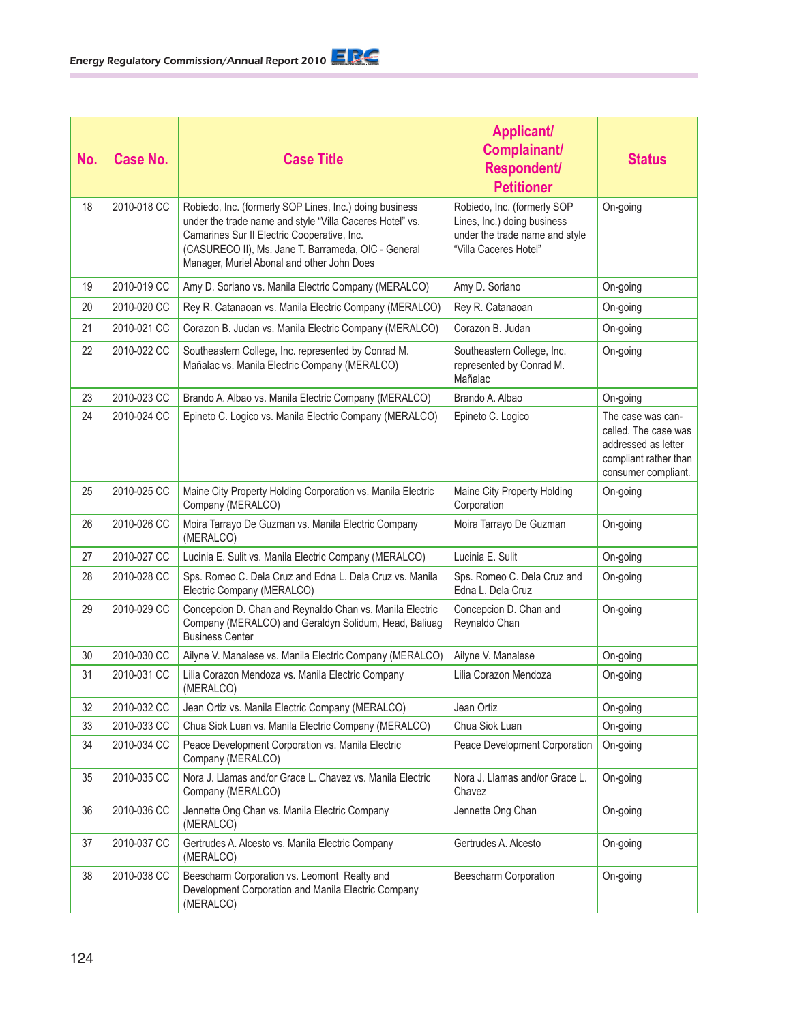| No. | Case No.    | <b>Case Title</b>                                                                                                                                                                                                                                                       | <b>Applicant/</b><br>Complainant/<br>Respondent/<br><b>Petitioner</b>                                                 | <b>Status</b>                                                                                                    |
|-----|-------------|-------------------------------------------------------------------------------------------------------------------------------------------------------------------------------------------------------------------------------------------------------------------------|-----------------------------------------------------------------------------------------------------------------------|------------------------------------------------------------------------------------------------------------------|
| 18  | 2010-018 CC | Robiedo, Inc. (formerly SOP Lines, Inc.) doing business<br>under the trade name and style "Villa Caceres Hotel" vs.<br>Camarines Sur II Electric Cooperative, Inc.<br>(CASURECO II), Ms. Jane T. Barrameda, OIC - General<br>Manager, Muriel Abonal and other John Does | Robiedo, Inc. (formerly SOP<br>Lines, Inc.) doing business<br>under the trade name and style<br>"Villa Caceres Hotel" | On-going                                                                                                         |
| 19  | 2010-019 CC | Amy D. Soriano vs. Manila Electric Company (MERALCO)                                                                                                                                                                                                                    | Amy D. Soriano                                                                                                        | On-going                                                                                                         |
| 20  | 2010-020 CC | Rey R. Catanaoan vs. Manila Electric Company (MERALCO)                                                                                                                                                                                                                  | Rey R. Catanaoan                                                                                                      | On-going                                                                                                         |
| 21  | 2010-021 CC | Corazon B. Judan vs. Manila Electric Company (MERALCO)                                                                                                                                                                                                                  | Corazon B. Judan                                                                                                      | On-going                                                                                                         |
| 22  | 2010-022 CC | Southeastern College, Inc. represented by Conrad M.<br>Mañalac vs. Manila Electric Company (MERALCO)                                                                                                                                                                    | Southeastern College, Inc.<br>represented by Conrad M.<br>Mañalac                                                     | On-going                                                                                                         |
| 23  | 2010-023 CC | Brando A. Albao vs. Manila Electric Company (MERALCO)                                                                                                                                                                                                                   | Brando A. Albao                                                                                                       | On-going                                                                                                         |
| 24  | 2010-024 CC | Epineto C. Logico vs. Manila Electric Company (MERALCO)                                                                                                                                                                                                                 | Epineto C. Logico                                                                                                     | The case was can-<br>celled. The case was<br>addressed as letter<br>compliant rather than<br>consumer compliant. |
| 25  | 2010-025 CC | Maine City Property Holding Corporation vs. Manila Electric<br>Company (MERALCO)                                                                                                                                                                                        | Maine City Property Holding<br>Corporation                                                                            | On-going                                                                                                         |
| 26  | 2010-026 CC | Moira Tarrayo De Guzman vs. Manila Electric Company<br>(MERALCO)                                                                                                                                                                                                        | Moira Tarrayo De Guzman                                                                                               | On-going                                                                                                         |
| 27  | 2010-027 CC | Lucinia E. Sulit vs. Manila Electric Company (MERALCO)                                                                                                                                                                                                                  | Lucinia E. Sulit                                                                                                      | On-going                                                                                                         |
| 28  | 2010-028 CC | Sps. Romeo C. Dela Cruz and Edna L. Dela Cruz vs. Manila<br>Electric Company (MERALCO)                                                                                                                                                                                  | Sps. Romeo C. Dela Cruz and<br>Edna L. Dela Cruz                                                                      | On-going                                                                                                         |
| 29  | 2010-029 CC | Concepcion D. Chan and Reynaldo Chan vs. Manila Electric<br>Company (MERALCO) and Geraldyn Solidum, Head, Baliuag<br><b>Business Center</b>                                                                                                                             | Concepcion D. Chan and<br>Reynaldo Chan                                                                               | On-going                                                                                                         |
| 30  | 2010-030 CC | Ailyne V. Manalese vs. Manila Electric Company (MERALCO)                                                                                                                                                                                                                | Ailyne V. Manalese                                                                                                    | On-going                                                                                                         |
| 31  | 2010-031 CC | Lilia Corazon Mendoza vs. Manila Electric Company<br>(MERALCO)                                                                                                                                                                                                          | Lilia Corazon Mendoza                                                                                                 | On-going                                                                                                         |
| 32  | 2010-032 CC | Jean Ortiz vs. Manila Electric Company (MERALCO)                                                                                                                                                                                                                        | Jean Ortiz                                                                                                            | On-going                                                                                                         |
| 33  | 2010-033 CC | Chua Siok Luan vs. Manila Electric Company (MERALCO)                                                                                                                                                                                                                    | Chua Siok Luan                                                                                                        | On-going                                                                                                         |
| 34  | 2010-034 CC | Peace Development Corporation vs. Manila Electric<br>Company (MERALCO)                                                                                                                                                                                                  | Peace Development Corporation                                                                                         | On-going                                                                                                         |
| 35  | 2010-035 CC | Nora J. Llamas and/or Grace L. Chavez vs. Manila Electric<br>Company (MERALCO)                                                                                                                                                                                          | Nora J. Llamas and/or Grace L.<br>Chavez                                                                              | On-going                                                                                                         |
| 36  | 2010-036 CC | Jennette Ong Chan vs. Manila Electric Company<br>(MERALCO)                                                                                                                                                                                                              | Jennette Ong Chan                                                                                                     | On-going                                                                                                         |
| 37  | 2010-037 CC | Gertrudes A. Alcesto vs. Manila Electric Company<br>(MERALCO)                                                                                                                                                                                                           | Gertrudes A. Alcesto                                                                                                  | On-going                                                                                                         |
| 38  | 2010-038 CC | Beescharm Corporation vs. Leomont Realty and<br>Development Corporation and Manila Electric Company<br>(MERALCO)                                                                                                                                                        | Beescharm Corporation                                                                                                 | On-going                                                                                                         |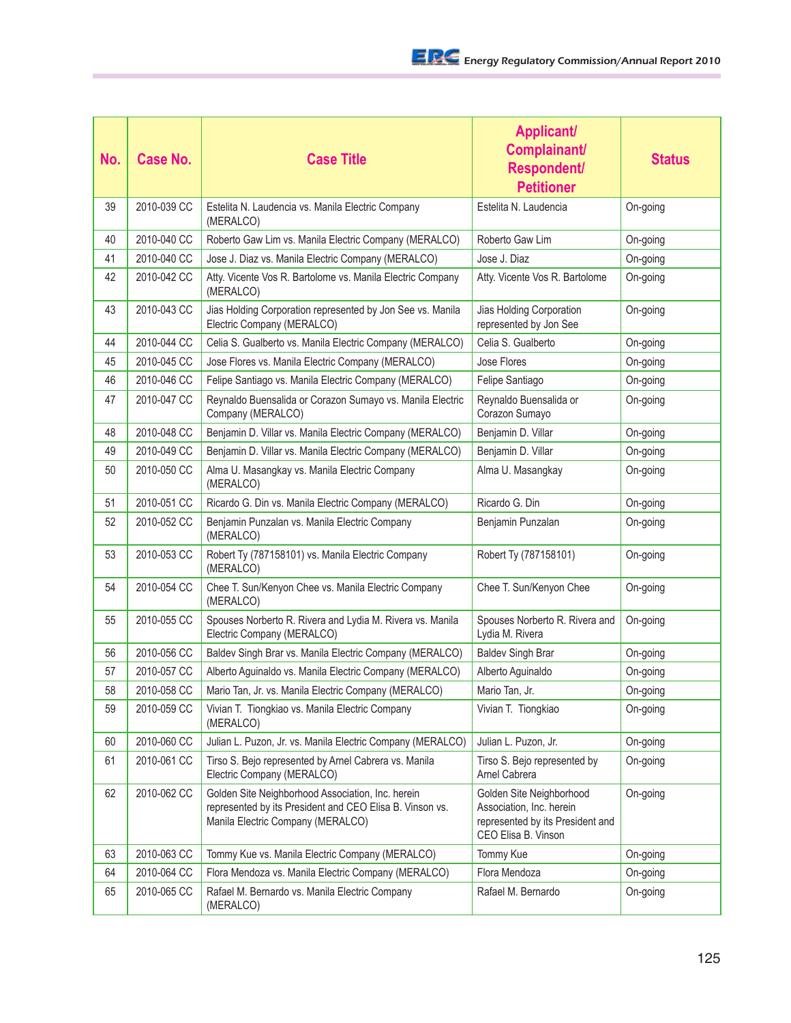| No. | <b>Case No.</b> | <b>Case Title</b>                                                                                                                                  | <b>Applicant/</b><br>Complainant/<br><b>Respondent/</b><br><b>Petitioner</b>                                    | <b>Status</b> |
|-----|-----------------|----------------------------------------------------------------------------------------------------------------------------------------------------|-----------------------------------------------------------------------------------------------------------------|---------------|
| 39  | 2010-039 CC     | Estelita N. Laudencia vs. Manila Electric Company<br>(MERALCO)                                                                                     | Estelita N. Laudencia                                                                                           | On-going      |
| 40  | 2010-040 CC     | Roberto Gaw Lim vs. Manila Electric Company (MERALCO)                                                                                              | Roberto Gaw Lim                                                                                                 | On-going      |
| 41  | 2010-040 CC     | Jose J. Diaz vs. Manila Electric Company (MERALCO)                                                                                                 | Jose J. Diaz                                                                                                    | On-going      |
| 42  | 2010-042 CC     | Atty. Vicente Vos R. Bartolome vs. Manila Electric Company<br>(MERALCO)                                                                            | Atty. Vicente Vos R. Bartolome                                                                                  | On-going      |
| 43  | 2010-043 CC     | Jias Holding Corporation represented by Jon See vs. Manila<br>Electric Company (MERALCO)                                                           | Jias Holding Corporation<br>represented by Jon See                                                              | On-going      |
| 44  | 2010-044 CC     | Celia S. Gualberto vs. Manila Electric Company (MERALCO)                                                                                           | Celia S. Gualberto                                                                                              | On-going      |
| 45  | 2010-045 CC     | Jose Flores vs. Manila Electric Company (MERALCO)                                                                                                  | Jose Flores                                                                                                     | On-going      |
| 46  | 2010-046 CC     | Felipe Santiago vs. Manila Electric Company (MERALCO)                                                                                              | Felipe Santiago                                                                                                 | On-going      |
| 47  | 2010-047 CC     | Reynaldo Buensalida or Corazon Sumayo vs. Manila Electric<br>Company (MERALCO)                                                                     | Reynaldo Buensalida or<br>Corazon Sumayo                                                                        | On-going      |
| 48  | 2010-048 CC     | Benjamin D. Villar vs. Manila Electric Company (MERALCO)                                                                                           | Benjamin D. Villar                                                                                              | On-going      |
| 49  | 2010-049 CC     | Benjamin D. Villar vs. Manila Electric Company (MERALCO)                                                                                           | Benjamin D. Villar                                                                                              | On-going      |
| 50  | 2010-050 CC     | Alma U. Masangkay vs. Manila Electric Company<br>(MERALCO)                                                                                         | Alma U. Masangkay                                                                                               | On-going      |
| 51  | 2010-051 CC     | Ricardo G. Din vs. Manila Electric Company (MERALCO)                                                                                               | Ricardo G. Din                                                                                                  | On-going      |
| 52  | 2010-052 CC     | Benjamin Punzalan vs. Manila Electric Company<br>(MERALCO)                                                                                         | Benjamin Punzalan                                                                                               | On-going      |
| 53  | 2010-053 CC     | Robert Ty (787158101) vs. Manila Electric Company<br>(MERALCO)                                                                                     | Robert Ty (787158101)                                                                                           | On-going      |
| 54  | 2010-054 CC     | Chee T. Sun/Kenyon Chee vs. Manila Electric Company<br>(MERALCO)                                                                                   | Chee T. Sun/Kenyon Chee                                                                                         | On-going      |
| 55  | 2010-055 CC     | Spouses Norberto R. Rivera and Lydia M. Rivera vs. Manila<br>Electric Company (MERALCO)                                                            | Spouses Norberto R. Rivera and<br>Lydia M. Rivera                                                               | On-going      |
| 56  | 2010-056 CC     | Baldev Singh Brar vs. Manila Electric Company (MERALCO)                                                                                            | <b>Baldev Singh Brar</b>                                                                                        | On-going      |
| 57  | 2010-057 CC     | Alberto Aguinaldo vs. Manila Electric Company (MERALCO)                                                                                            | Alberto Aguinaldo                                                                                               | On-going      |
| 58  | 2010-058 CC     | Mario Tan, Jr. vs. Manila Electric Company (MERALCO)                                                                                               | Mario Tan, Jr.                                                                                                  | On-going      |
| 59  | 2010-059 CC     | Vivian T. Tiongkiao vs. Manila Electric Company<br>(MERALCO)                                                                                       | Vivian T. Tiongkiao                                                                                             | On-going      |
| 60  | 2010-060 CC     | Julian L. Puzon, Jr. vs. Manila Electric Company (MERALCO)                                                                                         | Julian L. Puzon, Jr.                                                                                            | On-going      |
| 61  | 2010-061 CC     | Tirso S. Bejo represented by Arnel Cabrera vs. Manila<br>Electric Company (MERALCO)                                                                | Tirso S. Bejo represented by<br>Arnel Cabrera                                                                   | On-going      |
| 62  | 2010-062 CC     | Golden Site Neighborhood Association, Inc. herein<br>represented by its President and CEO Elisa B. Vinson vs.<br>Manila Electric Company (MERALCO) | Golden Site Neighborhood<br>Association, Inc. herein<br>represented by its President and<br>CEO Elisa B. Vinson | On-going      |
| 63  | 2010-063 CC     | Tommy Kue vs. Manila Electric Company (MERALCO)                                                                                                    | Tommy Kue                                                                                                       | On-going      |
| 64  | 2010-064 CC     | Flora Mendoza vs. Manila Electric Company (MERALCO)                                                                                                | Flora Mendoza                                                                                                   | On-going      |
| 65  | 2010-065 CC     | Rafael M. Bernardo vs. Manila Electric Company<br>(MERALCO)                                                                                        | Rafael M. Bernardo                                                                                              | On-going      |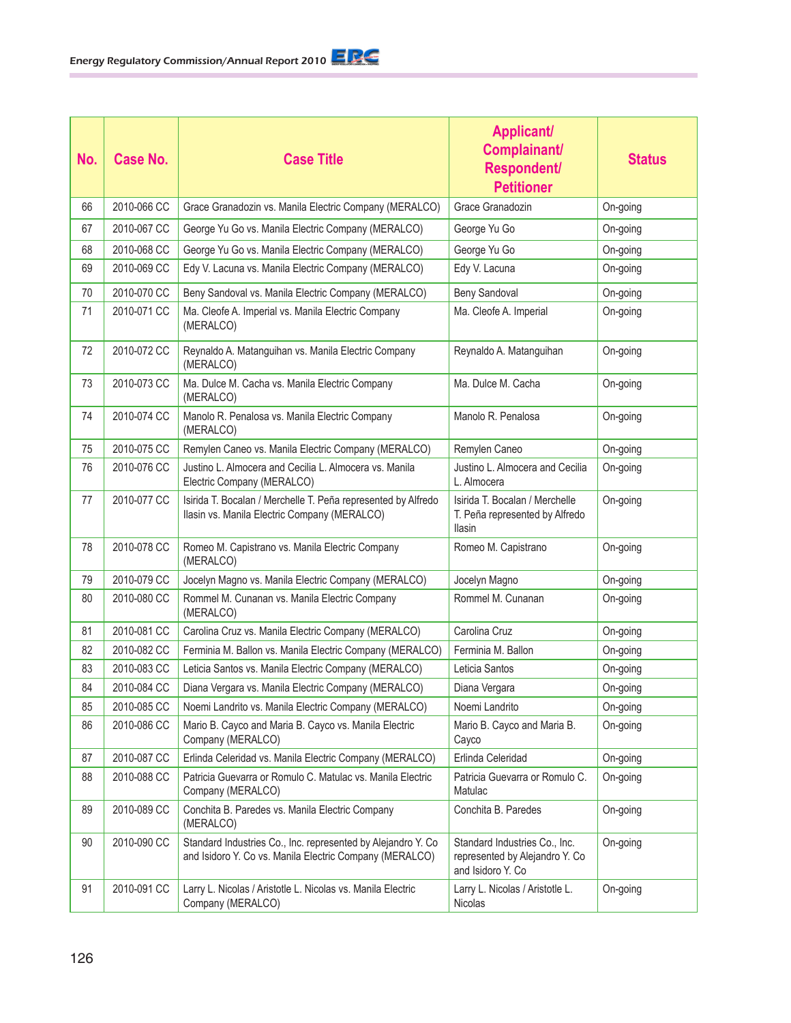| No. | <b>Case No.</b> | <b>Case Title</b>                                                                                                       | <b>Applicant/</b><br>Complainant/<br>Respondent/<br><b>Petitioner</b>                | <b>Status</b> |
|-----|-----------------|-------------------------------------------------------------------------------------------------------------------------|--------------------------------------------------------------------------------------|---------------|
| 66  | 2010-066 CC     | Grace Granadozin vs. Manila Electric Company (MERALCO)                                                                  | Grace Granadozin                                                                     | On-going      |
| 67  | 2010-067 CC     | George Yu Go vs. Manila Electric Company (MERALCO)                                                                      | George Yu Go                                                                         | On-going      |
| 68  | 2010-068 CC     | George Yu Go vs. Manila Electric Company (MERALCO)                                                                      | George Yu Go                                                                         | On-going      |
| 69  | 2010-069 CC     | Edy V. Lacuna vs. Manila Electric Company (MERALCO)                                                                     | Edy V. Lacuna                                                                        | On-going      |
| 70  | 2010-070 CC     | Beny Sandoval vs. Manila Electric Company (MERALCO)                                                                     | <b>Beny Sandoval</b>                                                                 | On-going      |
| 71  | 2010-071 CC     | Ma. Cleofe A. Imperial vs. Manila Electric Company<br>(MERALCO)                                                         | Ma. Cleofe A. Imperial                                                               | On-going      |
| 72  | 2010-072 CC     | Reynaldo A. Matanguihan vs. Manila Electric Company<br>(MERALCO)                                                        | Reynaldo A. Matanguihan                                                              | On-going      |
| 73  | 2010-073 CC     | Ma. Dulce M. Cacha vs. Manila Electric Company<br>(MERALCO)                                                             | Ma. Dulce M. Cacha                                                                   | On-going      |
| 74  | 2010-074 CC     | Manolo R. Penalosa vs. Manila Electric Company<br>(MERALCO)                                                             | Manolo R. Penalosa                                                                   | On-going      |
| 75  | 2010-075 CC     | Remylen Caneo vs. Manila Electric Company (MERALCO)                                                                     | Remylen Caneo                                                                        | On-going      |
| 76  | 2010-076 CC     | Justino L. Almocera and Cecilia L. Almocera vs. Manila<br>Electric Company (MERALCO)                                    | Justino L. Almocera and Cecilia<br>L. Almocera                                       | On-going      |
| 77  | 2010-077 CC     | Isirida T. Bocalan / Merchelle T. Peña represented by Alfredo<br>Ilasin vs. Manila Electric Company (MERALCO)           | Isirida T. Bocalan / Merchelle<br>T. Peña represented by Alfredo<br><b>Ilasin</b>    | On-going      |
| 78  | 2010-078 CC     | Romeo M. Capistrano vs. Manila Electric Company<br>(MERALCO)                                                            | Romeo M. Capistrano                                                                  | On-going      |
| 79  | 2010-079 CC     | Jocelyn Magno vs. Manila Electric Company (MERALCO)                                                                     | Jocelyn Magno                                                                        | On-going      |
| 80  | 2010-080 CC     | Rommel M. Cunanan vs. Manila Electric Company<br>(MERALCO)                                                              | Rommel M. Cunanan                                                                    | On-going      |
| 81  | 2010-081 CC     | Carolina Cruz vs. Manila Electric Company (MERALCO)                                                                     | Carolina Cruz                                                                        | On-going      |
| 82  | 2010-082 CC     | Ferminia M. Ballon vs. Manila Electric Company (MERALCO)                                                                | Ferminia M. Ballon                                                                   | On-going      |
| 83  | 2010-083 CC     | Leticia Santos vs. Manila Electric Company (MERALCO)                                                                    | Leticia Santos                                                                       | On-going      |
| 84  | 2010-084 CC     | Diana Vergara vs. Manila Electric Company (MERALCO)                                                                     | Diana Vergara                                                                        | On-going      |
| 85  | 2010-085 CC     | Noemi Landrito vs. Manila Electric Company (MERALCO)                                                                    | Noemi Landrito                                                                       | On-going      |
| 86  | 2010-086 CC     | Mario B. Cayco and Maria B. Cayco vs. Manila Electric<br>Company (MERALCO)                                              | Mario B. Cayco and Maria B.<br>Cayco                                                 | On-going      |
| 87  | 2010-087 CC     | Erlinda Celeridad vs. Manila Electric Company (MERALCO)                                                                 | Erlinda Celeridad                                                                    | On-going      |
| 88  | 2010-088 CC     | Patricia Guevarra or Romulo C. Matulac vs. Manila Electric<br>Company (MERALCO)                                         | Patricia Guevarra or Romulo C.<br>Matulac                                            | On-going      |
| 89  | 2010-089 CC     | Conchita B. Paredes vs. Manila Electric Company<br>(MERALCO)                                                            | Conchita B. Paredes                                                                  | On-going      |
| 90  | 2010-090 CC     | Standard Industries Co., Inc. represented by Alejandro Y. Co<br>and Isidoro Y. Co vs. Manila Electric Company (MERALCO) | Standard Industries Co., Inc.<br>represented by Alejandro Y. Co<br>and Isidoro Y. Co | On-going      |
| 91  | 2010-091 CC     | Larry L. Nicolas / Aristotle L. Nicolas vs. Manila Electric<br>Company (MERALCO)                                        | Larry L. Nicolas / Aristotle L.<br>Nicolas                                           | On-going      |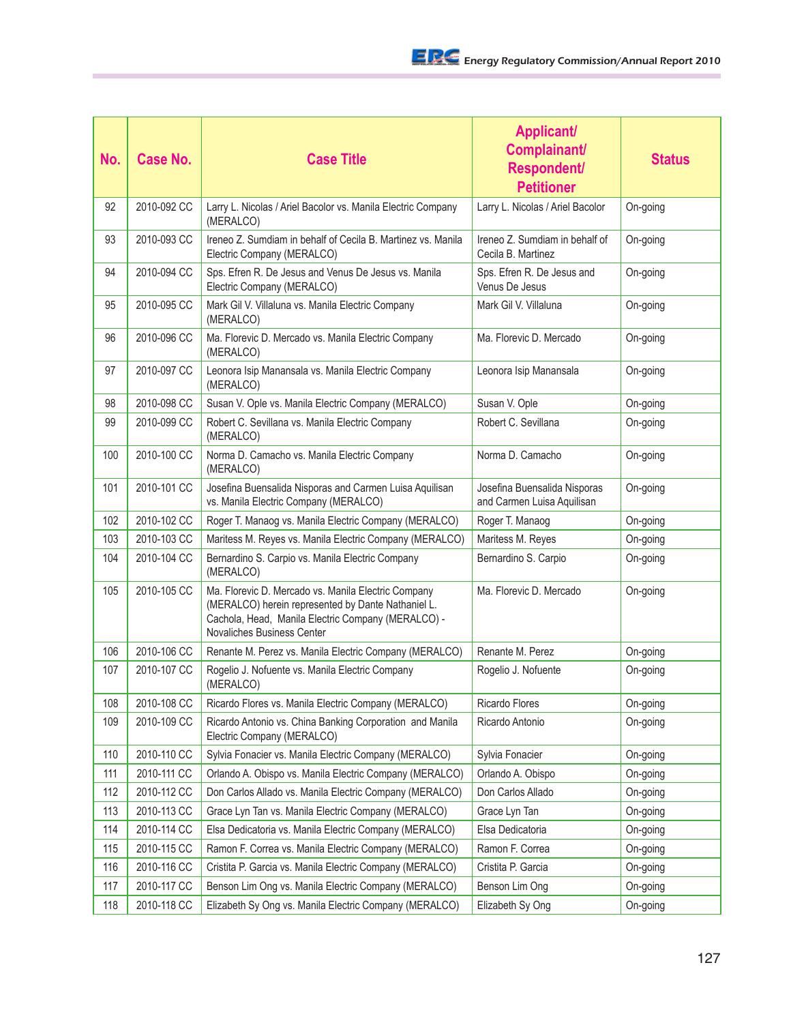| No. | Case No.    | <b>Case Title</b>                                                                                                                                                                             | <b>Applicant/</b><br>Complainant/<br>Respondent/<br><b>Petitioner</b> | <b>Status</b> |
|-----|-------------|-----------------------------------------------------------------------------------------------------------------------------------------------------------------------------------------------|-----------------------------------------------------------------------|---------------|
| 92  | 2010-092 CC | Larry L. Nicolas / Ariel Bacolor vs. Manila Electric Company<br>(MERALCO)                                                                                                                     | Larry L. Nicolas / Ariel Bacolor                                      | On-going      |
| 93  | 2010-093 CC | Ireneo Z. Sumdiam in behalf of Cecila B. Martinez vs. Manila<br>Electric Company (MERALCO)                                                                                                    | Ireneo Z. Sumdiam in behalf of<br>Cecila B. Martinez                  | On-going      |
| 94  | 2010-094 CC | Sps. Efren R. De Jesus and Venus De Jesus vs. Manila<br>Electric Company (MERALCO)                                                                                                            | Sps. Efren R. De Jesus and<br>Venus De Jesus                          | On-going      |
| 95  | 2010-095 CC | Mark Gil V. Villaluna vs. Manila Electric Company<br>(MERALCO)                                                                                                                                | Mark Gil V. Villaluna                                                 | On-going      |
| 96  | 2010-096 CC | Ma. Florevic D. Mercado vs. Manila Electric Company<br>(MERALCO)                                                                                                                              | Ma. Florevic D. Mercado                                               | On-going      |
| 97  | 2010-097 CC | Leonora Isip Manansala vs. Manila Electric Company<br>(MERALCO)                                                                                                                               | Leonora Isip Manansala                                                | On-going      |
| 98  | 2010-098 CC | Susan V. Ople vs. Manila Electric Company (MERALCO)                                                                                                                                           | Susan V. Ople                                                         | On-going      |
| 99  | 2010-099 CC | Robert C. Sevillana vs. Manila Electric Company<br>(MERALCO)                                                                                                                                  | Robert C. Sevillana                                                   | On-going      |
| 100 | 2010-100 CC | Norma D. Camacho vs. Manila Electric Company<br>(MERALCO)                                                                                                                                     | Norma D. Camacho                                                      | On-going      |
| 101 | 2010-101 CC | Josefina Buensalida Nisporas and Carmen Luisa Aquilisan<br>vs. Manila Electric Company (MERALCO)                                                                                              | Josefina Buensalida Nisporas<br>and Carmen Luisa Aquilisan            | On-going      |
| 102 | 2010-102 CC | Roger T. Manaog vs. Manila Electric Company (MERALCO)                                                                                                                                         | Roger T. Manaog                                                       | On-going      |
| 103 | 2010-103 CC | Maritess M. Reyes vs. Manila Electric Company (MERALCO)                                                                                                                                       | Maritess M. Reyes                                                     | On-going      |
| 104 | 2010-104 CC | Bernardino S. Carpio vs. Manila Electric Company<br>(MERALCO)                                                                                                                                 | Bernardino S. Carpio                                                  | On-going      |
| 105 | 2010-105 CC | Ma. Florevic D. Mercado vs. Manila Electric Company<br>(MERALCO) herein represented by Dante Nathaniel L.<br>Cachola, Head, Manila Electric Company (MERALCO) -<br>Novaliches Business Center | Ma. Florevic D. Mercado                                               | On-going      |
| 106 | 2010-106 CC | Renante M. Perez vs. Manila Electric Company (MERALCO)                                                                                                                                        | Renante M. Perez                                                      | On-going      |
| 107 | 2010-107 CC | Rogelio J. Nofuente vs. Manila Electric Company<br>(MERALCO)                                                                                                                                  | Rogelio J. Nofuente                                                   | On-going      |
| 108 | 2010-108 CC | Ricardo Flores vs. Manila Electric Company (MERALCO)                                                                                                                                          | Ricardo Flores                                                        | On-going      |
| 109 | 2010-109 CC | Ricardo Antonio vs. China Banking Corporation and Manila<br>Electric Company (MERALCO)                                                                                                        | Ricardo Antonio                                                       | On-going      |
| 110 | 2010-110 CC | Sylvia Fonacier vs. Manila Electric Company (MERALCO)                                                                                                                                         | Sylvia Fonacier                                                       | On-going      |
| 111 | 2010-111 CC | Orlando A. Obispo vs. Manila Electric Company (MERALCO)                                                                                                                                       | Orlando A. Obispo                                                     | On-going      |
| 112 | 2010-112 CC | Don Carlos Allado vs. Manila Electric Company (MERALCO)                                                                                                                                       | Don Carlos Allado                                                     | On-going      |
| 113 | 2010-113 CC | Grace Lyn Tan vs. Manila Electric Company (MERALCO)                                                                                                                                           | Grace Lyn Tan                                                         | On-going      |
| 114 | 2010-114 CC | Elsa Dedicatoria vs. Manila Electric Company (MERALCO)                                                                                                                                        | Elsa Dedicatoria                                                      | On-going      |
| 115 | 2010-115 CC | Ramon F. Correa vs. Manila Electric Company (MERALCO)                                                                                                                                         | Ramon F. Correa                                                       | On-going      |
| 116 | 2010-116 CC | Cristita P. Garcia vs. Manila Electric Company (MERALCO)                                                                                                                                      | Cristita P. Garcia                                                    | On-going      |
| 117 | 2010-117 CC | Benson Lim Ong vs. Manila Electric Company (MERALCO)                                                                                                                                          | Benson Lim Ong                                                        | On-going      |
| 118 | 2010-118 CC | Elizabeth Sy Ong vs. Manila Electric Company (MERALCO)                                                                                                                                        | Elizabeth Sy Ong                                                      | On-going      |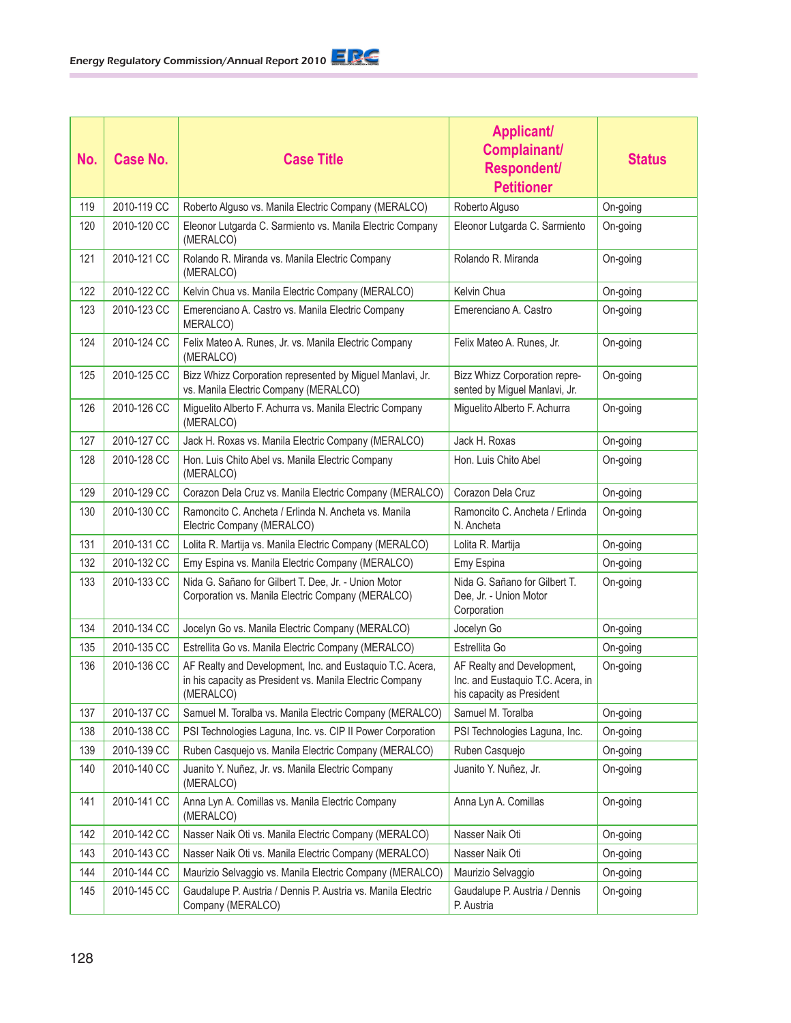| No. | <b>Case No.</b> | <b>Case Title</b>                                                                                                                  | <b>Applicant/</b><br>Complainant/<br>Respondent/<br><b>Petitioner</b>                        | <b>Status</b> |
|-----|-----------------|------------------------------------------------------------------------------------------------------------------------------------|----------------------------------------------------------------------------------------------|---------------|
| 119 | 2010-119 CC     | Roberto Alguso vs. Manila Electric Company (MERALCO)                                                                               | Roberto Alguso                                                                               | On-going      |
| 120 | 2010-120 CC     | Eleonor Lutgarda C. Sarmiento vs. Manila Electric Company<br>(MERALCO)                                                             | Eleonor Lutgarda C. Sarmiento                                                                | On-going      |
| 121 | 2010-121 CC     | Rolando R. Miranda vs. Manila Electric Company<br>(MERALCO)                                                                        | Rolando R. Miranda                                                                           | On-going      |
| 122 | 2010-122 CC     | Kelvin Chua vs. Manila Electric Company (MERALCO)                                                                                  | Kelvin Chua                                                                                  | On-going      |
| 123 | 2010-123 CC     | Emerenciano A. Castro vs. Manila Electric Company<br>MERALCO)                                                                      | Emerenciano A. Castro                                                                        | On-going      |
| 124 | 2010-124 CC     | Felix Mateo A. Runes, Jr. vs. Manila Electric Company<br>(MERALCO)                                                                 | Felix Mateo A. Runes, Jr.                                                                    | On-going      |
| 125 | 2010-125 CC     | Bizz Whizz Corporation represented by Miguel Manlavi, Jr.<br>vs. Manila Electric Company (MERALCO)                                 | Bizz Whizz Corporation repre-<br>sented by Miguel Manlavi, Jr.                               | On-going      |
| 126 | 2010-126 CC     | Miguelito Alberto F. Achurra vs. Manila Electric Company<br>(MERALCO)                                                              | Miguelito Alberto F. Achurra                                                                 | On-going      |
| 127 | 2010-127 CC     | Jack H. Roxas vs. Manila Electric Company (MERALCO)                                                                                | Jack H. Roxas                                                                                | On-going      |
| 128 | 2010-128 CC     | Hon. Luis Chito Abel vs. Manila Electric Company<br>(MERALCO)                                                                      | Hon. Luis Chito Abel                                                                         | On-going      |
| 129 | 2010-129 CC     | Corazon Dela Cruz vs. Manila Electric Company (MERALCO)                                                                            | Corazon Dela Cruz                                                                            | On-going      |
| 130 | 2010-130 CC     | Ramoncito C. Ancheta / Erlinda N. Ancheta vs. Manila<br>Electric Company (MERALCO)                                                 | Ramoncito C. Ancheta / Erlinda<br>N. Ancheta                                                 | On-going      |
| 131 | 2010-131 CC     | Lolita R. Martija vs. Manila Electric Company (MERALCO)                                                                            | Lolita R. Martija                                                                            | On-going      |
| 132 | 2010-132 CC     | Emy Espina vs. Manila Electric Company (MERALCO)                                                                                   | Emy Espina                                                                                   | On-going      |
| 133 | 2010-133 CC     | Nida G. Sañano for Gilbert T. Dee, Jr. - Union Motor<br>Corporation vs. Manila Electric Company (MERALCO)                          | Nida G. Sañano for Gilbert T.<br>Dee, Jr. - Union Motor<br>Corporation                       | On-going      |
| 134 | 2010-134 CC     | Jocelyn Go vs. Manila Electric Company (MERALCO)                                                                                   | Jocelyn Go                                                                                   | On-going      |
| 135 | 2010-135 CC     | Estrellita Go vs. Manila Electric Company (MERALCO)                                                                                | Estrellita Go                                                                                | On-going      |
| 136 | 2010-136 CC     | AF Realty and Development, Inc. and Eustaquio T.C. Acera,<br>in his capacity as President vs. Manila Electric Company<br>(MERALCO) | AF Realty and Development,<br>Inc. and Eustaquio T.C. Acera, in<br>his capacity as President | On-going      |
| 137 | 2010-137 CC     | Samuel M. Toralba vs. Manila Electric Company (MERALCO)                                                                            | Samuel M. Toralba                                                                            | On-going      |
| 138 | 2010-138 CC     | PSI Technologies Laguna, Inc. vs. CIP II Power Corporation                                                                         | PSI Technologies Laguna, Inc.                                                                | On-going      |
| 139 | 2010-139 CC     | Ruben Casquejo vs. Manila Electric Company (MERALCO)                                                                               | Ruben Casquejo                                                                               | On-going      |
| 140 | 2010-140 CC     | Juanito Y. Nuñez, Jr. vs. Manila Electric Company<br>(MERALCO)                                                                     | Juanito Y. Nuñez, Jr.                                                                        | On-going      |
| 141 | 2010-141 CC     | Anna Lyn A. Comillas vs. Manila Electric Company<br>(MERALCO)                                                                      | Anna Lyn A. Comillas                                                                         | On-going      |
| 142 | 2010-142 CC     | Nasser Naik Oti vs. Manila Electric Company (MERALCO)                                                                              | Nasser Naik Oti                                                                              | On-going      |
| 143 | 2010-143 CC     | Nasser Naik Oti vs. Manila Electric Company (MERALCO)                                                                              | Nasser Naik Oti                                                                              | On-going      |
| 144 | 2010-144 CC     | Maurizio Selvaggio vs. Manila Electric Company (MERALCO)                                                                           | Maurizio Selvaggio                                                                           | On-going      |
| 145 | 2010-145 CC     | Gaudalupe P. Austria / Dennis P. Austria vs. Manila Electric<br>Company (MERALCO)                                                  | Gaudalupe P. Austria / Dennis<br>P. Austria                                                  | On-going      |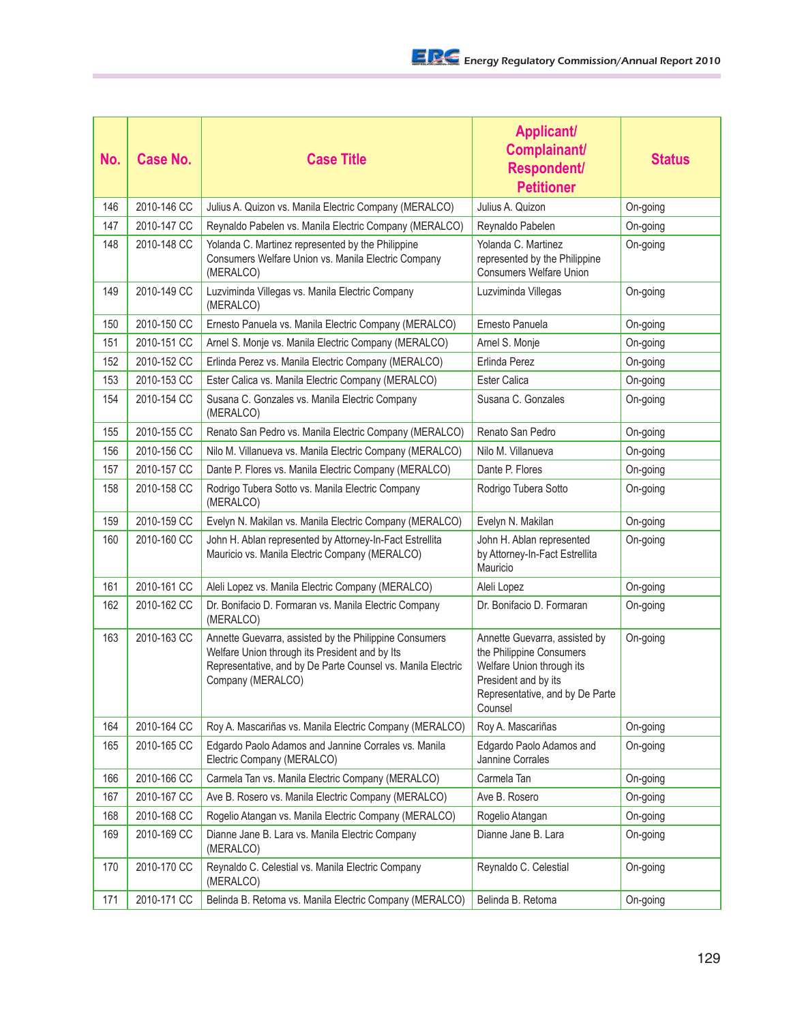| No. | <b>Case No.</b> | <b>Case Title</b>                                                                                                                                                                            | <b>Applicant/</b><br>Complainant/<br>Respondent/<br><b>Petitioner</b>                                                                                        | <b>Status</b> |
|-----|-----------------|----------------------------------------------------------------------------------------------------------------------------------------------------------------------------------------------|--------------------------------------------------------------------------------------------------------------------------------------------------------------|---------------|
| 146 | 2010-146 CC     | Julius A. Quizon vs. Manila Electric Company (MERALCO)                                                                                                                                       | Julius A. Quizon                                                                                                                                             | On-going      |
| 147 | 2010-147 CC     | Reynaldo Pabelen vs. Manila Electric Company (MERALCO)                                                                                                                                       | Reynaldo Pabelen                                                                                                                                             | On-going      |
| 148 | 2010-148 CC     | Yolanda C. Martinez represented by the Philippine<br>Consumers Welfare Union vs. Manila Electric Company<br>(MERALCO)                                                                        | Yolanda C. Martinez<br>represented by the Philippine<br><b>Consumers Welfare Union</b>                                                                       | On-going      |
| 149 | 2010-149 CC     | Luzviminda Villegas vs. Manila Electric Company<br>(MERALCO)                                                                                                                                 | Luzviminda Villegas                                                                                                                                          | On-going      |
| 150 | 2010-150 CC     | Ernesto Panuela vs. Manila Electric Company (MERALCO)                                                                                                                                        | Ernesto Panuela                                                                                                                                              | On-going      |
| 151 | 2010-151 CC     | Arnel S. Monje vs. Manila Electric Company (MERALCO)                                                                                                                                         | Arnel S. Monje                                                                                                                                               | On-going      |
| 152 | 2010-152 CC     | Erlinda Perez vs. Manila Electric Company (MERALCO)                                                                                                                                          | Erlinda Perez                                                                                                                                                | On-going      |
| 153 | 2010-153 CC     | Ester Calica vs. Manila Electric Company (MERALCO)                                                                                                                                           | <b>Ester Calica</b>                                                                                                                                          | On-going      |
| 154 | 2010-154 CC     | Susana C. Gonzales vs. Manila Electric Company<br>(MERALCO)                                                                                                                                  | Susana C. Gonzales                                                                                                                                           | On-going      |
| 155 | 2010-155 CC     | Renato San Pedro vs. Manila Electric Company (MERALCO)                                                                                                                                       | Renato San Pedro                                                                                                                                             | On-going      |
| 156 | 2010-156 CC     | Nilo M. Villanueva vs. Manila Electric Company (MERALCO)                                                                                                                                     | Nilo M. Villanueva                                                                                                                                           | On-going      |
| 157 | 2010-157 CC     | Dante P. Flores vs. Manila Electric Company (MERALCO)                                                                                                                                        | Dante P. Flores                                                                                                                                              | On-going      |
| 158 | 2010-158 CC     | Rodrigo Tubera Sotto vs. Manila Electric Company<br>(MERALCO)                                                                                                                                | Rodrigo Tubera Sotto                                                                                                                                         | On-going      |
| 159 | 2010-159 CC     | Evelyn N. Makilan vs. Manila Electric Company (MERALCO)                                                                                                                                      | Evelyn N. Makilan                                                                                                                                            | On-going      |
| 160 | 2010-160 CC     | John H. Ablan represented by Attorney-In-Fact Estrellita<br>Mauricio vs. Manila Electric Company (MERALCO)                                                                                   | John H. Ablan represented<br>by Attorney-In-Fact Estrellita<br>Mauricio                                                                                      | On-going      |
| 161 | 2010-161 CC     | Aleli Lopez vs. Manila Electric Company (MERALCO)                                                                                                                                            | Aleli Lopez                                                                                                                                                  | On-going      |
| 162 | 2010-162 CC     | Dr. Bonifacio D. Formaran vs. Manila Electric Company<br>(MERALCO)                                                                                                                           | Dr. Bonifacio D. Formaran                                                                                                                                    | On-going      |
| 163 | 2010-163 CC     | Annette Guevarra, assisted by the Philippine Consumers<br>Welfare Union through its President and by Its<br>Representative, and by De Parte Counsel vs. Manila Electric<br>Company (MERALCO) | Annette Guevarra, assisted by<br>the Philippine Consumers<br>Welfare Union through its<br>President and by its<br>Representative, and by De Parte<br>Counsel | On-going      |
| 164 | 2010-164 CC     | Roy A. Mascariñas vs. Manila Electric Company (MERALCO)                                                                                                                                      | Roy A. Mascariñas                                                                                                                                            | On-going      |
| 165 | 2010-165 CC     | Edgardo Paolo Adamos and Jannine Corrales vs. Manila<br>Electric Company (MERALCO)                                                                                                           | Edgardo Paolo Adamos and<br>Jannine Corrales                                                                                                                 | On-going      |
| 166 | 2010-166 CC     | Carmela Tan vs. Manila Electric Company (MERALCO)                                                                                                                                            | Carmela Tan                                                                                                                                                  | On-going      |
| 167 | 2010-167 CC     | Ave B. Rosero vs. Manila Electric Company (MERALCO)                                                                                                                                          | Ave B. Rosero                                                                                                                                                | On-going      |
| 168 | 2010-168 CC     | Rogelio Atangan vs. Manila Electric Company (MERALCO)                                                                                                                                        | Rogelio Atangan                                                                                                                                              | On-going      |
| 169 | 2010-169 CC     | Dianne Jane B. Lara vs. Manila Electric Company<br>(MERALCO)                                                                                                                                 | Dianne Jane B. Lara                                                                                                                                          | On-going      |
| 170 | 2010-170 CC     | Reynaldo C. Celestial vs. Manila Electric Company<br>(MERALCO)                                                                                                                               | Reynaldo C. Celestial                                                                                                                                        | On-going      |
| 171 | 2010-171 CC     | Belinda B. Retoma vs. Manila Electric Company (MERALCO)                                                                                                                                      | Belinda B. Retoma                                                                                                                                            | On-going      |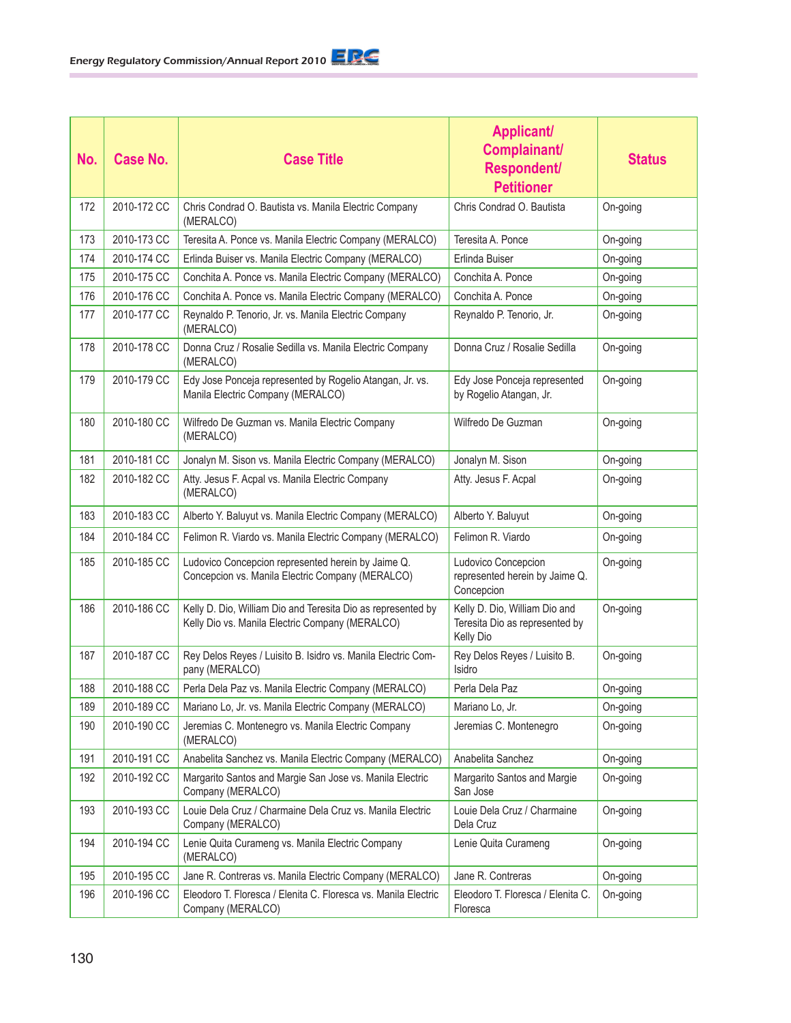| No. | <b>Case No.</b> | <b>Case Title</b>                                                                                               | <b>Applicant/</b><br>Complainant/<br>Respondent/<br><b>Petitioner</b>        | <b>Status</b> |
|-----|-----------------|-----------------------------------------------------------------------------------------------------------------|------------------------------------------------------------------------------|---------------|
| 172 | 2010-172 CC     | Chris Condrad O. Bautista vs. Manila Electric Company<br>(MERALCO)                                              | Chris Condrad O. Bautista                                                    | On-going      |
| 173 | 2010-173 CC     | Teresita A. Ponce vs. Manila Electric Company (MERALCO)                                                         | Teresita A. Ponce                                                            | On-going      |
| 174 | 2010-174 CC     | Erlinda Buiser vs. Manila Electric Company (MERALCO)                                                            | Erlinda Buiser                                                               | On-going      |
| 175 | 2010-175 CC     | Conchita A. Ponce vs. Manila Electric Company (MERALCO)                                                         | Conchita A. Ponce                                                            | On-going      |
| 176 | 2010-176 CC     | Conchita A. Ponce vs. Manila Electric Company (MERALCO)                                                         | Conchita A. Ponce                                                            | On-going      |
| 177 | 2010-177 CC     | Reynaldo P. Tenorio, Jr. vs. Manila Electric Company<br>(MERALCO)                                               | Reynaldo P. Tenorio, Jr.                                                     | On-going      |
| 178 | 2010-178 CC     | Donna Cruz / Rosalie Sedilla vs. Manila Electric Company<br>(MERALCO)                                           | Donna Cruz / Rosalie Sedilla                                                 | On-going      |
| 179 | 2010-179 CC     | Edy Jose Ponceja represented by Rogelio Atangan, Jr. vs.<br>Manila Electric Company (MERALCO)                   | Edy Jose Ponceja represented<br>by Rogelio Atangan, Jr.                      | On-going      |
| 180 | 2010-180 CC     | Wilfredo De Guzman vs. Manila Electric Company<br>(MERALCO)                                                     | Wilfredo De Guzman                                                           | On-going      |
| 181 | 2010-181 CC     | Jonalyn M. Sison vs. Manila Electric Company (MERALCO)                                                          | Jonalyn M. Sison                                                             | On-going      |
| 182 | 2010-182 CC     | Atty. Jesus F. Acpal vs. Manila Electric Company<br>(MERALCO)                                                   | Atty. Jesus F. Acpal                                                         | On-going      |
| 183 | 2010-183 CC     | Alberto Y. Baluyut vs. Manila Electric Company (MERALCO)                                                        | Alberto Y. Baluyut                                                           | On-going      |
| 184 | 2010-184 CC     | Felimon R. Viardo vs. Manila Electric Company (MERALCO)                                                         | Felimon R. Viardo                                                            | On-going      |
| 185 | 2010-185 CC     | Ludovico Concepcion represented herein by Jaime Q.<br>Concepcion vs. Manila Electric Company (MERALCO)          | Ludovico Concepcion<br>represented herein by Jaime Q.<br>Concepcion          | On-going      |
| 186 | 2010-186 CC     | Kelly D. Dio, William Dio and Teresita Dio as represented by<br>Kelly Dio vs. Manila Electric Company (MERALCO) | Kelly D. Dio, William Dio and<br>Teresita Dio as represented by<br>Kelly Dio | On-going      |
| 187 | 2010-187 CC     | Rey Delos Reyes / Luisito B. Isidro vs. Manila Electric Com-<br>pany (MERALCO)                                  | Rey Delos Reyes / Luisito B.<br>Isidro                                       | On-going      |
| 188 | 2010-188 CC     | Perla Dela Paz vs. Manila Electric Company (MERALCO)                                                            | Perla Dela Paz                                                               | On-going      |
| 189 | 2010-189 CC     | Mariano Lo, Jr. vs. Manila Electric Company (MERALCO)                                                           | Mariano Lo, Jr.                                                              | On-going      |
| 190 | 2010-190 CC     | Jeremias C. Montenegro vs. Manila Electric Company<br>(MERALCO)                                                 | Jeremias C. Montenegro                                                       | On-going      |
| 191 | 2010-191 CC     | Anabelita Sanchez vs. Manila Electric Company (MERALCO)                                                         | Anabelita Sanchez                                                            | On-going      |
| 192 | 2010-192 CC     | Margarito Santos and Margie San Jose vs. Manila Electric<br>Company (MERALCO)                                   | Margarito Santos and Margie<br>San Jose                                      | On-going      |
| 193 | 2010-193 CC     | Louie Dela Cruz / Charmaine Dela Cruz vs. Manila Electric<br>Company (MERALCO)                                  | Louie Dela Cruz / Charmaine<br>Dela Cruz                                     | On-going      |
| 194 | 2010-194 CC     | Lenie Quita Curameng vs. Manila Electric Company<br>(MERALCO)                                                   | Lenie Quita Curameng                                                         | On-going      |
| 195 | 2010-195 CC     | Jane R. Contreras vs. Manila Electric Company (MERALCO)                                                         | Jane R. Contreras                                                            | On-going      |
| 196 | 2010-196 CC     | Eleodoro T. Floresca / Elenita C. Floresca vs. Manila Electric<br>Company (MERALCO)                             | Eleodoro T. Floresca / Elenita C.<br>Floresca                                | On-going      |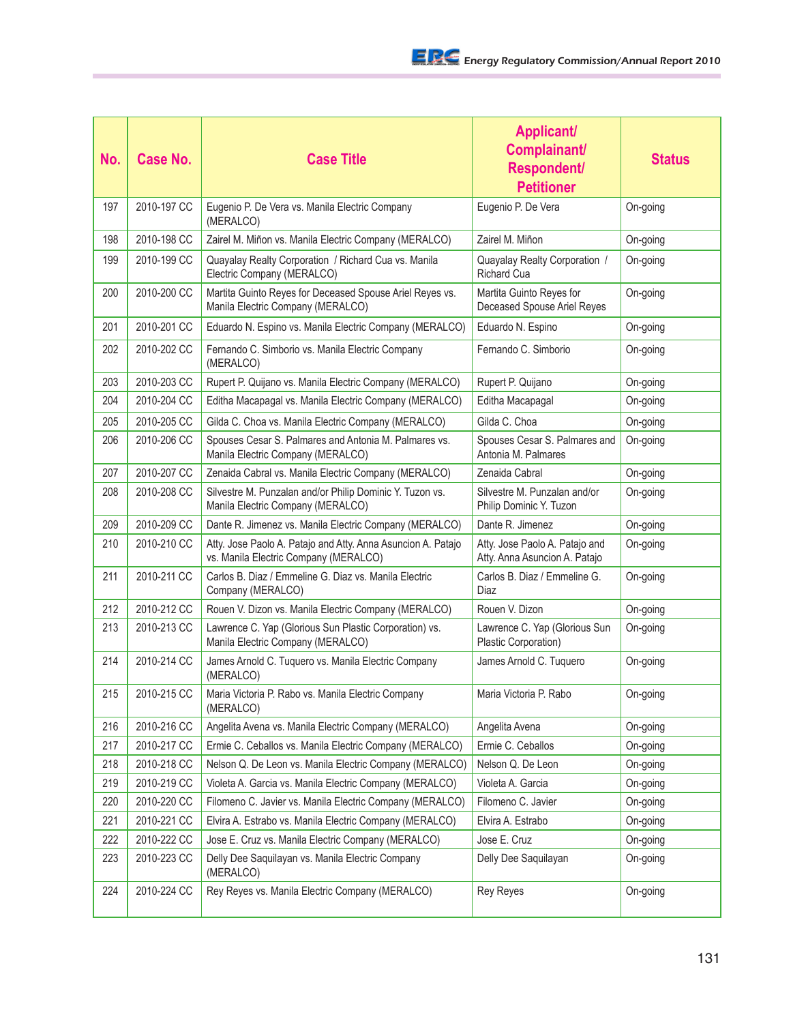| No. | Case No.    | <b>Case Title</b>                                                                                     | <b>Applicant/</b><br>Complainant/<br>Respondent/<br><b>Petitioner</b> | <b>Status</b> |
|-----|-------------|-------------------------------------------------------------------------------------------------------|-----------------------------------------------------------------------|---------------|
| 197 | 2010-197 CC | Eugenio P. De Vera vs. Manila Electric Company<br>(MERALCO)                                           | Eugenio P. De Vera                                                    | On-going      |
| 198 | 2010-198 CC | Zairel M. Miñon vs. Manila Electric Company (MERALCO)                                                 | Zairel M. Miñon                                                       | On-going      |
| 199 | 2010-199 CC | Quayalay Realty Corporation / Richard Cua vs. Manila<br>Electric Company (MERALCO)                    | Quayalay Realty Corporation /<br><b>Richard Cua</b>                   | On-going      |
| 200 | 2010-200 CC | Martita Guinto Reyes for Deceased Spouse Ariel Reyes vs.<br>Manila Electric Company (MERALCO)         | Martita Guinto Reyes for<br>Deceased Spouse Ariel Reyes               | On-going      |
| 201 | 2010-201 CC | Eduardo N. Espino vs. Manila Electric Company (MERALCO)                                               | Eduardo N. Espino                                                     | On-going      |
| 202 | 2010-202 CC | Fernando C. Simborio vs. Manila Electric Company<br>(MERALCO)                                         | Fernando C. Simborio                                                  | On-going      |
| 203 | 2010-203 CC | Rupert P. Quijano vs. Manila Electric Company (MERALCO)                                               | Rupert P. Quijano                                                     | On-going      |
| 204 | 2010-204 CC | Editha Macapagal vs. Manila Electric Company (MERALCO)                                                | Editha Macapagal                                                      | On-going      |
| 205 | 2010-205 CC | Gilda C. Choa vs. Manila Electric Company (MERALCO)                                                   | Gilda C. Choa                                                         | On-going      |
| 206 | 2010-206 CC | Spouses Cesar S. Palmares and Antonia M. Palmares vs.<br>Manila Electric Company (MERALCO)            | Spouses Cesar S. Palmares and<br>Antonia M. Palmares                  | On-going      |
| 207 | 2010-207 CC | Zenaida Cabral vs. Manila Electric Company (MERALCO)                                                  | Zenaida Cabral                                                        | On-going      |
| 208 | 2010-208 CC | Silvestre M. Punzalan and/or Philip Dominic Y. Tuzon vs.<br>Manila Electric Company (MERALCO)         | Silvestre M. Punzalan and/or<br>Philip Dominic Y. Tuzon               | On-going      |
| 209 | 2010-209 CC | Dante R. Jimenez vs. Manila Electric Company (MERALCO)                                                | Dante R. Jimenez                                                      | On-going      |
| 210 | 2010-210 CC | Atty. Jose Paolo A. Patajo and Atty. Anna Asuncion A. Patajo<br>vs. Manila Electric Company (MERALCO) | Atty. Jose Paolo A. Patajo and<br>Atty. Anna Asuncion A. Patajo       | On-going      |
| 211 | 2010-211 CC | Carlos B. Diaz / Emmeline G. Diaz vs. Manila Electric<br>Company (MERALCO)                            | Carlos B. Diaz / Emmeline G.<br><b>Diaz</b>                           | On-going      |
| 212 | 2010-212 CC | Rouen V. Dizon vs. Manila Electric Company (MERALCO)                                                  | Rouen V. Dizon                                                        | On-going      |
| 213 | 2010-213 CC | Lawrence C. Yap (Glorious Sun Plastic Corporation) vs.<br>Manila Electric Company (MERALCO)           | Lawrence C. Yap (Glorious Sun<br>Plastic Corporation)                 | On-going      |
| 214 | 2010-214 CC | James Arnold C. Tuquero vs. Manila Electric Company<br>(MERALCO)                                      | James Arnold C. Tuquero                                               | On-going      |
| 215 | 2010-215 CC | Maria Victoria P. Rabo vs. Manila Electric Company<br>(MERALCO)                                       | Maria Victoria P. Rabo                                                | On-going      |
| 216 | 2010-216 CC | Angelita Avena vs. Manila Electric Company (MERALCO)                                                  | Angelita Avena                                                        | On-going      |
| 217 | 2010-217 CC | Ermie C. Ceballos vs. Manila Electric Company (MERALCO)                                               | Ermie C. Ceballos                                                     | On-going      |
| 218 | 2010-218 CC | Nelson Q. De Leon vs. Manila Electric Company (MERALCO)                                               | Nelson Q. De Leon                                                     | On-going      |
| 219 | 2010-219 CC | Violeta A. Garcia vs. Manila Electric Company (MERALCO)                                               | Violeta A. Garcia                                                     | On-going      |
| 220 | 2010-220 CC | Filomeno C. Javier vs. Manila Electric Company (MERALCO)                                              | Filomeno C. Javier                                                    | On-going      |
| 221 | 2010-221 CC | Elvira A. Estrabo vs. Manila Electric Company (MERALCO)                                               | Elvira A. Estrabo                                                     | On-going      |
| 222 | 2010-222 CC | Jose E. Cruz vs. Manila Electric Company (MERALCO)                                                    | Jose E. Cruz                                                          | On-going      |
| 223 | 2010-223 CC | Delly Dee Saquilayan vs. Manila Electric Company<br>(MERALCO)                                         | Delly Dee Saquilayan                                                  | On-going      |
| 224 | 2010-224 CC | Rey Reyes vs. Manila Electric Company (MERALCO)                                                       | <b>Rey Reyes</b>                                                      | On-going      |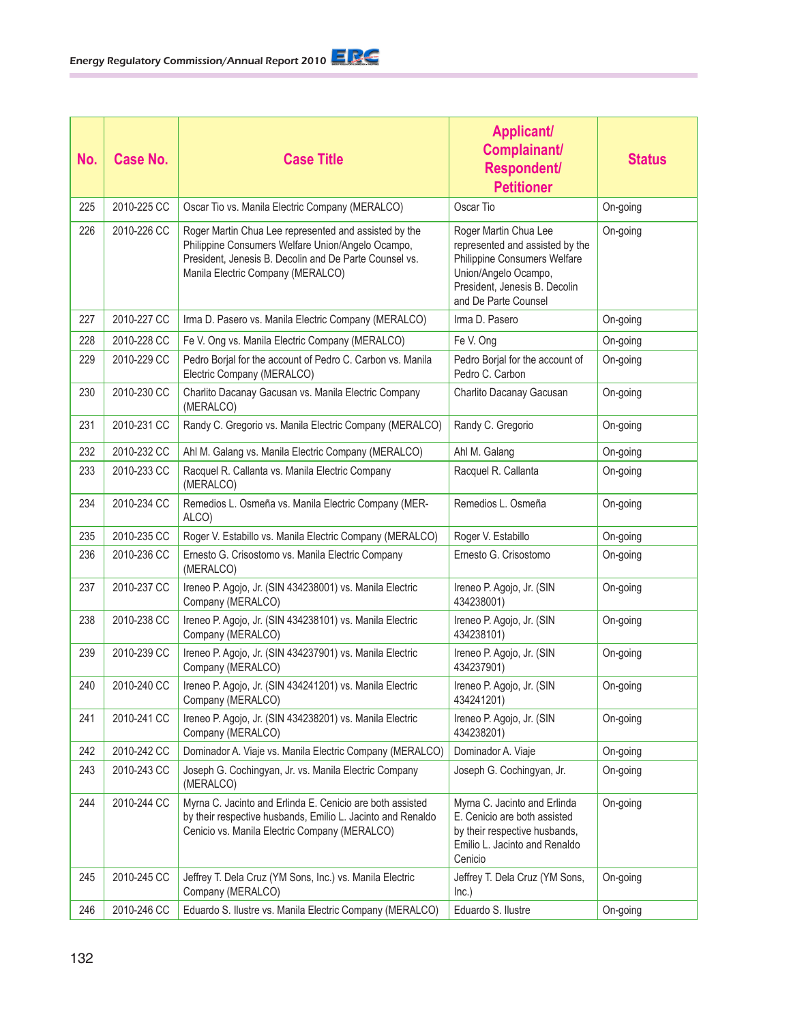| No. | <b>Case No.</b> | <b>Case Title</b>                                                                                                                                                                                         | <b>Applicant/</b><br>Complainant/<br><b>Respondent/</b><br><b>Petitioner</b>                                                                                              | <b>Status</b> |
|-----|-----------------|-----------------------------------------------------------------------------------------------------------------------------------------------------------------------------------------------------------|---------------------------------------------------------------------------------------------------------------------------------------------------------------------------|---------------|
| 225 | 2010-225 CC     | Oscar Tio vs. Manila Electric Company (MERALCO)                                                                                                                                                           | Oscar Tio                                                                                                                                                                 | On-going      |
| 226 | 2010-226 CC     | Roger Martin Chua Lee represented and assisted by the<br>Philippine Consumers Welfare Union/Angelo Ocampo,<br>President, Jenesis B. Decolin and De Parte Counsel vs.<br>Manila Electric Company (MERALCO) | Roger Martin Chua Lee<br>represented and assisted by the<br>Philippine Consumers Welfare<br>Union/Angelo Ocampo,<br>President, Jenesis B. Decolin<br>and De Parte Counsel | On-going      |
| 227 | 2010-227 CC     | Irma D. Pasero vs. Manila Electric Company (MERALCO)                                                                                                                                                      | Irma D. Pasero                                                                                                                                                            | On-going      |
| 228 | 2010-228 CC     | Fe V. Ong vs. Manila Electric Company (MERALCO)                                                                                                                                                           | Fe V. Ong                                                                                                                                                                 | On-going      |
| 229 | 2010-229 CC     | Pedro Borjal for the account of Pedro C. Carbon vs. Manila<br>Electric Company (MERALCO)                                                                                                                  | Pedro Borjal for the account of<br>Pedro C. Carbon                                                                                                                        | On-going      |
| 230 | 2010-230 CC     | Charlito Dacanay Gacusan vs. Manila Electric Company<br>(MERALCO)                                                                                                                                         | Charlito Dacanay Gacusan                                                                                                                                                  | On-going      |
| 231 | 2010-231 CC     | Randy C. Gregorio vs. Manila Electric Company (MERALCO)                                                                                                                                                   | Randy C. Gregorio                                                                                                                                                         | On-going      |
| 232 | 2010-232 CC     | Ahl M. Galang vs. Manila Electric Company (MERALCO)                                                                                                                                                       | Ahl M. Galang                                                                                                                                                             | On-going      |
| 233 | 2010-233 CC     | Racquel R. Callanta vs. Manila Electric Company<br>(MERALCO)                                                                                                                                              | Racquel R. Callanta                                                                                                                                                       | On-going      |
| 234 | 2010-234 CC     | Remedios L. Osmeña vs. Manila Electric Company (MER-<br>ALCO)                                                                                                                                             | Remedios L. Osmeña                                                                                                                                                        | On-going      |
| 235 | 2010-235 CC     | Roger V. Estabillo vs. Manila Electric Company (MERALCO)                                                                                                                                                  | Roger V. Estabillo                                                                                                                                                        | On-going      |
| 236 | 2010-236 CC     | Ernesto G. Crisostomo vs. Manila Electric Company<br>(MERALCO)                                                                                                                                            | Ernesto G. Crisostomo                                                                                                                                                     | On-going      |
| 237 | 2010-237 CC     | Ireneo P. Agojo, Jr. (SIN 434238001) vs. Manila Electric<br>Company (MERALCO)                                                                                                                             | Ireneo P. Agojo, Jr. (SIN<br>434238001)                                                                                                                                   | On-going      |
| 238 | 2010-238 CC     | Ireneo P. Agojo, Jr. (SIN 434238101) vs. Manila Electric<br>Company (MERALCO)                                                                                                                             | Ireneo P. Agojo, Jr. (SIN<br>434238101)                                                                                                                                   | On-going      |
| 239 | 2010-239 CC     | Ireneo P. Agojo, Jr. (SIN 434237901) vs. Manila Electric<br>Company (MERALCO)                                                                                                                             | Ireneo P. Agojo, Jr. (SIN<br>434237901)                                                                                                                                   | On-going      |
| 240 | 2010-240 CC     | Ireneo P. Agojo, Jr. (SIN 434241201) vs. Manila Electric<br>Company (MERALCO)                                                                                                                             | Ireneo P. Agojo, Jr. (SIN<br>434241201)                                                                                                                                   | On-going      |
| 241 | 2010-241 CC     | Ireneo P. Agojo, Jr. (SIN 434238201) vs. Manila Electric<br>Company (MERALCO)                                                                                                                             | Ireneo P. Agojo, Jr. (SIN<br>434238201)                                                                                                                                   | On-going      |
| 242 | 2010-242 CC     | Dominador A. Viaje vs. Manila Electric Company (MERALCO)                                                                                                                                                  | Dominador A. Viaje                                                                                                                                                        | On-going      |
| 243 | 2010-243 CC     | Joseph G. Cochingyan, Jr. vs. Manila Electric Company<br>(MERALCO)                                                                                                                                        | Joseph G. Cochingyan, Jr.                                                                                                                                                 | On-going      |
| 244 | 2010-244 CC     | Myrna C. Jacinto and Erlinda E. Cenicio are both assisted<br>by their respective husbands, Emilio L. Jacinto and Renaldo<br>Cenicio vs. Manila Electric Company (MERALCO)                                 | Myrna C. Jacinto and Erlinda<br>E. Cenicio are both assisted<br>by their respective husbands,<br>Emilio L. Jacinto and Renaldo<br>Cenicio                                 | On-going      |
| 245 | 2010-245 CC     | Jeffrey T. Dela Cruz (YM Sons, Inc.) vs. Manila Electric<br>Company (MERALCO)                                                                                                                             | Jeffrey T. Dela Cruz (YM Sons,<br>Inc.)                                                                                                                                   | On-going      |
| 246 | 2010-246 CC     | Eduardo S. Ilustre vs. Manila Electric Company (MERALCO)                                                                                                                                                  | Eduardo S. Ilustre                                                                                                                                                        | On-going      |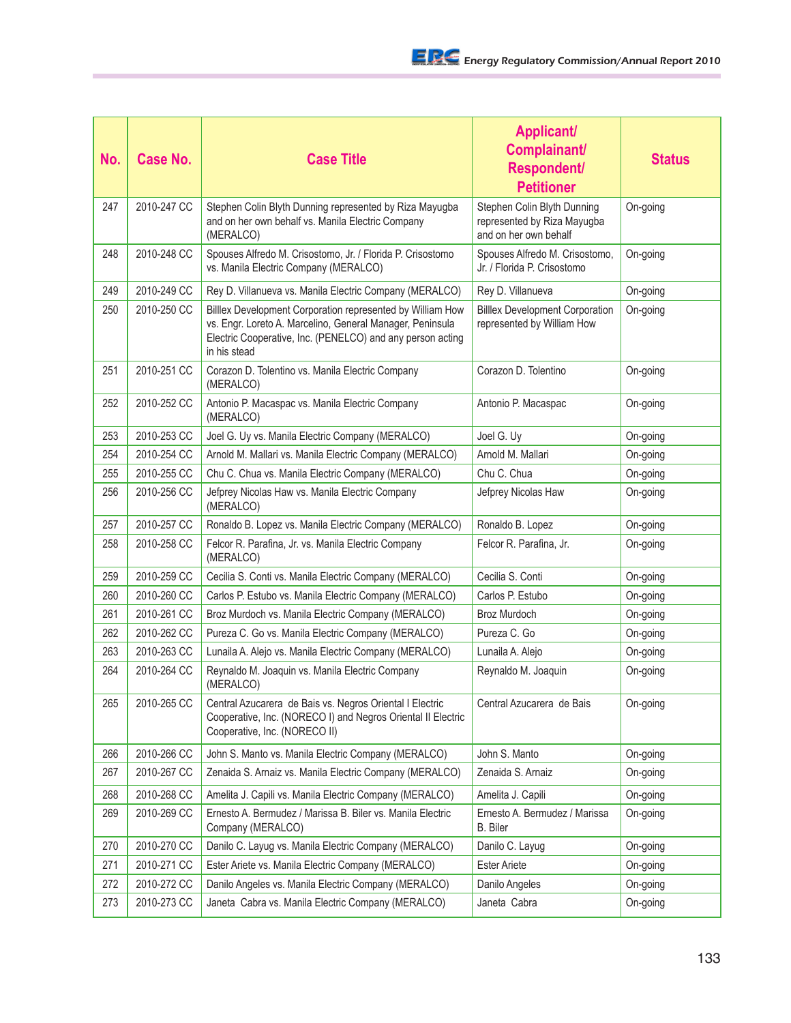| No. | <b>Case No.</b> | <b>Case Title</b>                                                                                                                                                                                     | <b>Applicant/</b><br>Complainant/<br>Respondent/<br><b>Petitioner</b>               | <b>Status</b> |
|-----|-----------------|-------------------------------------------------------------------------------------------------------------------------------------------------------------------------------------------------------|-------------------------------------------------------------------------------------|---------------|
| 247 | 2010-247 CC     | Stephen Colin Blyth Dunning represented by Riza Mayugba<br>and on her own behalf vs. Manila Electric Company<br>(MERALCO)                                                                             | Stephen Colin Blyth Dunning<br>represented by Riza Mayugba<br>and on her own behalf | On-going      |
| 248 | 2010-248 CC     | Spouses Alfredo M. Crisostomo, Jr. / Florida P. Crisostomo<br>vs. Manila Electric Company (MERALCO)                                                                                                   | Spouses Alfredo M. Crisostomo,<br>Jr. / Florida P. Crisostomo                       | On-going      |
| 249 | 2010-249 CC     | Rey D. Villanueva vs. Manila Electric Company (MERALCO)                                                                                                                                               | Rey D. Villanueva                                                                   | On-going      |
| 250 | 2010-250 CC     | Billlex Development Corporation represented by William How<br>vs. Engr. Loreto A. Marcelino, General Manager, Peninsula<br>Electric Cooperative, Inc. (PENELCO) and any person acting<br>in his stead | <b>Billex Development Corporation</b><br>represented by William How                 | On-going      |
| 251 | 2010-251 CC     | Corazon D. Tolentino vs. Manila Electric Company<br>(MERALCO)                                                                                                                                         | Corazon D. Tolentino                                                                | On-going      |
| 252 | 2010-252 CC     | Antonio P. Macaspac vs. Manila Electric Company<br>(MERALCO)                                                                                                                                          | Antonio P. Macaspac                                                                 | On-going      |
| 253 | 2010-253 CC     | Joel G. Uy vs. Manila Electric Company (MERALCO)                                                                                                                                                      | Joel G. Uy                                                                          | On-going      |
| 254 | 2010-254 CC     | Arnold M. Mallari vs. Manila Electric Company (MERALCO)                                                                                                                                               | Arnold M. Mallari                                                                   | On-going      |
| 255 | 2010-255 CC     | Chu C. Chua vs. Manila Electric Company (MERALCO)                                                                                                                                                     | Chu C. Chua                                                                         | On-going      |
| 256 | 2010-256 CC     | Jefprey Nicolas Haw vs. Manila Electric Company<br>(MERALCO)                                                                                                                                          | Jefprey Nicolas Haw                                                                 | On-going      |
| 257 | 2010-257 CC     | Ronaldo B. Lopez vs. Manila Electric Company (MERALCO)                                                                                                                                                | Ronaldo B. Lopez                                                                    | On-going      |
| 258 | 2010-258 CC     | Felcor R. Parafina, Jr. vs. Manila Electric Company<br>(MERALCO)                                                                                                                                      | Felcor R. Parafina, Jr.                                                             | On-going      |
| 259 | 2010-259 CC     | Cecilia S. Conti vs. Manila Electric Company (MERALCO)                                                                                                                                                | Cecilia S. Conti                                                                    | On-going      |
| 260 | 2010-260 CC     | Carlos P. Estubo vs. Manila Electric Company (MERALCO)                                                                                                                                                | Carlos P. Estubo                                                                    | On-going      |
| 261 | 2010-261 CC     | Broz Murdoch vs. Manila Electric Company (MERALCO)                                                                                                                                                    | Broz Murdoch                                                                        | On-going      |
| 262 | 2010-262 CC     | Pureza C. Go vs. Manila Electric Company (MERALCO)                                                                                                                                                    | Pureza C. Go                                                                        | On-going      |
| 263 | 2010-263 CC     | Lunaila A. Alejo vs. Manila Electric Company (MERALCO)                                                                                                                                                | Lunaila A. Alejo                                                                    | On-going      |
| 264 | 2010-264 CC     | Reynaldo M. Joaquin vs. Manila Electric Company<br>(MERALCO)                                                                                                                                          | Reynaldo M. Joaquin                                                                 | On-going      |
| 265 | 2010-265 CC     | Central Azucarera de Bais vs. Negros Oriental I Electric<br>Cooperative, Inc. (NORECO I) and Negros Oriental II Electric<br>Cooperative, Inc. (NORECO II)                                             | Central Azucarera de Bais                                                           | On-going      |
| 266 | 2010-266 CC     | John S. Manto vs. Manila Electric Company (MERALCO)                                                                                                                                                   | John S. Manto                                                                       | On-going      |
| 267 | 2010-267 CC     | Zenaida S. Arnaiz vs. Manila Electric Company (MERALCO)                                                                                                                                               | Zenaida S. Arnaiz                                                                   | On-going      |
| 268 | 2010-268 CC     | Amelita J. Capili vs. Manila Electric Company (MERALCO)                                                                                                                                               | Amelita J. Capili                                                                   | On-going      |
| 269 | 2010-269 CC     | Ernesto A. Bermudez / Marissa B. Biler vs. Manila Electric<br>Company (MERALCO)                                                                                                                       | Ernesto A. Bermudez / Marissa<br><b>B.</b> Biler                                    | On-going      |
| 270 | 2010-270 CC     | Danilo C. Layug vs. Manila Electric Company (MERALCO)                                                                                                                                                 | Danilo C. Layug                                                                     | On-going      |
| 271 | 2010-271 CC     | Ester Ariete vs. Manila Electric Company (MERALCO)                                                                                                                                                    | <b>Ester Ariete</b>                                                                 | On-going      |
| 272 | 2010-272 CC     | Danilo Angeles vs. Manila Electric Company (MERALCO)                                                                                                                                                  | Danilo Angeles                                                                      | On-going      |
| 273 | 2010-273 CC     | Janeta Cabra vs. Manila Electric Company (MERALCO)                                                                                                                                                    | Janeta Cabra                                                                        | On-going      |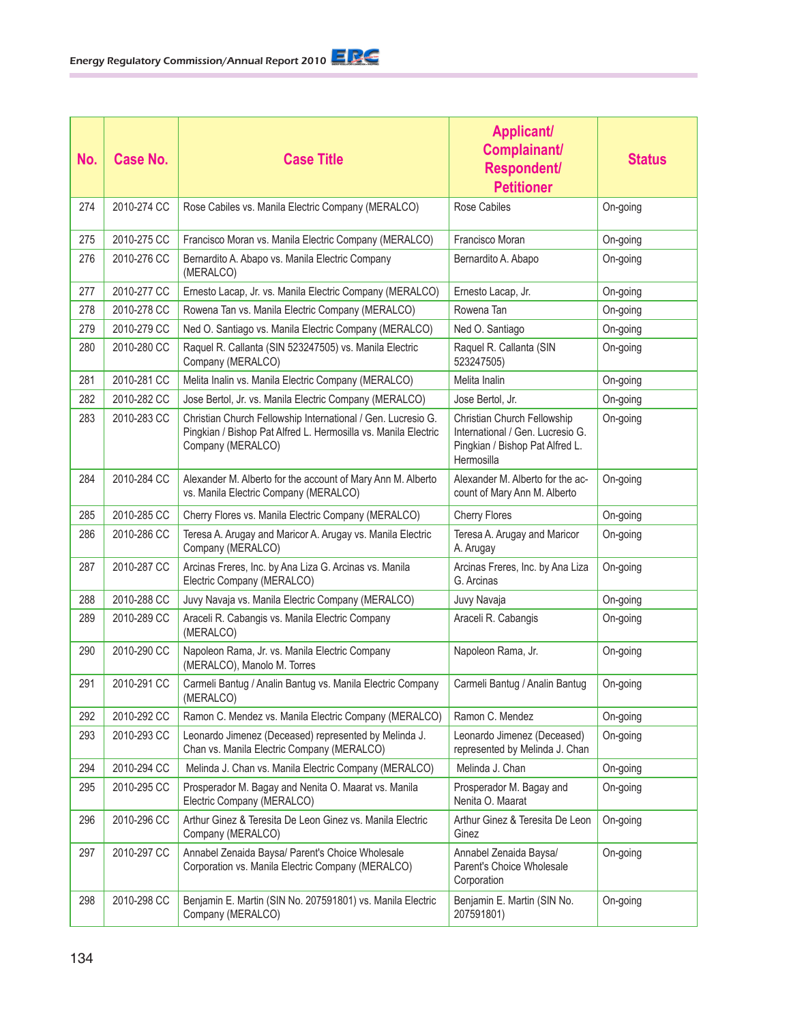| No. | <b>Case No.</b> | <b>Case Title</b>                                                                                                                                   | <b>Applicant/</b><br>Complainant/<br>Respondent/<br><b>Petitioner</b>                                            | <b>Status</b> |
|-----|-----------------|-----------------------------------------------------------------------------------------------------------------------------------------------------|------------------------------------------------------------------------------------------------------------------|---------------|
| 274 | 2010-274 CC     | Rose Cabiles vs. Manila Electric Company (MERALCO)                                                                                                  | Rose Cabiles                                                                                                     | On-going      |
| 275 | 2010-275 CC     | Francisco Moran vs. Manila Electric Company (MERALCO)                                                                                               | Francisco Moran                                                                                                  | On-going      |
| 276 | 2010-276 CC     | Bernardito A. Abapo vs. Manila Electric Company<br>(MERALCO)                                                                                        | Bernardito A. Abapo                                                                                              | On-going      |
| 277 | 2010-277 CC     | Ernesto Lacap, Jr. vs. Manila Electric Company (MERALCO)                                                                                            | Ernesto Lacap, Jr.                                                                                               | On-going      |
| 278 | 2010-278 CC     | Rowena Tan vs. Manila Electric Company (MERALCO)                                                                                                    | Rowena Tan                                                                                                       | On-going      |
| 279 | 2010-279 CC     | Ned O. Santiago vs. Manila Electric Company (MERALCO)                                                                                               | Ned O. Santiago                                                                                                  | On-going      |
| 280 | 2010-280 CC     | Raquel R. Callanta (SIN 523247505) vs. Manila Electric<br>Company (MERALCO)                                                                         | Raquel R. Callanta (SIN<br>523247505)                                                                            | On-going      |
| 281 | 2010-281 CC     | Melita Inalin vs. Manila Electric Company (MERALCO)                                                                                                 | Melita Inalin                                                                                                    | On-going      |
| 282 | 2010-282 CC     | Jose Bertol, Jr. vs. Manila Electric Company (MERALCO)                                                                                              | Jose Bertol, Jr.                                                                                                 | On-going      |
| 283 | 2010-283 CC     | Christian Church Fellowship International / Gen. Lucresio G.<br>Pingkian / Bishop Pat Alfred L. Hermosilla vs. Manila Electric<br>Company (MERALCO) | Christian Church Fellowship<br>International / Gen. Lucresio G.<br>Pingkian / Bishop Pat Alfred L.<br>Hermosilla | On-going      |
| 284 | 2010-284 CC     | Alexander M. Alberto for the account of Mary Ann M. Alberto<br>vs. Manila Electric Company (MERALCO)                                                | Alexander M. Alberto for the ac-<br>count of Mary Ann M. Alberto                                                 | On-going      |
| 285 | 2010-285 CC     | Cherry Flores vs. Manila Electric Company (MERALCO)                                                                                                 | <b>Cherry Flores</b>                                                                                             | On-going      |
| 286 | 2010-286 CC     | Teresa A. Arugay and Maricor A. Arugay vs. Manila Electric<br>Company (MERALCO)                                                                     | Teresa A. Arugay and Maricor<br>A. Arugay                                                                        | On-going      |
| 287 | 2010-287 CC     | Arcinas Freres, Inc. by Ana Liza G. Arcinas vs. Manila<br>Electric Company (MERALCO)                                                                | Arcinas Freres, Inc. by Ana Liza<br>G. Arcinas                                                                   | On-going      |
| 288 | 2010-288 CC     | Juvy Navaja vs. Manila Electric Company (MERALCO)                                                                                                   | Juvy Navaja                                                                                                      | On-going      |
| 289 | 2010-289 CC     | Araceli R. Cabangis vs. Manila Electric Company<br>(MERALCO)                                                                                        | Araceli R. Cabangis                                                                                              | On-going      |
| 290 | 2010-290 CC     | Napoleon Rama, Jr. vs. Manila Electric Company<br>(MERALCO), Manolo M. Torres                                                                       | Napoleon Rama, Jr.                                                                                               | On-going      |
| 291 | 2010-291 CC     | Carmeli Bantug / Analin Bantug vs. Manila Electric Company<br>(MERALCO)                                                                             | Carmeli Bantug / Analin Bantug                                                                                   | On-going      |
| 292 | 2010-292 CC     | Ramon C. Mendez vs. Manila Electric Company (MERALCO)                                                                                               | Ramon C. Mendez                                                                                                  | On-going      |
| 293 | 2010-293 CC     | Leonardo Jimenez (Deceased) represented by Melinda J.<br>Chan vs. Manila Electric Company (MERALCO)                                                 | Leonardo Jimenez (Deceased)<br>represented by Melinda J. Chan                                                    | On-going      |
| 294 | 2010-294 CC     | Melinda J. Chan vs. Manila Electric Company (MERALCO)                                                                                               | Melinda J. Chan                                                                                                  | On-going      |
| 295 | 2010-295 CC     | Prosperador M. Bagay and Nenita O. Maarat vs. Manila<br>Electric Company (MERALCO)                                                                  | Prosperador M. Bagay and<br>Nenita O. Maarat                                                                     | On-going      |
| 296 | 2010-296 CC     | Arthur Ginez & Teresita De Leon Ginez vs. Manila Electric<br>Company (MERALCO)                                                                      | Arthur Ginez & Teresita De Leon<br>Ginez                                                                         | On-going      |
| 297 | 2010-297 CC     | Annabel Zenaida Baysa/ Parent's Choice Wholesale<br>Corporation vs. Manila Electric Company (MERALCO)                                               | Annabel Zenaida Baysa/<br>Parent's Choice Wholesale<br>Corporation                                               | On-going      |
| 298 | 2010-298 CC     | Benjamin E. Martin (SIN No. 207591801) vs. Manila Electric<br>Company (MERALCO)                                                                     | Benjamin E. Martin (SIN No.<br>207591801)                                                                        | On-going      |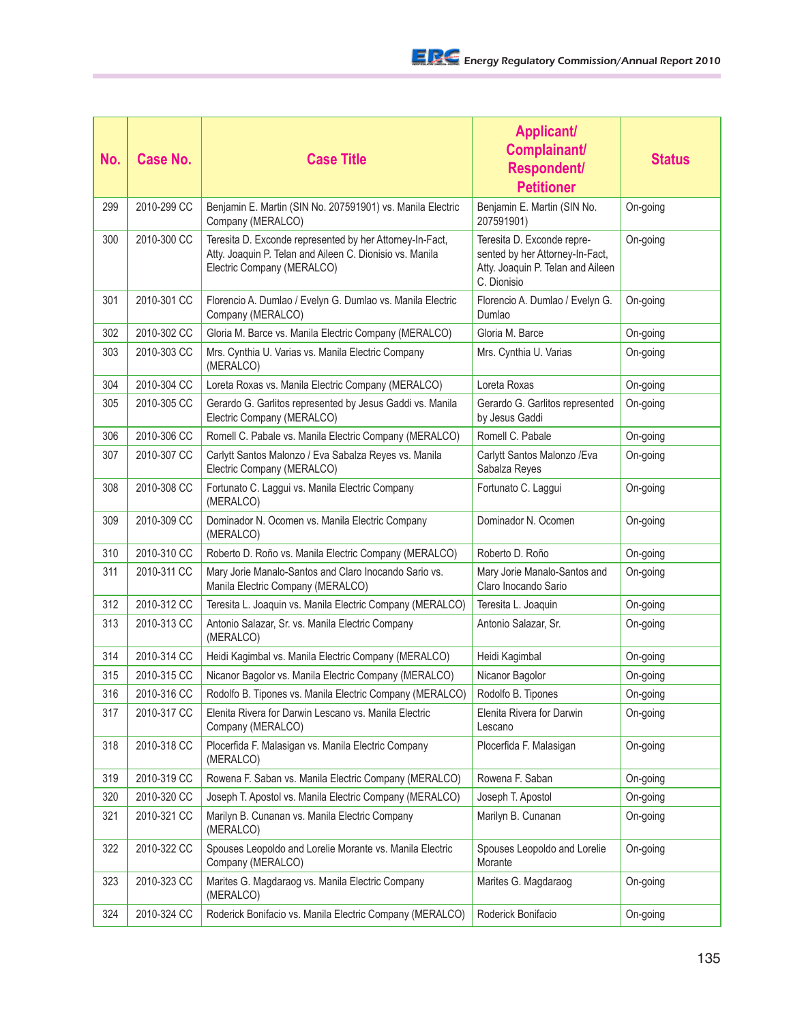| No. | <b>Case No.</b> | <b>Case Title</b>                                                                                                                                  | <b>Applicant/</b><br>Complainant/<br>Respondent/<br><b>Petitioner</b>                                             | <b>Status</b> |
|-----|-----------------|----------------------------------------------------------------------------------------------------------------------------------------------------|-------------------------------------------------------------------------------------------------------------------|---------------|
| 299 | 2010-299 CC     | Benjamin E. Martin (SIN No. 207591901) vs. Manila Electric<br>Company (MERALCO)                                                                    | Benjamin E. Martin (SIN No.<br>207591901)                                                                         | On-going      |
| 300 | 2010-300 CC     | Teresita D. Exconde represented by her Attorney-In-Fact,<br>Atty. Joaquin P. Telan and Aileen C. Dionisio vs. Manila<br>Electric Company (MERALCO) | Teresita D. Exconde repre-<br>sented by her Attorney-In-Fact,<br>Atty. Joaquin P. Telan and Aileen<br>C. Dionisio | On-going      |
| 301 | 2010-301 CC     | Florencio A. Dumlao / Evelyn G. Dumlao vs. Manila Electric<br>Company (MERALCO)                                                                    | Florencio A. Dumlao / Evelyn G.<br>Dumlao                                                                         | On-going      |
| 302 | 2010-302 CC     | Gloria M. Barce vs. Manila Electric Company (MERALCO)                                                                                              | Gloria M. Barce                                                                                                   | On-going      |
| 303 | 2010-303 CC     | Mrs. Cynthia U. Varias vs. Manila Electric Company<br>(MERALCO)                                                                                    | Mrs. Cynthia U. Varias                                                                                            | On-going      |
| 304 | 2010-304 CC     | Loreta Roxas vs. Manila Electric Company (MERALCO)                                                                                                 | Loreta Roxas                                                                                                      | On-going      |
| 305 | 2010-305 CC     | Gerardo G. Garlitos represented by Jesus Gaddi vs. Manila<br>Electric Company (MERALCO)                                                            | Gerardo G. Garlitos represented<br>by Jesus Gaddi                                                                 | On-going      |
| 306 | 2010-306 CC     | Romell C. Pabale vs. Manila Electric Company (MERALCO)                                                                                             | Romell C. Pabale                                                                                                  | On-going      |
| 307 | 2010-307 CC     | Carlytt Santos Malonzo / Eva Sabalza Reyes vs. Manila<br>Electric Company (MERALCO)                                                                | Carlytt Santos Malonzo / Eva<br>Sabalza Reyes                                                                     | On-going      |
| 308 | 2010-308 CC     | Fortunato C. Laggui vs. Manila Electric Company<br>(MERALCO)                                                                                       | Fortunato C. Laggui                                                                                               | On-going      |
| 309 | 2010-309 CC     | Dominador N. Ocomen vs. Manila Electric Company<br>(MERALCO)                                                                                       | Dominador N. Ocomen                                                                                               | On-going      |
| 310 | 2010-310 CC     | Roberto D. Roño vs. Manila Electric Company (MERALCO)                                                                                              | Roberto D. Roño                                                                                                   | On-going      |
| 311 | 2010-311 CC     | Mary Jorie Manalo-Santos and Claro Inocando Sario vs.<br>Manila Electric Company (MERALCO)                                                         | Mary Jorie Manalo-Santos and<br>Claro Inocando Sario                                                              | On-going      |
| 312 | 2010-312 CC     | Teresita L. Joaquin vs. Manila Electric Company (MERALCO)                                                                                          | Teresita L. Joaquin                                                                                               | On-going      |
| 313 | 2010-313 CC     | Antonio Salazar, Sr. vs. Manila Electric Company<br>(MERALCO)                                                                                      | Antonio Salazar, Sr.                                                                                              | On-going      |
| 314 | 2010-314 CC     | Heidi Kagimbal vs. Manila Electric Company (MERALCO)                                                                                               | Heidi Kagimbal                                                                                                    | On-going      |
| 315 | 2010-315 CC     | Nicanor Bagolor vs. Manila Electric Company (MERALCO)                                                                                              | Nicanor Bagolor                                                                                                   | On-going      |
| 316 | 2010-316 CC     | Rodolfo B. Tipones vs. Manila Electric Company (MERALCO)                                                                                           | Rodolfo B. Tipones                                                                                                | On-going      |
| 317 | 2010-317 CC     | Elenita Rivera for Darwin Lescano vs. Manila Electric<br>Company (MERALCO)                                                                         | Elenita Rivera for Darwin<br>Lescano                                                                              | On-going      |
| 318 | 2010-318 CC     | Plocerfida F. Malasigan vs. Manila Electric Company<br>(MERALCO)                                                                                   | Plocerfida F. Malasigan                                                                                           | On-going      |
| 319 | 2010-319 CC     | Rowena F. Saban vs. Manila Electric Company (MERALCO)                                                                                              | Rowena F. Saban                                                                                                   | On-going      |
| 320 | 2010-320 CC     | Joseph T. Apostol vs. Manila Electric Company (MERALCO)                                                                                            | Joseph T. Apostol                                                                                                 | On-going      |
| 321 | 2010-321 CC     | Marilyn B. Cunanan vs. Manila Electric Company<br>(MERALCO)                                                                                        | Marilyn B. Cunanan                                                                                                | On-going      |
| 322 | 2010-322 CC     | Spouses Leopoldo and Lorelie Morante vs. Manila Electric<br>Company (MERALCO)                                                                      | Spouses Leopoldo and Lorelie<br>Morante                                                                           | On-going      |
| 323 | 2010-323 CC     | Marites G. Magdaraog vs. Manila Electric Company<br>(MERALCO)                                                                                      | Marites G. Magdaraog                                                                                              | On-going      |
| 324 | 2010-324 CC     | Roderick Bonifacio vs. Manila Electric Company (MERALCO)                                                                                           | Roderick Bonifacio                                                                                                | On-going      |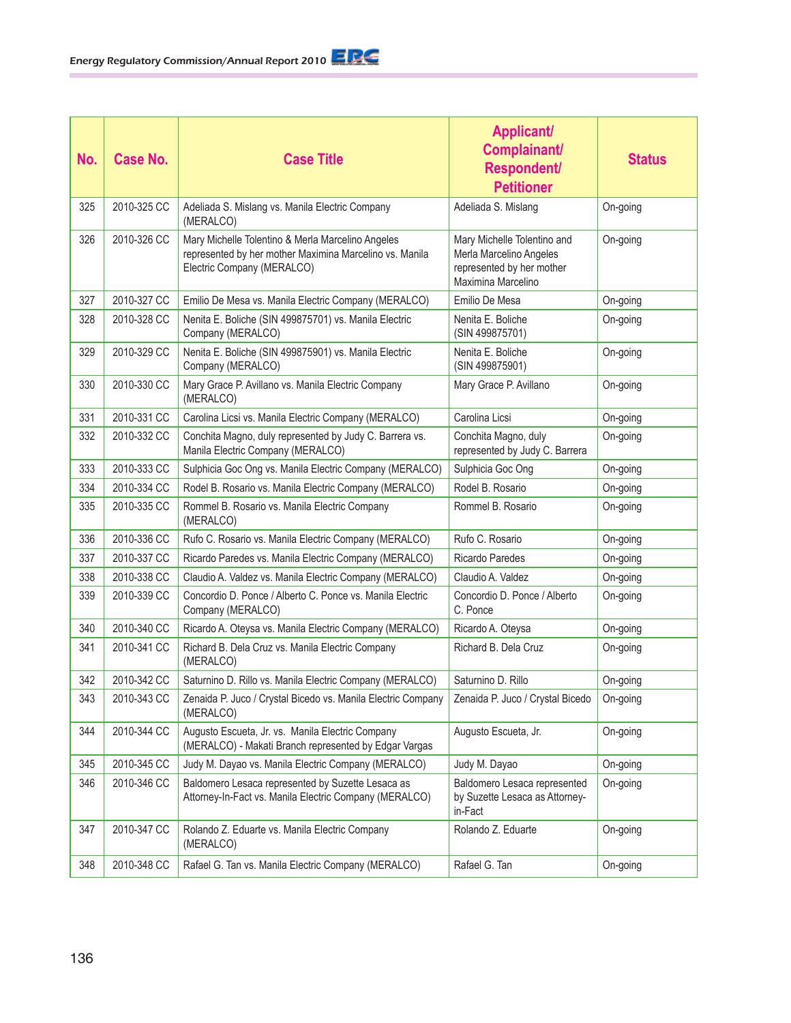| No. | Case No.    | <b>Case Title</b>                                                                                                                          | <b>Applicant/</b><br>Complainant/<br><b>Respondent/</b><br><b>Petitioner</b>                              | <b>Status</b> |
|-----|-------------|--------------------------------------------------------------------------------------------------------------------------------------------|-----------------------------------------------------------------------------------------------------------|---------------|
| 325 | 2010-325 CC | Adeliada S. Mislang vs. Manila Electric Company<br>(MERALCO)                                                                               | Adeliada S. Mislang                                                                                       | On-going      |
| 326 | 2010-326 CC | Mary Michelle Tolentino & Merla Marcelino Angeles<br>represented by her mother Maximina Marcelino vs. Manila<br>Electric Company (MERALCO) | Mary Michelle Tolentino and<br>Merla Marcelino Angeles<br>represented by her mother<br>Maximina Marcelino | On-going      |
| 327 | 2010-327 CC | Emilio De Mesa vs. Manila Electric Company (MERALCO)                                                                                       | Emilio De Mesa                                                                                            | On-going      |
| 328 | 2010-328 CC | Nenita E. Boliche (SIN 499875701) vs. Manila Electric<br>Company (MERALCO)                                                                 | Nenita E. Boliche<br>(SIN 499875701)                                                                      | On-going      |
| 329 | 2010-329 CC | Nenita E. Boliche (SIN 499875901) vs. Manila Electric<br>Company (MERALCO)                                                                 | Nenita E. Boliche<br>(SIN 499875901)                                                                      | On-going      |
| 330 | 2010-330 CC | Mary Grace P. Avillano vs. Manila Electric Company<br>(MERALCO)                                                                            | Mary Grace P. Avillano                                                                                    | On-going      |
| 331 | 2010-331 CC | Carolina Licsi vs. Manila Electric Company (MERALCO)                                                                                       | Carolina Licsi                                                                                            | On-going      |
| 332 | 2010-332 CC | Conchita Magno, duly represented by Judy C. Barrera vs.<br>Manila Electric Company (MERALCO)                                               | Conchita Magno, duly<br>represented by Judy C. Barrera                                                    | On-going      |
| 333 | 2010-333 CC | Sulphicia Goc Ong vs. Manila Electric Company (MERALCO)                                                                                    | Sulphicia Goc Ong                                                                                         | On-going      |
| 334 | 2010-334 CC | Rodel B. Rosario vs. Manila Electric Company (MERALCO)                                                                                     | Rodel B. Rosario                                                                                          | On-going      |
| 335 | 2010-335 CC | Rommel B. Rosario vs. Manila Electric Company<br>(MERALCO)                                                                                 | Rommel B. Rosario                                                                                         | On-going      |
| 336 | 2010-336 CC | Rufo C. Rosario vs. Manila Electric Company (MERALCO)                                                                                      | Rufo C. Rosario                                                                                           | On-going      |
| 337 | 2010-337 CC | Ricardo Paredes vs. Manila Electric Company (MERALCO)                                                                                      | <b>Ricardo Paredes</b>                                                                                    | On-going      |
| 338 | 2010-338 CC | Claudio A. Valdez vs. Manila Electric Company (MERALCO)                                                                                    | Claudio A. Valdez                                                                                         | On-going      |
| 339 | 2010-339 CC | Concordio D. Ponce / Alberto C. Ponce vs. Manila Electric<br>Company (MERALCO)                                                             | Concordio D. Ponce / Alberto<br>C. Ponce                                                                  | On-going      |
| 340 | 2010-340 CC | Ricardo A. Oteysa vs. Manila Electric Company (MERALCO)                                                                                    | Ricardo A. Oteysa                                                                                         | On-going      |
| 341 | 2010-341 CC | Richard B. Dela Cruz vs. Manila Electric Company<br>(MERALCO)                                                                              | Richard B. Dela Cruz                                                                                      | On-going      |
| 342 | 2010-342 CC | Saturnino D. Rillo vs. Manila Electric Company (MERALCO)                                                                                   | Saturnino D. Rillo                                                                                        | On-going      |
| 343 | 2010-343 CC | Zenaida P. Juco / Crystal Bicedo vs. Manila Electric Company<br>(MERALCO)                                                                  | Zenaida P. Juco / Crystal Bicedo                                                                          | On-going      |
| 344 | 2010-344 CC | Augusto Escueta, Jr. vs. Manila Electric Company<br>(MERALCO) - Makati Branch represented by Edgar Vargas                                  | Augusto Escueta, Jr.                                                                                      | On-going      |
| 345 | 2010-345 CC | Judy M. Dayao vs. Manila Electric Company (MERALCO)                                                                                        | Judy M. Dayao                                                                                             | On-going      |
| 346 | 2010-346 CC | Baldomero Lesaca represented by Suzette Lesaca as<br>Attorney-In-Fact vs. Manila Electric Company (MERALCO)                                | Baldomero Lesaca represented<br>by Suzette Lesaca as Attorney-<br>in-Fact                                 | On-going      |
| 347 | 2010-347 CC | Rolando Z. Eduarte vs. Manila Electric Company<br>(MERALCO)                                                                                | Rolando Z. Eduarte                                                                                        | On-going      |
| 348 | 2010-348 CC | Rafael G. Tan vs. Manila Electric Company (MERALCO)                                                                                        | Rafael G. Tan                                                                                             | On-going      |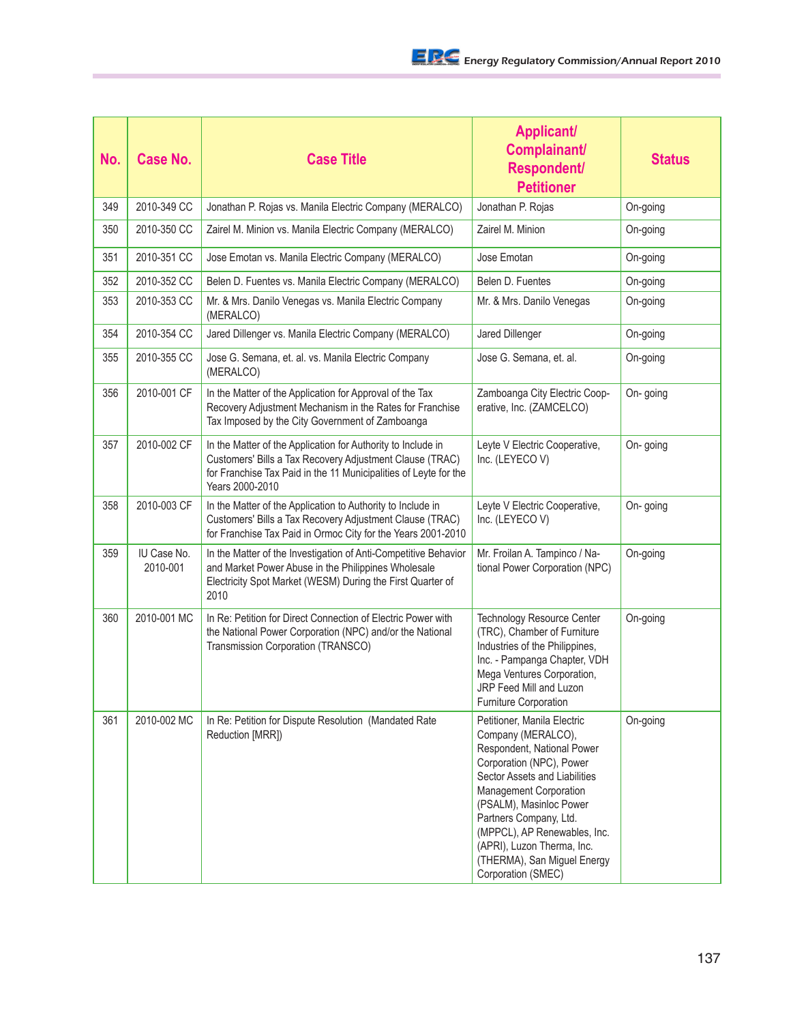| No. | <b>Case No.</b>         | <b>Case Title</b>                                                                                                                                                                                               | <b>Applicant/</b><br>Complainant/<br><b>Respondent/</b><br><b>Petitioner</b>                                                                                                                                                                                                                                                                   | <b>Status</b> |
|-----|-------------------------|-----------------------------------------------------------------------------------------------------------------------------------------------------------------------------------------------------------------|------------------------------------------------------------------------------------------------------------------------------------------------------------------------------------------------------------------------------------------------------------------------------------------------------------------------------------------------|---------------|
| 349 | 2010-349 CC             | Jonathan P. Rojas vs. Manila Electric Company (MERALCO)                                                                                                                                                         | Jonathan P. Rojas                                                                                                                                                                                                                                                                                                                              | On-going      |
| 350 | 2010-350 CC             | Zairel M. Minion vs. Manila Electric Company (MERALCO)                                                                                                                                                          | Zairel M. Minion                                                                                                                                                                                                                                                                                                                               | On-going      |
| 351 | 2010-351 CC             | Jose Emotan vs. Manila Electric Company (MERALCO)                                                                                                                                                               | Jose Emotan                                                                                                                                                                                                                                                                                                                                    | On-going      |
| 352 | 2010-352 CC             | Belen D. Fuentes vs. Manila Electric Company (MERALCO)                                                                                                                                                          | Belen D. Fuentes                                                                                                                                                                                                                                                                                                                               | On-going      |
| 353 | 2010-353 CC             | Mr. & Mrs. Danilo Venegas vs. Manila Electric Company<br>(MERALCO)                                                                                                                                              | Mr. & Mrs. Danilo Venegas                                                                                                                                                                                                                                                                                                                      | On-going      |
| 354 | 2010-354 CC             | Jared Dillenger vs. Manila Electric Company (MERALCO)                                                                                                                                                           | Jared Dillenger                                                                                                                                                                                                                                                                                                                                | On-going      |
| 355 | 2010-355 CC             | Jose G. Semana, et. al. vs. Manila Electric Company<br>(MERALCO)                                                                                                                                                | Jose G. Semana, et. al.                                                                                                                                                                                                                                                                                                                        | On-going      |
| 356 | 2010-001 CF             | In the Matter of the Application for Approval of the Tax<br>Recovery Adjustment Mechanism in the Rates for Franchise<br>Tax Imposed by the City Government of Zamboanga                                         | Zamboanga City Electric Coop-<br>erative, Inc. (ZAMCELCO)                                                                                                                                                                                                                                                                                      | On-going      |
| 357 | 2010-002 CF             | In the Matter of the Application for Authority to Include in<br>Customers' Bills a Tax Recovery Adjustment Clause (TRAC)<br>for Franchise Tax Paid in the 11 Municipalities of Leyte for the<br>Years 2000-2010 | Leyte V Electric Cooperative,<br>Inc. (LEYECOV)                                                                                                                                                                                                                                                                                                | On-going      |
| 358 | 2010-003 CF             | In the Matter of the Application to Authority to Include in<br>Customers' Bills a Tax Recovery Adjustment Clause (TRAC)<br>for Franchise Tax Paid in Ormoc City for the Years 2001-2010                         | Leyte V Electric Cooperative,<br>Inc. (LEYECOV)                                                                                                                                                                                                                                                                                                | On-going      |
| 359 | IU Case No.<br>2010-001 | In the Matter of the Investigation of Anti-Competitive Behavior<br>and Market Power Abuse in the Philippines Wholesale<br>Electricity Spot Market (WESM) During the First Quarter of<br>2010                    | Mr. Froilan A. Tampinco / Na-<br>tional Power Corporation (NPC)                                                                                                                                                                                                                                                                                | On-going      |
| 360 | 2010-001 MC             | In Re: Petition for Direct Connection of Electric Power with<br>the National Power Corporation (NPC) and/or the National<br>Transmission Corporation (TRANSCO)                                                  | Technology Resource Center<br>(TRC), Chamber of Furniture<br>Industries of the Philippines,<br>Inc. - Pampanga Chapter, VDH<br>Mega Ventures Corporation,<br>JRP Feed Mill and Luzon<br>Furniture Corporation                                                                                                                                  | On-going      |
| 361 | 2010-002 MC             | In Re: Petition for Dispute Resolution (Mandated Rate<br>Reduction [MRR])                                                                                                                                       | Petitioner, Manila Electric<br>Company (MERALCO),<br>Respondent, National Power<br>Corporation (NPC), Power<br>Sector Assets and Liabilities<br>Management Corporation<br>(PSALM), Masinloc Power<br>Partners Company, Ltd.<br>(MPPCL), AP Renewables, Inc.<br>(APRI), Luzon Therma, Inc.<br>(THERMA), San Miguel Energy<br>Corporation (SMEC) | On-going      |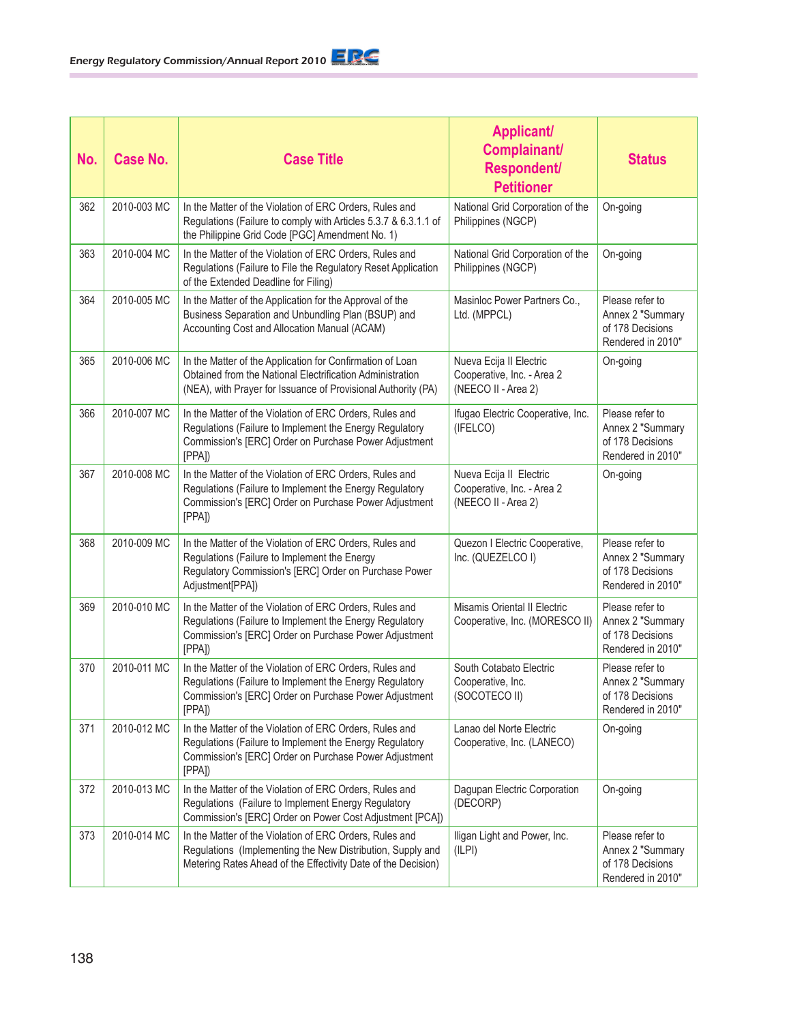| No. | <b>Case No.</b> | <b>Case Title</b>                                                                                                                                                                       | <b>Applicant/</b><br>Complainant/<br><b>Respondent/</b><br><b>Petitioner</b> | <b>Status</b>                                                                |
|-----|-----------------|-----------------------------------------------------------------------------------------------------------------------------------------------------------------------------------------|------------------------------------------------------------------------------|------------------------------------------------------------------------------|
| 362 | 2010-003 MC     | In the Matter of the Violation of ERC Orders, Rules and<br>Regulations (Failure to comply with Articles 5.3.7 & 6.3.1.1 of<br>the Philippine Grid Code [PGC] Amendment No. 1)           | National Grid Corporation of the<br>Philippines (NGCP)                       | On-going                                                                     |
| 363 | 2010-004 MC     | In the Matter of the Violation of ERC Orders, Rules and<br>Regulations (Failure to File the Regulatory Reset Application<br>of the Extended Deadline for Filing)                        | National Grid Corporation of the<br>Philippines (NGCP)                       | On-going                                                                     |
| 364 | 2010-005 MC     | In the Matter of the Application for the Approval of the<br>Business Separation and Unbundling Plan (BSUP) and<br>Accounting Cost and Allocation Manual (ACAM)                          | Masinloc Power Partners Co.,<br>Ltd. (MPPCL)                                 | Please refer to<br>Annex 2 "Summary<br>of 178 Decisions<br>Rendered in 2010" |
| 365 | 2010-006 MC     | In the Matter of the Application for Confirmation of Loan<br>Obtained from the National Electrification Administration<br>(NEA), with Prayer for Issuance of Provisional Authority (PA) | Nueva Ecija II Electric<br>Cooperative, Inc. - Area 2<br>(NEECO II - Area 2) | On-going                                                                     |
| 366 | 2010-007 MC     | In the Matter of the Violation of ERC Orders, Rules and<br>Regulations (Failure to Implement the Energy Regulatory<br>Commission's [ERC] Order on Purchase Power Adjustment<br>[PPA]    | Ifugao Electric Cooperative, Inc.<br>(IFELCO)                                | Please refer to<br>Annex 2 "Summary<br>of 178 Decisions<br>Rendered in 2010" |
| 367 | 2010-008 MC     | In the Matter of the Violation of ERC Orders, Rules and<br>Regulations (Failure to Implement the Energy Regulatory<br>Commission's [ERC] Order on Purchase Power Adjustment<br>[PPA]    | Nueva Ecija II Electric<br>Cooperative, Inc. - Area 2<br>(NEECO II - Area 2) | On-going                                                                     |
| 368 | 2010-009 MC     | In the Matter of the Violation of ERC Orders, Rules and<br>Regulations (Failure to Implement the Energy<br>Regulatory Commission's [ERC] Order on Purchase Power<br>Adjustment[PPA])    | Quezon I Electric Cooperative,<br>Inc. (QUEZELCO I)                          | Please refer to<br>Annex 2 "Summary<br>of 178 Decisions<br>Rendered in 2010" |
| 369 | 2010-010 MC     | In the Matter of the Violation of ERC Orders, Rules and<br>Regulations (Failure to Implement the Energy Regulatory<br>Commission's [ERC] Order on Purchase Power Adjustment<br>[PPA]    | Misamis Oriental II Electric<br>Cooperative, Inc. (MORESCO II)               | Please refer to<br>Annex 2 "Summary<br>of 178 Decisions<br>Rendered in 2010" |
| 370 | 2010-011 MC     | In the Matter of the Violation of ERC Orders, Rules and<br>Regulations (Failure to Implement the Energy Regulatory<br>Commission's [ERC] Order on Purchase Power Adjustment<br>[PPA]    | South Cotabato Electric<br>Cooperative, Inc.<br>(SOCOTECO II)                | Please refer to<br>Annex 2 "Summary<br>of 178 Decisions<br>Rendered in 2010" |
| 371 | 2010-012 MC     | In the Matter of the Violation of ERC Orders, Rules and<br>Regulations (Failure to Implement the Energy Regulatory<br>Commission's [ERC] Order on Purchase Power Adjustment<br>[PPA]    | Lanao del Norte Electric<br>Cooperative, Inc. (LANECO)                       | On-going                                                                     |
| 372 | 2010-013 MC     | In the Matter of the Violation of ERC Orders, Rules and<br>Regulations (Failure to Implement Energy Regulatory<br>Commission's [ERC] Order on Power Cost Adjustment [PCA])              | Dagupan Electric Corporation<br>(DECORP)                                     | On-going                                                                     |
| 373 | 2010-014 MC     | In the Matter of the Violation of ERC Orders, Rules and<br>Regulations (Implementing the New Distribution, Supply and<br>Metering Rates Ahead of the Effectivity Date of the Decision)  | Iligan Light and Power, Inc.<br>(ILPI)                                       | Please refer to<br>Annex 2 "Summary<br>of 178 Decisions<br>Rendered in 2010" |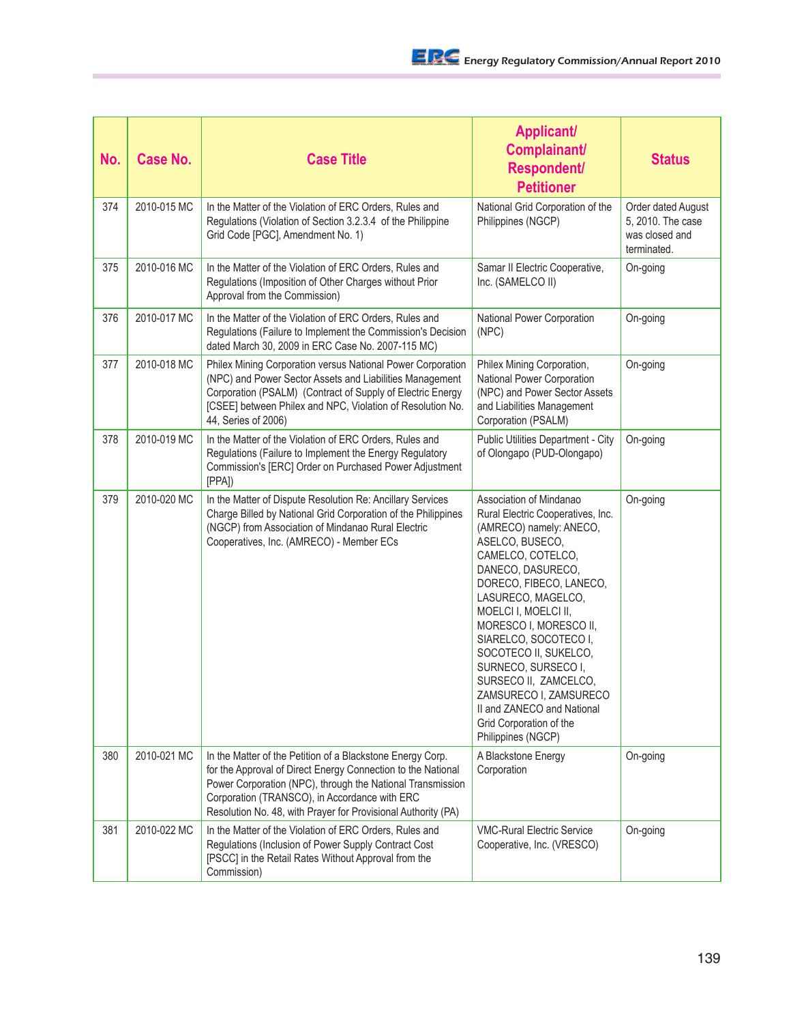| No. | <b>Case No.</b> | <b>Case Title</b>                                                                                                                                                                                                                                                                                          | <b>Applicant/</b><br>Complainant/<br><b>Respondent/</b><br><b>Petitioner</b>                                                                                                                                                                                                                                                                                                                                                                                       | <b>Status</b>                                                            |
|-----|-----------------|------------------------------------------------------------------------------------------------------------------------------------------------------------------------------------------------------------------------------------------------------------------------------------------------------------|--------------------------------------------------------------------------------------------------------------------------------------------------------------------------------------------------------------------------------------------------------------------------------------------------------------------------------------------------------------------------------------------------------------------------------------------------------------------|--------------------------------------------------------------------------|
| 374 | 2010-015 MC     | In the Matter of the Violation of ERC Orders, Rules and<br>Regulations (Violation of Section 3.2.3.4 of the Philippine<br>Grid Code [PGC], Amendment No. 1)                                                                                                                                                | National Grid Corporation of the<br>Philippines (NGCP)                                                                                                                                                                                                                                                                                                                                                                                                             | Order dated August<br>5, 2010. The case<br>was closed and<br>terminated. |
| 375 | 2010-016 MC     | In the Matter of the Violation of ERC Orders, Rules and<br>Regulations (Imposition of Other Charges without Prior<br>Approval from the Commission)                                                                                                                                                         | Samar II Electric Cooperative,<br>Inc. (SAMELCO II)                                                                                                                                                                                                                                                                                                                                                                                                                | On-going                                                                 |
| 376 | 2010-017 MC     | In the Matter of the Violation of ERC Orders, Rules and<br>Regulations (Failure to Implement the Commission's Decision<br>dated March 30, 2009 in ERC Case No. 2007-115 MC)                                                                                                                                | National Power Corporation<br>(NPC)                                                                                                                                                                                                                                                                                                                                                                                                                                | On-going                                                                 |
| 377 | 2010-018 MC     | Philex Mining Corporation versus National Power Corporation<br>(NPC) and Power Sector Assets and Liabilities Management<br>Corporation (PSALM) (Contract of Supply of Electric Energy<br>[CSEE] between Philex and NPC, Violation of Resolution No.<br>44, Series of 2006)                                 | Philex Mining Corporation,<br>National Power Corporation<br>(NPC) and Power Sector Assets<br>and Liabilities Management<br>Corporation (PSALM)                                                                                                                                                                                                                                                                                                                     | On-going                                                                 |
| 378 | 2010-019 MC     | In the Matter of the Violation of ERC Orders, Rules and<br>Regulations (Failure to Implement the Energy Regulatory<br>Commission's [ERC] Order on Purchased Power Adjustment<br>[PPA]                                                                                                                      | Public Utilities Department - City<br>of Olongapo (PUD-Olongapo)                                                                                                                                                                                                                                                                                                                                                                                                   | On-going                                                                 |
| 379 | 2010-020 MC     | In the Matter of Dispute Resolution Re: Ancillary Services<br>Charge Billed by National Grid Corporation of the Philippines<br>(NGCP) from Association of Mindanao Rural Electric<br>Cooperatives, Inc. (AMRECO) - Member ECs                                                                              | Association of Mindanao<br>Rural Electric Cooperatives, Inc.<br>(AMRECO) namely: ANECO,<br>ASELCO, BUSECO,<br>CAMELCO, COTELCO,<br>DANECO, DASURECO,<br>DORECO, FIBECO, LANECO,<br>LASURECO, MAGELCO,<br>MOELCI I, MOELCI II,<br>MORESCO I, MORESCO II,<br>SIARELCO, SOCOTECO I,<br>SOCOTECO II, SUKELCO,<br>SURNECO, SURSECO I,<br>SURSECO II, ZAMCELCO,<br>ZAMSURECO I, ZAMSURECO<br>II and ZANECO and National<br>Grid Corporation of the<br>Philippines (NGCP) | On-going                                                                 |
| 380 | 2010-021 MC     | In the Matter of the Petition of a Blackstone Energy Corp.<br>for the Approval of Direct Energy Connection to the National<br>Power Corporation (NPC), through the National Transmission<br>Corporation (TRANSCO), in Accordance with ERC<br>Resolution No. 48, with Prayer for Provisional Authority (PA) | A Blackstone Energy<br>Corporation                                                                                                                                                                                                                                                                                                                                                                                                                                 | On-going                                                                 |
| 381 | 2010-022 MC     | In the Matter of the Violation of ERC Orders, Rules and<br>Regulations (Inclusion of Power Supply Contract Cost<br>[PSCC] in the Retail Rates Without Approval from the<br>Commission)                                                                                                                     | <b>VMC-Rural Electric Service</b><br>Cooperative, Inc. (VRESCO)                                                                                                                                                                                                                                                                                                                                                                                                    | On-going                                                                 |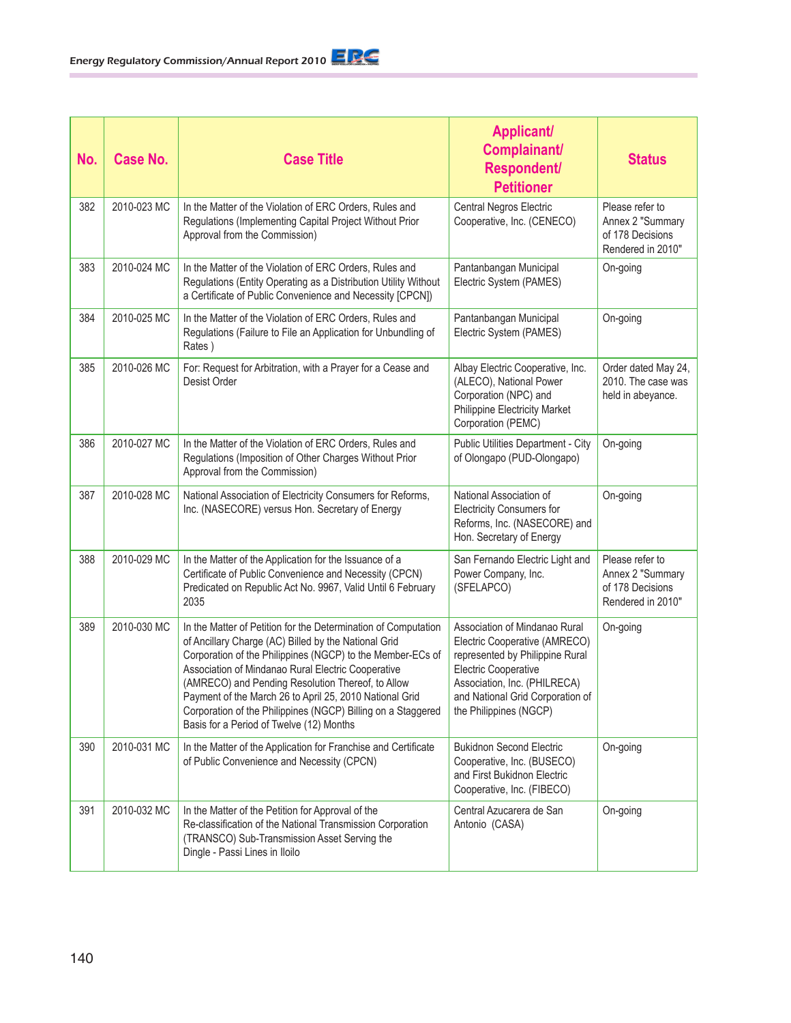| No. | <b>Case No.</b> | <b>Case Title</b>                                                                                                                                                                                                                                                                                                                                                                                                                                                      | <b>Applicant/</b><br>Complainant/<br><b>Respondent/</b><br><b>Petitioner</b>                                                                                                                                                   | <b>Status</b>                                                                |
|-----|-----------------|------------------------------------------------------------------------------------------------------------------------------------------------------------------------------------------------------------------------------------------------------------------------------------------------------------------------------------------------------------------------------------------------------------------------------------------------------------------------|--------------------------------------------------------------------------------------------------------------------------------------------------------------------------------------------------------------------------------|------------------------------------------------------------------------------|
| 382 | 2010-023 MC     | In the Matter of the Violation of ERC Orders, Rules and<br>Regulations (Implementing Capital Project Without Prior<br>Approval from the Commission)                                                                                                                                                                                                                                                                                                                    | Central Negros Electric<br>Cooperative, Inc. (CENECO)                                                                                                                                                                          | Please refer to<br>Annex 2 "Summary<br>of 178 Decisions<br>Rendered in 2010" |
| 383 | 2010-024 MC     | In the Matter of the Violation of ERC Orders, Rules and<br>Regulations (Entity Operating as a Distribution Utility Without<br>a Certificate of Public Convenience and Necessity [CPCN])                                                                                                                                                                                                                                                                                | Pantanbangan Municipal<br>Electric System (PAMES)                                                                                                                                                                              | On-going                                                                     |
| 384 | 2010-025 MC     | In the Matter of the Violation of ERC Orders, Rules and<br>Regulations (Failure to File an Application for Unbundling of<br>Rates)                                                                                                                                                                                                                                                                                                                                     | Pantanbangan Municipal<br>Electric System (PAMES)                                                                                                                                                                              | On-going                                                                     |
| 385 | 2010-026 MC     | For: Request for Arbitration, with a Prayer for a Cease and<br>Desist Order                                                                                                                                                                                                                                                                                                                                                                                            | Albay Electric Cooperative, Inc.<br>(ALECO), National Power<br>Corporation (NPC) and<br><b>Philippine Electricity Market</b><br>Corporation (PEMC)                                                                             | Order dated May 24,<br>2010. The case was<br>held in abeyance.               |
| 386 | 2010-027 MC     | In the Matter of the Violation of ERC Orders, Rules and<br>Regulations (Imposition of Other Charges Without Prior<br>Approval from the Commission)                                                                                                                                                                                                                                                                                                                     | Public Utilities Department - City<br>of Olongapo (PUD-Olongapo)                                                                                                                                                               | On-going                                                                     |
| 387 | 2010-028 MC     | National Association of Electricity Consumers for Reforms,<br>Inc. (NASECORE) versus Hon. Secretary of Energy                                                                                                                                                                                                                                                                                                                                                          | National Association of<br><b>Electricity Consumers for</b><br>Reforms, Inc. (NASECORE) and<br>Hon. Secretary of Energy                                                                                                        | On-going                                                                     |
| 388 | 2010-029 MC     | In the Matter of the Application for the Issuance of a<br>Certificate of Public Convenience and Necessity (CPCN)<br>Predicated on Republic Act No. 9967, Valid Until 6 February<br>2035                                                                                                                                                                                                                                                                                | San Fernando Electric Light and<br>Power Company, Inc.<br>(SFELAPCO)                                                                                                                                                           | Please refer to<br>Annex 2 "Summary<br>of 178 Decisions<br>Rendered in 2010" |
| 389 | 2010-030 MC     | In the Matter of Petition for the Determination of Computation<br>of Ancillary Charge (AC) Billed by the National Grid<br>Corporation of the Philippines (NGCP) to the Member-ECs of<br>Association of Mindanao Rural Electric Cooperative<br>(AMRECO) and Pending Resolution Thereof, to Allow<br>Payment of the March 26 to April 25, 2010 National Grid<br>Corporation of the Philippines (NGCP) Billing on a Staggered<br>Basis for a Period of Twelve (12) Months | Association of Mindanao Rural<br>Electric Cooperative (AMRECO)<br>represented by Philippine Rural<br><b>Electric Cooperative</b><br>Association, Inc. (PHILRECA)<br>and National Grid Corporation of<br>the Philippines (NGCP) | On-going                                                                     |
| 390 | 2010-031 MC     | In the Matter of the Application for Franchise and Certificate<br>of Public Convenience and Necessity (CPCN)                                                                                                                                                                                                                                                                                                                                                           | <b>Bukidnon Second Electric</b><br>Cooperative, Inc. (BUSECO)<br>and First Bukidnon Electric<br>Cooperative, Inc. (FIBECO)                                                                                                     | On-going                                                                     |
| 391 | 2010-032 MC     | In the Matter of the Petition for Approval of the<br>Re-classification of the National Transmission Corporation<br>(TRANSCO) Sub-Transmission Asset Serving the<br>Dingle - Passi Lines in Iloilo                                                                                                                                                                                                                                                                      | Central Azucarera de San<br>Antonio (CASA)                                                                                                                                                                                     | On-going                                                                     |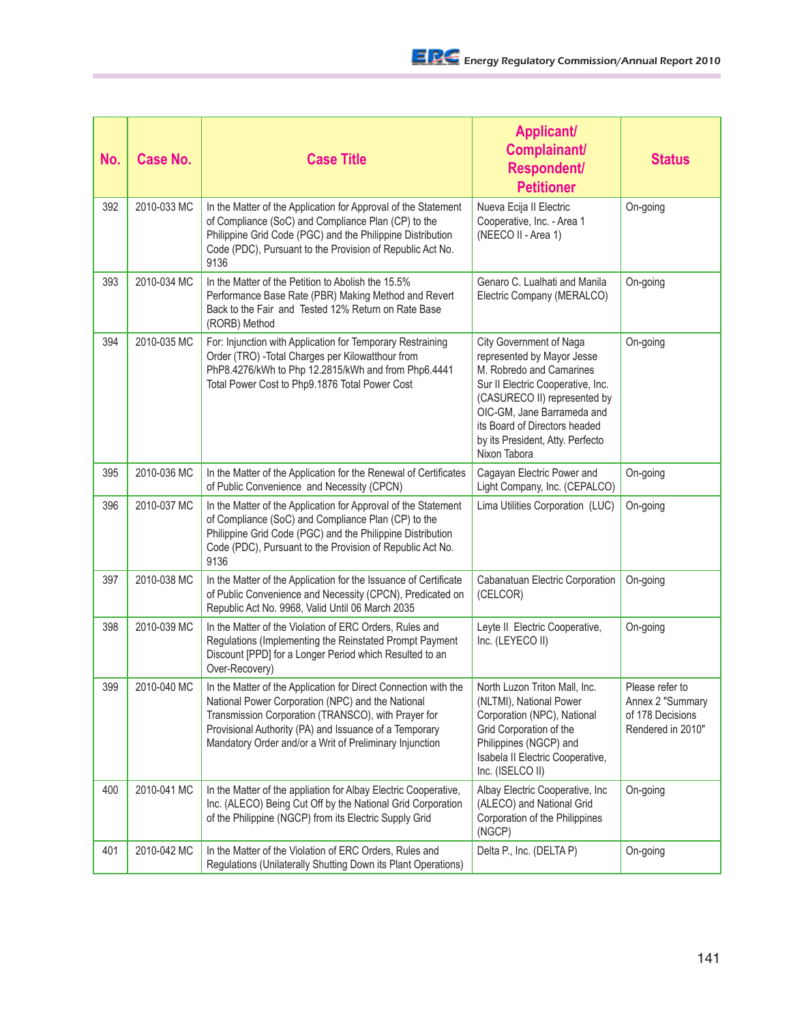| No. | <b>Case No.</b> | <b>Case Title</b>                                                                                                                                                                                                                                                                                | <b>Applicant/</b><br>Complainant/<br><b>Respondent/</b><br><b>Petitioner</b>                                                                                                                                                                                              | <b>Status</b>                                                                |
|-----|-----------------|--------------------------------------------------------------------------------------------------------------------------------------------------------------------------------------------------------------------------------------------------------------------------------------------------|---------------------------------------------------------------------------------------------------------------------------------------------------------------------------------------------------------------------------------------------------------------------------|------------------------------------------------------------------------------|
| 392 | 2010-033 MC     | In the Matter of the Application for Approval of the Statement<br>of Compliance (SoC) and Compliance Plan (CP) to the<br>Philippine Grid Code (PGC) and the Philippine Distribution<br>Code (PDC), Pursuant to the Provision of Republic Act No.<br>9136                                         | Nueva Ecija II Electric<br>Cooperative, Inc. - Area 1<br>(NEECO II - Area 1)                                                                                                                                                                                              | On-going                                                                     |
| 393 | 2010-034 MC     | In the Matter of the Petition to Abolish the 15.5%<br>Performance Base Rate (PBR) Making Method and Revert<br>Back to the Fair and Tested 12% Return on Rate Base<br>(RORB) Method                                                                                                               | Genaro C. Lualhati and Manila<br>Electric Company (MERALCO)                                                                                                                                                                                                               | On-going                                                                     |
| 394 | 2010-035 MC     | For: Injunction with Application for Temporary Restraining<br>Order (TRO) - Total Charges per Kilowatthour from<br>PhP8.4276/kWh to Php 12.2815/kWh and from Php6.4441<br>Total Power Cost to Php9.1876 Total Power Cost                                                                         | City Government of Naga<br>represented by Mayor Jesse<br>M. Robredo and Camarines<br>Sur II Electric Cooperative, Inc.<br>(CASURECO II) represented by<br>OIC-GM, Jane Barrameda and<br>its Board of Directors headed<br>by its President, Atty. Perfecto<br>Nixon Tabora | On-going                                                                     |
| 395 | 2010-036 MC     | In the Matter of the Application for the Renewal of Certificates<br>of Public Convenience and Necessity (CPCN)                                                                                                                                                                                   | Cagayan Electric Power and<br>Light Company, Inc. (CEPALCO)                                                                                                                                                                                                               | On-going                                                                     |
| 396 | 2010-037 MC     | In the Matter of the Application for Approval of the Statement<br>of Compliance (SoC) and Compliance Plan (CP) to the<br>Philippine Grid Code (PGC) and the Philippine Distribution<br>Code (PDC), Pursuant to the Provision of Republic Act No.<br>9136                                         | Lima Utilities Corporation (LUC)                                                                                                                                                                                                                                          | On-going                                                                     |
| 397 | 2010-038 MC     | In the Matter of the Application for the Issuance of Certificate<br>of Public Convenience and Necessity (CPCN), Predicated on<br>Republic Act No. 9968, Valid Until 06 March 2035                                                                                                                | Cabanatuan Electric Corporation<br>(CELCOR)                                                                                                                                                                                                                               | On-going                                                                     |
| 398 | 2010-039 MC     | In the Matter of the Violation of ERC Orders, Rules and<br>Regulations (Implementing the Reinstated Prompt Payment<br>Discount [PPD] for a Longer Period which Resulted to an<br>Over-Recovery)                                                                                                  | Leyte II Electric Cooperative,<br>Inc. (LEYECO II)                                                                                                                                                                                                                        | On-going                                                                     |
| 399 | 2010-040 MC     | In the Matter of the Application for Direct Connection with the<br>National Power Corporation (NPC) and the National<br>Transmission Corporation (TRANSCO), with Prayer for<br>Provisional Authority (PA) and Issuance of a Temporary<br>Mandatory Order and/or a Writ of Preliminary Injunction | North Luzon Triton Mall, Inc.<br>(NLTMI), National Power<br>Corporation (NPC), National<br>Grid Corporation of the<br>Philippines (NGCP) and<br>Isabela II Electric Cooperative,<br>Inc. (ISELCO II)                                                                      | Please refer to<br>Annex 2 "Summary<br>of 178 Decisions<br>Rendered in 2010" |
| 400 | 2010-041 MC     | In the Matter of the appliation for Albay Electric Cooperative,<br>Inc. (ALECO) Being Cut Off by the National Grid Corporation<br>of the Philippine (NGCP) from its Electric Supply Grid                                                                                                         | Albay Electric Cooperative, Inc.<br>(ALECO) and National Grid<br>Corporation of the Philippines<br>(NGCP)                                                                                                                                                                 | On-going                                                                     |
| 401 | 2010-042 MC     | In the Matter of the Violation of ERC Orders, Rules and<br>Regulations (Unilaterally Shutting Down its Plant Operations)                                                                                                                                                                         | Delta P., Inc. (DELTA P)                                                                                                                                                                                                                                                  | On-going                                                                     |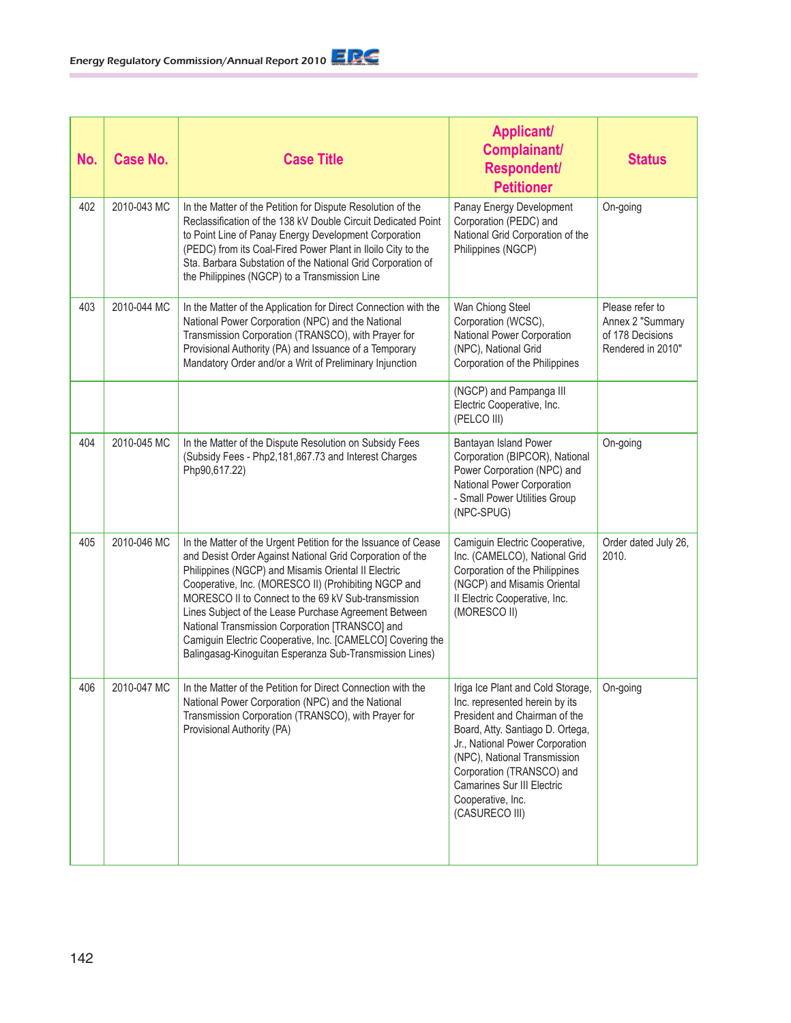| No. | <b>Case No.</b> | <b>Case Title</b>                                                                                                                                                                                                                                                                                                                                                                                                                                                                                                                      | <b>Applicant/</b><br>Complainant/<br><b>Respondent/</b><br><b>Petitioner</b>                                                                                                                                                                                                                                        | <b>Status</b>                                                                |
|-----|-----------------|----------------------------------------------------------------------------------------------------------------------------------------------------------------------------------------------------------------------------------------------------------------------------------------------------------------------------------------------------------------------------------------------------------------------------------------------------------------------------------------------------------------------------------------|---------------------------------------------------------------------------------------------------------------------------------------------------------------------------------------------------------------------------------------------------------------------------------------------------------------------|------------------------------------------------------------------------------|
| 402 | 2010-043 MC     | In the Matter of the Petition for Dispute Resolution of the<br>Reclassification of the 138 kV Double Circuit Dedicated Point<br>to Point Line of Panay Energy Development Corporation<br>(PEDC) from its Coal-Fired Power Plant in Iloilo City to the<br>Sta. Barbara Substation of the National Grid Corporation of<br>the Philippines (NGCP) to a Transmission Line                                                                                                                                                                  | Panay Energy Development<br>Corporation (PEDC) and<br>National Grid Corporation of the<br>Philippines (NGCP)                                                                                                                                                                                                        | On-going                                                                     |
| 403 | 2010-044 MC     | In the Matter of the Application for Direct Connection with the<br>National Power Corporation (NPC) and the National<br>Transmission Corporation (TRANSCO), with Prayer for<br>Provisional Authority (PA) and Issuance of a Temporary<br>Mandatory Order and/or a Writ of Preliminary Injunction                                                                                                                                                                                                                                       | Wan Chiong Steel<br>Corporation (WCSC),<br>National Power Corporation<br>(NPC), National Grid<br>Corporation of the Philippines                                                                                                                                                                                     | Please refer to<br>Annex 2 "Summary<br>of 178 Decisions<br>Rendered in 2010" |
|     |                 |                                                                                                                                                                                                                                                                                                                                                                                                                                                                                                                                        | (NGCP) and Pampanga III<br>Electric Cooperative, Inc.<br>(PELCO III)                                                                                                                                                                                                                                                |                                                                              |
| 404 | 2010-045 MC     | In the Matter of the Dispute Resolution on Subsidy Fees<br>(Subsidy Fees - Php2, 181, 867.73 and Interest Charges<br>Php90,617.22)                                                                                                                                                                                                                                                                                                                                                                                                     | Bantayan Island Power<br>Corporation (BIPCOR), National<br>Power Corporation (NPC) and<br>National Power Corporation<br>- Small Power Utilities Group<br>(NPC-SPUG)                                                                                                                                                 | On-going                                                                     |
| 405 | 2010-046 MC     | In the Matter of the Urgent Petition for the Issuance of Cease<br>and Desist Order Against National Grid Corporation of the<br>Philippines (NGCP) and Misamis Oriental II Electric<br>Cooperative, Inc. (MORESCO II) (Prohibiting NGCP and<br>MORESCO II to Connect to the 69 kV Sub-transmission<br>Lines Subject of the Lease Purchase Agreement Between<br>National Transmission Corporation [TRANSCO] and<br>Camiguin Electric Cooperative, Inc. [CAMELCO] Covering the<br>Balingasag-Kinoguitan Esperanza Sub-Transmission Lines) | Camiguin Electric Cooperative,<br>Inc. (CAMELCO), National Grid<br>Corporation of the Philippines<br>(NGCP) and Misamis Oriental<br>Il Electric Cooperative, Inc.<br>(MORESCO II)                                                                                                                                   | Order dated July 26,<br>2010.                                                |
| 406 | 2010-047 MC     | In the Matter of the Petition for Direct Connection with the<br>National Power Corporation (NPC) and the National<br>Transmission Corporation (TRANSCO), with Prayer for<br>Provisional Authority (PA)                                                                                                                                                                                                                                                                                                                                 | Iriga Ice Plant and Cold Storage<br>Inc. represented herein by its<br>President and Chairman of the<br>Board, Atty. Santiago D. Ortega,<br>Jr., National Power Corporation<br>(NPC), National Transmission<br>Corporation (TRANSCO) and<br><b>Camarines Sur III Electric</b><br>Cooperative, Inc.<br>(CASURECO III) | On-going                                                                     |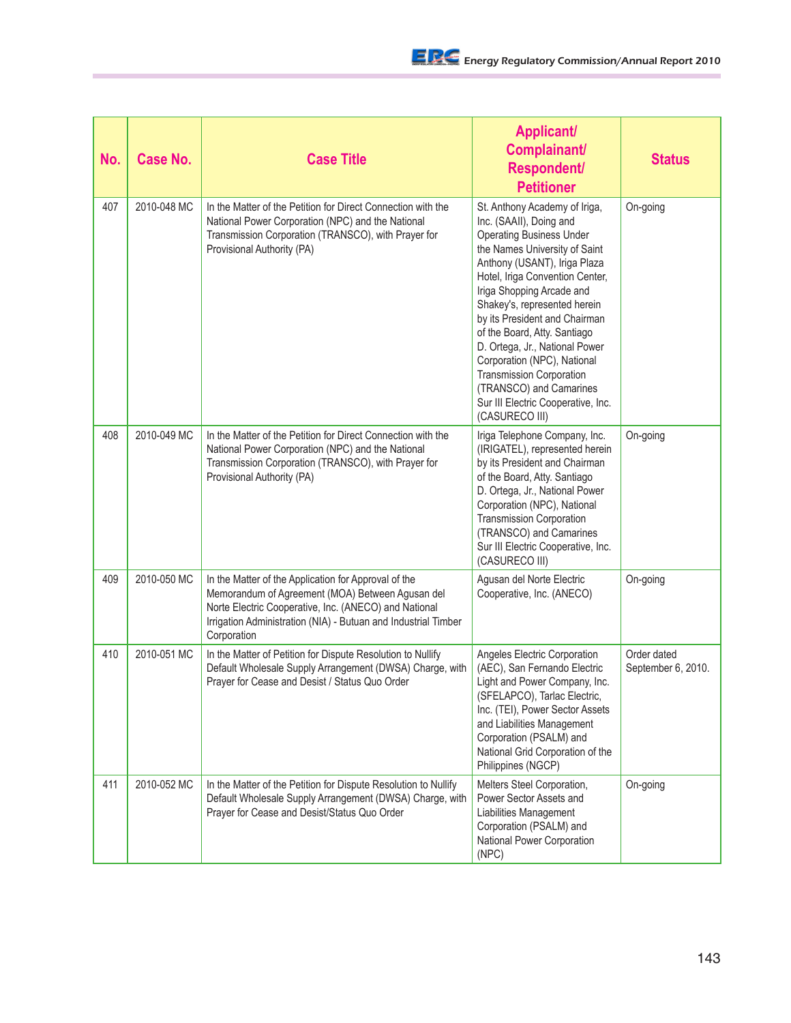| No. | <b>Case No.</b> | <b>Case Title</b>                                                                                                                                                                                                                                  | <b>Applicant/</b><br>Complainant/<br><b>Respondent/</b><br><b>Petitioner</b>                                                                                                                                                                                                                                                                                                                                                                                                                                         | <b>Status</b>                     |
|-----|-----------------|----------------------------------------------------------------------------------------------------------------------------------------------------------------------------------------------------------------------------------------------------|----------------------------------------------------------------------------------------------------------------------------------------------------------------------------------------------------------------------------------------------------------------------------------------------------------------------------------------------------------------------------------------------------------------------------------------------------------------------------------------------------------------------|-----------------------------------|
| 407 | 2010-048 MC     | In the Matter of the Petition for Direct Connection with the<br>National Power Corporation (NPC) and the National<br>Transmission Corporation (TRANSCO), with Prayer for<br>Provisional Authority (PA)                                             | St. Anthony Academy of Iriga,<br>Inc. (SAAII), Doing and<br><b>Operating Business Under</b><br>the Names University of Saint<br>Anthony (USANT), Iriga Plaza<br>Hotel, Iriga Convention Center,<br>Iriga Shopping Arcade and<br>Shakey's, represented herein<br>by its President and Chairman<br>of the Board, Atty. Santiago<br>D. Ortega, Jr., National Power<br>Corporation (NPC), National<br><b>Transmission Corporation</b><br>(TRANSCO) and Camarines<br>Sur III Electric Cooperative, Inc.<br>(CASURECO III) | On-going                          |
| 408 | 2010-049 MC     | In the Matter of the Petition for Direct Connection with the<br>National Power Corporation (NPC) and the National<br>Transmission Corporation (TRANSCO), with Prayer for<br>Provisional Authority (PA)                                             | Iriga Telephone Company, Inc.<br>(IRIGATEL), represented herein<br>by its President and Chairman<br>of the Board, Atty. Santiago<br>D. Ortega, Jr., National Power<br>Corporation (NPC), National<br><b>Transmission Corporation</b><br>(TRANSCO) and Camarines<br>Sur III Electric Cooperative, Inc.<br>(CASURECO III)                                                                                                                                                                                              | On-going                          |
| 409 | 2010-050 MC     | In the Matter of the Application for Approval of the<br>Memorandum of Agreement (MOA) Between Agusan del<br>Norte Electric Cooperative, Inc. (ANECO) and National<br>Irrigation Administration (NIA) - Butuan and Industrial Timber<br>Corporation | Agusan del Norte Electric<br>Cooperative, Inc. (ANECO)                                                                                                                                                                                                                                                                                                                                                                                                                                                               | On-going                          |
| 410 | 2010-051 MC     | In the Matter of Petition for Dispute Resolution to Nullify<br>Default Wholesale Supply Arrangement (DWSA) Charge, with<br>Prayer for Cease and Desist / Status Quo Order                                                                          | Angeles Electric Corporation<br>(AEC), San Fernando Electric<br>Light and Power Company, Inc.<br>(SFELAPCO), Tarlac Electric,<br>Inc. (TEI), Power Sector Assets<br>and Liabilities Management<br>Corporation (PSALM) and<br>National Grid Corporation of the<br>Philippines (NGCP)                                                                                                                                                                                                                                  | Order dated<br>September 6, 2010. |
| 411 | 2010-052 MC     | In the Matter of the Petition for Dispute Resolution to Nullify<br>Default Wholesale Supply Arrangement (DWSA) Charge, with<br>Prayer for Cease and Desist/Status Quo Order                                                                        | Melters Steel Corporation,<br>Power Sector Assets and<br><b>Liabilities Management</b><br>Corporation (PSALM) and<br>National Power Corporation<br>(NPC)                                                                                                                                                                                                                                                                                                                                                             | On-going                          |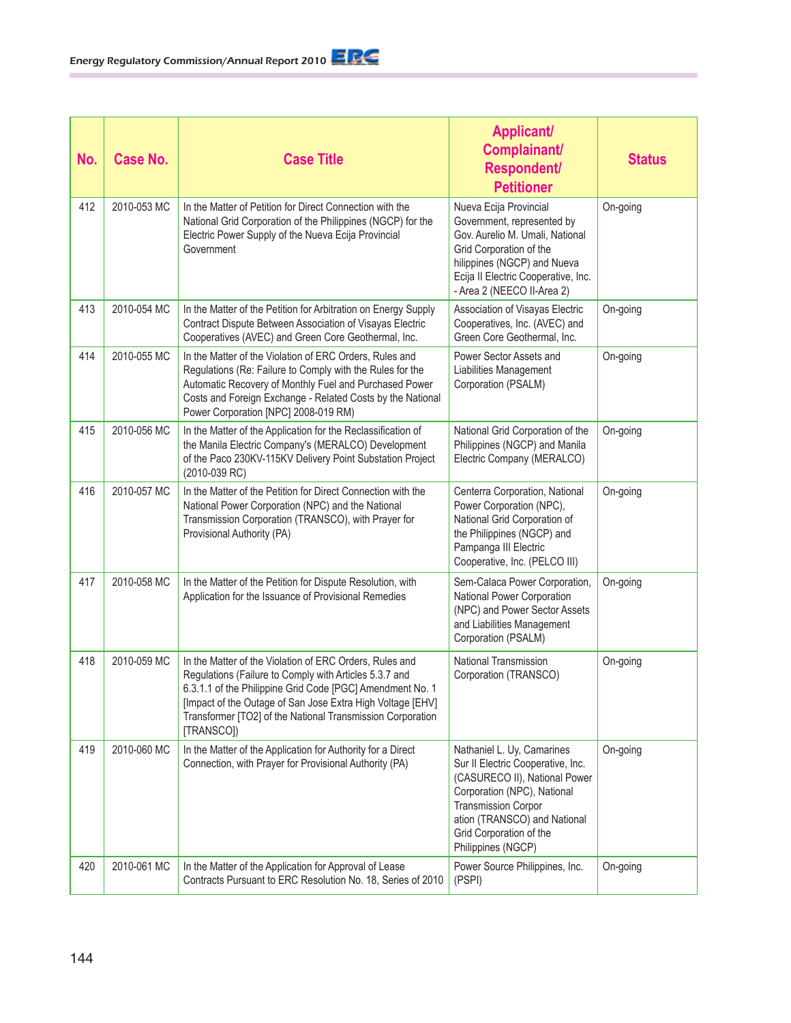| No. | <b>Case No.</b> | <b>Case Title</b>                                                                                                                                                                                                                                                                                                        | <b>Applicant/</b><br>Complainant/<br><b>Respondent/</b><br><b>Petitioner</b>                                                                                                                                                                   | <b>Status</b> |
|-----|-----------------|--------------------------------------------------------------------------------------------------------------------------------------------------------------------------------------------------------------------------------------------------------------------------------------------------------------------------|------------------------------------------------------------------------------------------------------------------------------------------------------------------------------------------------------------------------------------------------|---------------|
| 412 | 2010-053 MC     | In the Matter of Petition for Direct Connection with the<br>National Grid Corporation of the Philippines (NGCP) for the<br>Electric Power Supply of the Nueva Ecija Provincial<br>Government                                                                                                                             | Nueva Ecija Provincial<br>Government, represented by<br>Gov. Aurelio M. Umali, National<br>Grid Corporation of the<br>hilippines (NGCP) and Nueva<br>Ecija II Electric Cooperative, Inc.<br>- Area 2 (NEECO II-Area 2)                         | On-going      |
| 413 | 2010-054 MC     | In the Matter of the Petition for Arbitration on Energy Supply<br>Contract Dispute Between Association of Visayas Electric<br>Cooperatives (AVEC) and Green Core Geothermal, Inc.                                                                                                                                        | Association of Visayas Electric<br>Cooperatives, Inc. (AVEC) and<br>Green Core Geothermal, Inc.                                                                                                                                                | On-going      |
| 414 | 2010-055 MC     | In the Matter of the Violation of ERC Orders, Rules and<br>Regulations (Re: Failure to Comply with the Rules for the<br>Automatic Recovery of Monthly Fuel and Purchased Power<br>Costs and Foreign Exchange - Related Costs by the National<br>Power Corporation [NPC] 2008-019 RM)                                     | Power Sector Assets and<br>Liabilities Management<br>Corporation (PSALM)                                                                                                                                                                       | On-going      |
| 415 | 2010-056 MC     | In the Matter of the Application for the Reclassification of<br>the Manila Electric Company's (MERALCO) Development<br>of the Paco 230KV-115KV Delivery Point Substation Project<br>(2010-039 RC)                                                                                                                        | National Grid Corporation of the<br>Philippines (NGCP) and Manila<br>Electric Company (MERALCO)                                                                                                                                                | On-going      |
| 416 | 2010-057 MC     | In the Matter of the Petition for Direct Connection with the<br>National Power Corporation (NPC) and the National<br>Transmission Corporation (TRANSCO), with Prayer for<br>Provisional Authority (PA)                                                                                                                   | Centerra Corporation, National<br>Power Corporation (NPC),<br>National Grid Corporation of<br>the Philippines (NGCP) and<br>Pampanga III Electric<br>Cooperative, Inc. (PELCO III)                                                             | On-going      |
| 417 | 2010-058 MC     | In the Matter of the Petition for Dispute Resolution, with<br>Application for the Issuance of Provisional Remedies                                                                                                                                                                                                       | Sem-Calaca Power Corporation,<br>National Power Corporation<br>(NPC) and Power Sector Assets<br>and Liabilities Management<br>Corporation (PSALM)                                                                                              | On-going      |
| 418 | 2010-059 MC     | In the Matter of the Violation of ERC Orders, Rules and<br>Regulations (Failure to Comply with Articles 5.3.7 and<br>6.3.1.1 of the Philippine Grid Code [PGC] Amendment No. 1<br>[Impact of the Outage of San Jose Extra High Voltage [EHV]<br>Transformer [TO2] of the National Transmission Corporation<br>[TRANSCO]) | National Transmission<br>Corporation (TRANSCO)                                                                                                                                                                                                 | On-going      |
| 419 | 2010-060 MC     | In the Matter of the Application for Authority for a Direct<br>Connection, with Prayer for Provisional Authority (PA)                                                                                                                                                                                                    | Nathaniel L. Uy, Camarines<br>Sur II Electric Cooperative, Inc.<br>(CASURECO II), National Power<br>Corporation (NPC), National<br><b>Transmission Corpor</b><br>ation (TRANSCO) and National<br>Grid Corporation of the<br>Philippines (NGCP) | On-going      |
| 420 | 2010-061 MC     | In the Matter of the Application for Approval of Lease<br>Contracts Pursuant to ERC Resolution No. 18, Series of 2010                                                                                                                                                                                                    | Power Source Philippines, Inc.<br>(PSPI)                                                                                                                                                                                                       | On-going      |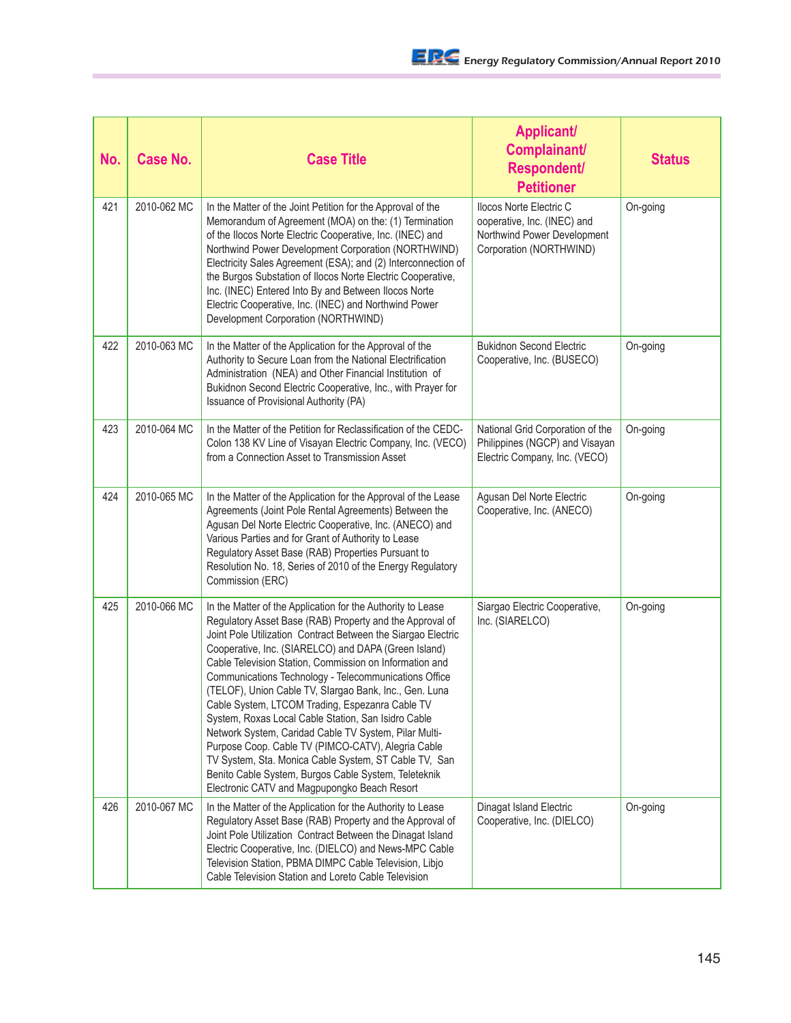| No. | Case No.    | <b>Case Title</b>                                                                                                                                                                                                                                                                                                                                                                                                                                                                                                                                                                                                                                                                                                                                                                                                       | <b>Applicant/</b><br>Complainant/<br><b>Respondent/</b><br><b>Petitioner</b>                                     | <b>Status</b> |
|-----|-------------|-------------------------------------------------------------------------------------------------------------------------------------------------------------------------------------------------------------------------------------------------------------------------------------------------------------------------------------------------------------------------------------------------------------------------------------------------------------------------------------------------------------------------------------------------------------------------------------------------------------------------------------------------------------------------------------------------------------------------------------------------------------------------------------------------------------------------|------------------------------------------------------------------------------------------------------------------|---------------|
| 421 | 2010-062 MC | In the Matter of the Joint Petition for the Approval of the<br>Memorandum of Agreement (MOA) on the: (1) Termination<br>of the Ilocos Norte Electric Cooperative, Inc. (INEC) and<br>Northwind Power Development Corporation (NORTHWIND)<br>Electricity Sales Agreement (ESA); and (2) Interconnection of<br>the Burgos Substation of Ilocos Norte Electric Cooperative,<br>Inc. (INEC) Entered Into By and Between Ilocos Norte<br>Electric Cooperative, Inc. (INEC) and Northwind Power<br>Development Corporation (NORTHWIND)                                                                                                                                                                                                                                                                                        | Ilocos Norte Electric C<br>ooperative, Inc. (INEC) and<br>Northwind Power Development<br>Corporation (NORTHWIND) | On-going      |
| 422 | 2010-063 MC | In the Matter of the Application for the Approval of the<br>Authority to Secure Loan from the National Electrification<br>Administration (NEA) and Other Financial Institution of<br>Bukidnon Second Electric Cooperative, Inc., with Prayer for<br>Issuance of Provisional Authority (PA)                                                                                                                                                                                                                                                                                                                                                                                                                                                                                                                              | <b>Bukidnon Second Electric</b><br>Cooperative, Inc. (BUSECO)                                                    | On-going      |
| 423 | 2010-064 MC | In the Matter of the Petition for Reclassification of the CEDC-<br>Colon 138 KV Line of Visayan Electric Company, Inc. (VECO)<br>from a Connection Asset to Transmission Asset                                                                                                                                                                                                                                                                                                                                                                                                                                                                                                                                                                                                                                          | National Grid Corporation of the<br>Philippines (NGCP) and Visayan<br>Electric Company, Inc. (VECO)              | On-going      |
| 424 | 2010-065 MC | In the Matter of the Application for the Approval of the Lease<br>Agreements (Joint Pole Rental Agreements) Between the<br>Agusan Del Norte Electric Cooperative, Inc. (ANECO) and<br>Various Parties and for Grant of Authority to Lease<br>Regulatory Asset Base (RAB) Properties Pursuant to<br>Resolution No. 18, Series of 2010 of the Energy Regulatory<br>Commission (ERC)                                                                                                                                                                                                                                                                                                                                                                                                                                       | Agusan Del Norte Electric<br>Cooperative, Inc. (ANECO)                                                           | On-going      |
| 425 | 2010-066 MC | In the Matter of the Application for the Authority to Lease<br>Regulatory Asset Base (RAB) Property and the Approval of<br>Joint Pole Utilization Contract Between the Siargao Electric<br>Cooperative, Inc. (SIARELCO) and DAPA (Green Island)<br>Cable Television Station, Commission on Information and<br>Communications Technology - Telecommunications Office<br>(TELOF), Union Cable TV, Slargao Bank, Inc., Gen. Luna<br>Cable System, LTCOM Trading, Espezanra Cable TV<br>System, Roxas Local Cable Station, San Isidro Cable<br>Network System, Caridad Cable TV System, Pilar Multi-<br>Purpose Coop. Cable TV (PIMCO-CATV), Alegria Cable<br>TV System, Sta. Monica Cable System, ST Cable TV, San<br>Benito Cable System, Burgos Cable System, Teleteknik<br>Electronic CATV and Magpupongko Beach Resort | Siargao Electric Cooperative,<br>Inc. (SIARELCO)                                                                 | On-going      |
| 426 | 2010-067 MC | In the Matter of the Application for the Authority to Lease<br>Regulatory Asset Base (RAB) Property and the Approval of<br>Joint Pole Utilization Contract Between the Dinagat Island<br>Electric Cooperative, Inc. (DIELCO) and News-MPC Cable<br>Television Station, PBMA DIMPC Cable Television, Libjo<br>Cable Television Station and Loreto Cable Television                                                                                                                                                                                                                                                                                                                                                                                                                                                       | Dinagat Island Electric<br>Cooperative, Inc. (DIELCO)                                                            | On-going      |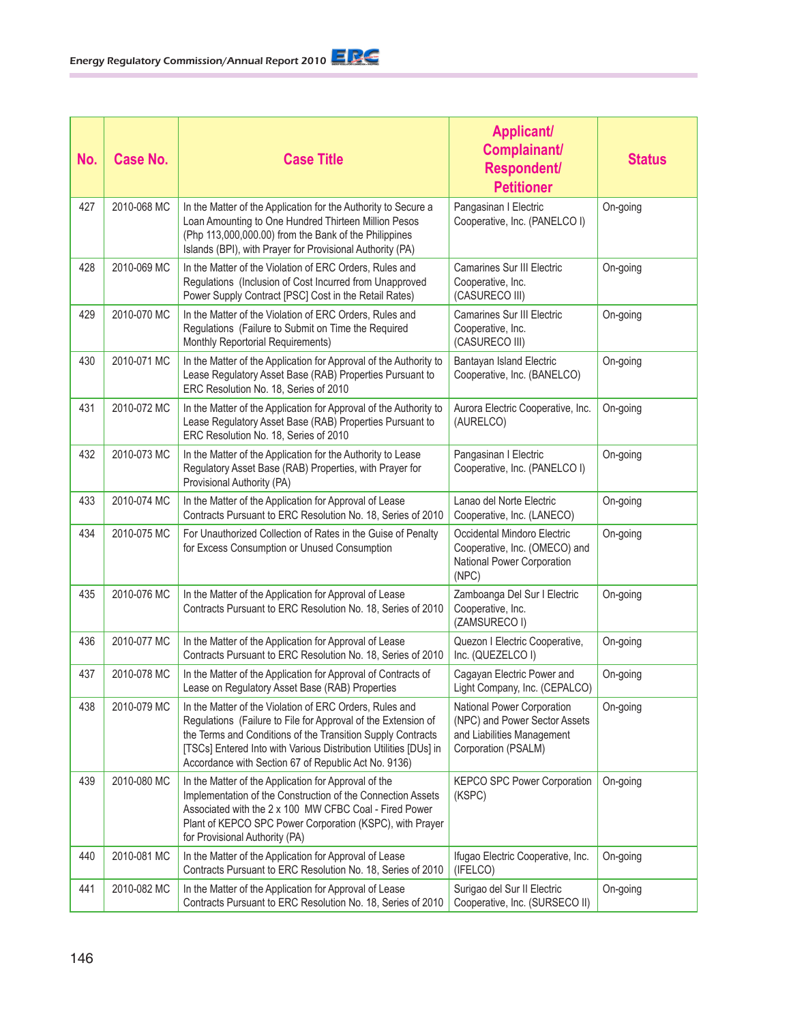| No. | <b>Case No.</b> | <b>Case Title</b>                                                                                                                                                                                                                                                                                                   | <b>Applicant/</b><br>Complainant/<br><b>Respondent/</b><br><b>Petitioner</b>                                     | <b>Status</b> |
|-----|-----------------|---------------------------------------------------------------------------------------------------------------------------------------------------------------------------------------------------------------------------------------------------------------------------------------------------------------------|------------------------------------------------------------------------------------------------------------------|---------------|
| 427 | 2010-068 MC     | In the Matter of the Application for the Authority to Secure a<br>Loan Amounting to One Hundred Thirteen Million Pesos<br>(Php 113,000,000.00) from the Bank of the Philippines<br>Islands (BPI), with Prayer for Provisional Authority (PA)                                                                        | Pangasinan I Electric<br>Cooperative, Inc. (PANELCO I)                                                           | On-going      |
| 428 | 2010-069 MC     | In the Matter of the Violation of ERC Orders, Rules and<br>Regulations (Inclusion of Cost Incurred from Unapproved<br>Power Supply Contract [PSC] Cost in the Retail Rates)                                                                                                                                         | <b>Camarines Sur III Electric</b><br>Cooperative, Inc.<br>(CASURECO III)                                         | On-going      |
| 429 | 2010-070 MC     | In the Matter of the Violation of ERC Orders, Rules and<br>Regulations (Failure to Submit on Time the Required<br>Monthly Reportorial Requirements)                                                                                                                                                                 | <b>Camarines Sur III Electric</b><br>Cooperative, Inc.<br>(CASURECO III)                                         | On-going      |
| 430 | 2010-071 MC     | In the Matter of the Application for Approval of the Authority to<br>Lease Regulatory Asset Base (RAB) Properties Pursuant to<br>ERC Resolution No. 18, Series of 2010                                                                                                                                              | Bantayan Island Electric<br>Cooperative, Inc. (BANELCO)                                                          | On-going      |
| 431 | 2010-072 MC     | In the Matter of the Application for Approval of the Authority to<br>Lease Regulatory Asset Base (RAB) Properties Pursuant to<br>ERC Resolution No. 18, Series of 2010                                                                                                                                              | Aurora Electric Cooperative, Inc.<br>(AURELCO)                                                                   | On-going      |
| 432 | 2010-073 MC     | In the Matter of the Application for the Authority to Lease<br>Regulatory Asset Base (RAB) Properties, with Prayer for<br>Provisional Authority (PA)                                                                                                                                                                | Pangasinan I Electric<br>Cooperative, Inc. (PANELCO I)                                                           | On-going      |
| 433 | 2010-074 MC     | In the Matter of the Application for Approval of Lease<br>Contracts Pursuant to ERC Resolution No. 18, Series of 2010                                                                                                                                                                                               | Lanao del Norte Electric<br>Cooperative, Inc. (LANECO)                                                           | On-going      |
| 434 | 2010-075 MC     | For Unauthorized Collection of Rates in the Guise of Penalty<br>for Excess Consumption or Unused Consumption                                                                                                                                                                                                        | Occidental Mindoro Electric<br>Cooperative, Inc. (OMECO) and<br>National Power Corporation<br>(NPC)              | On-going      |
| 435 | 2010-076 MC     | In the Matter of the Application for Approval of Lease<br>Contracts Pursuant to ERC Resolution No. 18, Series of 2010                                                                                                                                                                                               | Zamboanga Del Sur I Electric<br>Cooperative, Inc.<br>(ZAMSURECO I)                                               | On-going      |
| 436 | 2010-077 MC     | In the Matter of the Application for Approval of Lease<br>Contracts Pursuant to ERC Resolution No. 18, Series of 2010                                                                                                                                                                                               | Quezon I Electric Cooperative,<br>Inc. (QUEZELCO I)                                                              | On-going      |
| 437 | 2010-078 MC     | In the Matter of the Application for Approval of Contracts of<br>Lease on Regulatory Asset Base (RAB) Properties                                                                                                                                                                                                    | Cagayan Electric Power and<br>Light Company, Inc. (CEPALCO)                                                      | On-going      |
| 438 | 2010-079 MC     | In the Matter of the Violation of ERC Orders, Rules and<br>Regulations (Failure to File for Approval of the Extension of<br>the Terms and Conditions of the Transition Supply Contracts<br>[TSCs] Entered Into with Various Distribution Utilities [DUs] in<br>Accordance with Section 67 of Republic Act No. 9136) | National Power Corporation<br>(NPC) and Power Sector Assets<br>and Liabilities Management<br>Corporation (PSALM) | On-going      |
| 439 | 2010-080 MC     | In the Matter of the Application for Approval of the<br>Implementation of the Construction of the Connection Assets<br>Associated with the 2 x 100 MW CFBC Coal - Fired Power<br>Plant of KEPCO SPC Power Corporation (KSPC), with Prayer<br>for Provisional Authority (PA)                                         | <b>KEPCO SPC Power Corporation</b><br>(KSPC)                                                                     | On-going      |
| 440 | 2010-081 MC     | In the Matter of the Application for Approval of Lease<br>Contracts Pursuant to ERC Resolution No. 18, Series of 2010                                                                                                                                                                                               | Ifugao Electric Cooperative, Inc.<br>(IFELCO)                                                                    | On-going      |
| 441 | 2010-082 MC     | In the Matter of the Application for Approval of Lease<br>Contracts Pursuant to ERC Resolution No. 18, Series of 2010                                                                                                                                                                                               | Surigao del Sur II Electric<br>Cooperative, Inc. (SURSECO II)                                                    | On-going      |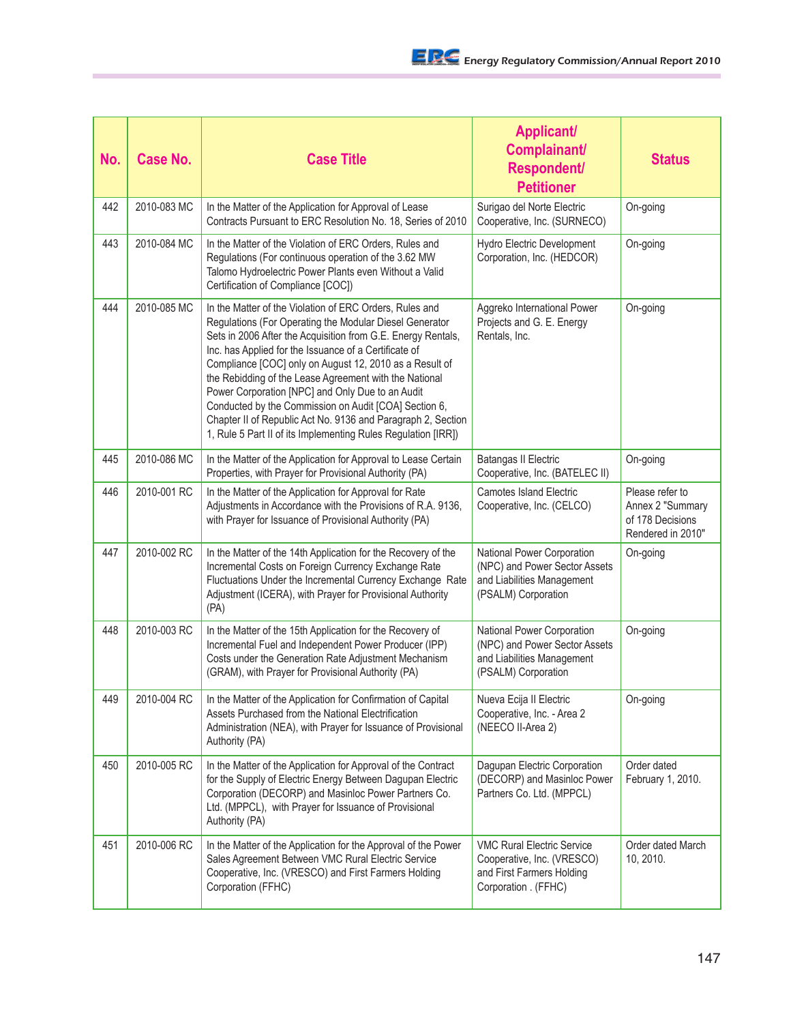| No. | <b>Case No.</b> | <b>Case Title</b>                                                                                                                                                                                                                                                                                                                                                                                                                                                                                                                                                                                              | <b>Applicant/</b><br>Complainant/<br>Respondent/<br><b>Petitioner</b>                                                | <b>Status</b>                                                                |
|-----|-----------------|----------------------------------------------------------------------------------------------------------------------------------------------------------------------------------------------------------------------------------------------------------------------------------------------------------------------------------------------------------------------------------------------------------------------------------------------------------------------------------------------------------------------------------------------------------------------------------------------------------------|----------------------------------------------------------------------------------------------------------------------|------------------------------------------------------------------------------|
| 442 | 2010-083 MC     | In the Matter of the Application for Approval of Lease<br>Contracts Pursuant to ERC Resolution No. 18, Series of 2010                                                                                                                                                                                                                                                                                                                                                                                                                                                                                          | Surigao del Norte Electric<br>Cooperative, Inc. (SURNECO)                                                            | On-going                                                                     |
| 443 | 2010-084 MC     | In the Matter of the Violation of ERC Orders, Rules and<br>Regulations (For continuous operation of the 3.62 MW<br>Talomo Hydroelectric Power Plants even Without a Valid<br>Certification of Compliance [COC])                                                                                                                                                                                                                                                                                                                                                                                                | Hydro Electric Development<br>Corporation, Inc. (HEDCOR)                                                             | On-going                                                                     |
| 444 | 2010-085 MC     | In the Matter of the Violation of ERC Orders, Rules and<br>Regulations (For Operating the Modular Diesel Generator<br>Sets in 2006 After the Acquisition from G.E. Energy Rentals,<br>Inc. has Applied for the Issuance of a Certificate of<br>Compliance [COC] only on August 12, 2010 as a Result of<br>the Rebidding of the Lease Agreement with the National<br>Power Corporation [NPC] and Only Due to an Audit<br>Conducted by the Commission on Audit [COA] Section 6,<br>Chapter II of Republic Act No. 9136 and Paragraph 2, Section<br>1, Rule 5 Part II of its Implementing Rules Regulation [IRR]) | Aggreko International Power<br>Projects and G. E. Energy<br>Rentals, Inc.                                            | On-going                                                                     |
| 445 | 2010-086 MC     | In the Matter of the Application for Approval to Lease Certain<br>Properties, with Prayer for Provisional Authority (PA)                                                                                                                                                                                                                                                                                                                                                                                                                                                                                       | <b>Batangas II Electric</b><br>Cooperative, Inc. (BATELEC II)                                                        | On-going                                                                     |
| 446 | 2010-001 RC     | In the Matter of the Application for Approval for Rate<br>Adjustments in Accordance with the Provisions of R.A. 9136,<br>with Prayer for Issuance of Provisional Authority (PA)                                                                                                                                                                                                                                                                                                                                                                                                                                | <b>Camotes Island Electric</b><br>Cooperative, Inc. (CELCO)                                                          | Please refer to<br>Annex 2 "Summary<br>of 178 Decisions<br>Rendered in 2010" |
| 447 | 2010-002 RC     | In the Matter of the 14th Application for the Recovery of the<br>Incremental Costs on Foreign Currency Exchange Rate<br>Fluctuations Under the Incremental Currency Exchange Rate<br>Adjustment (ICERA), with Prayer for Provisional Authority<br>(PA)                                                                                                                                                                                                                                                                                                                                                         | National Power Corporation<br>(NPC) and Power Sector Assets<br>and Liabilities Management<br>(PSALM) Corporation     | On-going                                                                     |
| 448 | 2010-003 RC     | In the Matter of the 15th Application for the Recovery of<br>Incremental Fuel and Independent Power Producer (IPP)<br>Costs under the Generation Rate Adjustment Mechanism<br>(GRAM), with Prayer for Provisional Authority (PA)                                                                                                                                                                                                                                                                                                                                                                               | National Power Corporation<br>(NPC) and Power Sector Assets<br>and Liabilities Management<br>(PSALM) Corporation     | On-going                                                                     |
| 449 | 2010-004 RC     | In the Matter of the Application for Confirmation of Capital<br>Assets Purchased from the National Electrification<br>Administration (NEA), with Prayer for Issuance of Provisional<br>Authority (PA)                                                                                                                                                                                                                                                                                                                                                                                                          | Nueva Ecija II Electric<br>Cooperative, Inc. - Area 2<br>(NEECO II-Area 2)                                           | On-going                                                                     |
| 450 | 2010-005 RC     | In the Matter of the Application for Approval of the Contract<br>for the Supply of Electric Energy Between Dagupan Electric<br>Corporation (DECORP) and Masinloc Power Partners Co.<br>Ltd. (MPPCL), with Prayer for Issuance of Provisional<br>Authority (PA)                                                                                                                                                                                                                                                                                                                                                 | Dagupan Electric Corporation<br>(DECORP) and Masinloc Power<br>Partners Co. Ltd. (MPPCL)                             | Order dated<br>February 1, 2010.                                             |
| 451 | 2010-006 RC     | In the Matter of the Application for the Approval of the Power<br>Sales Agreement Between VMC Rural Electric Service<br>Cooperative, Inc. (VRESCO) and First Farmers Holding<br>Corporation (FFHC)                                                                                                                                                                                                                                                                                                                                                                                                             | <b>VMC Rural Electric Service</b><br>Cooperative, Inc. (VRESCO)<br>and First Farmers Holding<br>Corporation . (FFHC) | Order dated March<br>10, 2010.                                               |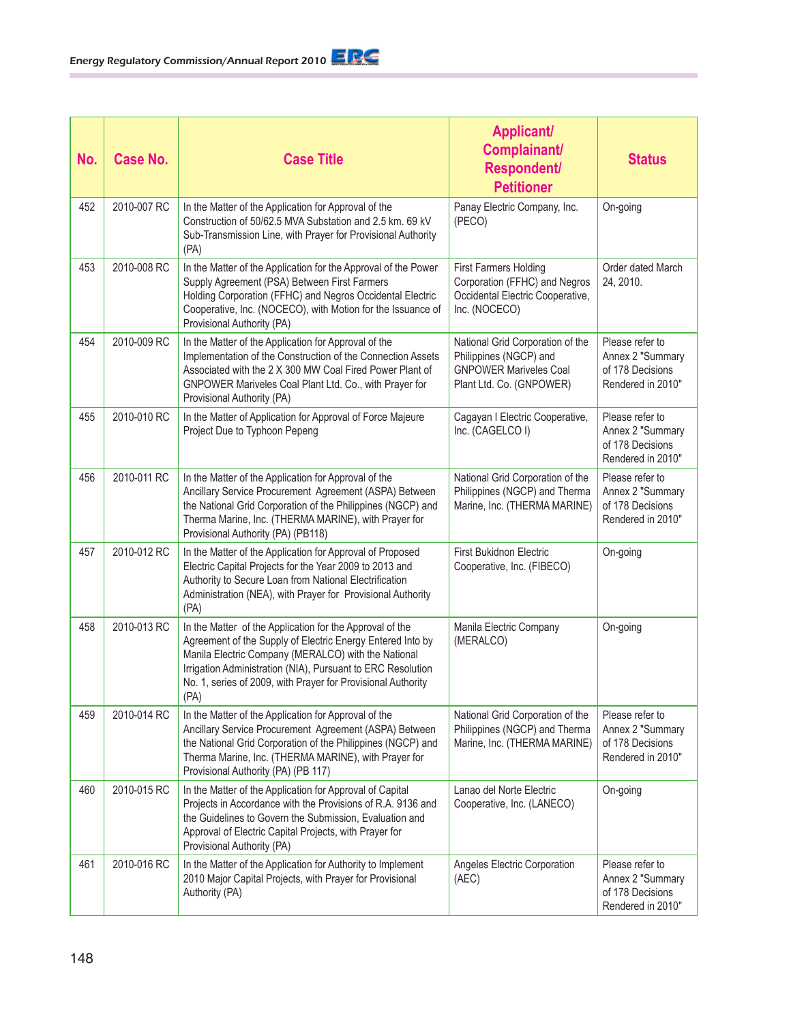| No. | <b>Case No.</b> | <b>Case Title</b>                                                                                                                                                                                                                                                                                                    | <b>Applicant/</b><br><b>Complainant/</b><br><b>Respondent/</b><br><b>Petitioner</b>                                     | <b>Status</b>                                                                |
|-----|-----------------|----------------------------------------------------------------------------------------------------------------------------------------------------------------------------------------------------------------------------------------------------------------------------------------------------------------------|-------------------------------------------------------------------------------------------------------------------------|------------------------------------------------------------------------------|
| 452 | 2010-007 RC     | In the Matter of the Application for Approval of the<br>Construction of 50/62.5 MVA Substation and 2.5 km. 69 kV<br>Sub-Transmission Line, with Prayer for Provisional Authority<br>(PA)                                                                                                                             | Panay Electric Company, Inc.<br>(PECO)                                                                                  | On-going                                                                     |
| 453 | 2010-008 RC     | In the Matter of the Application for the Approval of the Power<br>Supply Agreement (PSA) Between First Farmers<br>Holding Corporation (FFHC) and Negros Occidental Electric<br>Cooperative, Inc. (NOCECO), with Motion for the Issuance of<br>Provisional Authority (PA)                                             | <b>First Farmers Holding</b><br>Corporation (FFHC) and Negros<br>Occidental Electric Cooperative,<br>Inc. (NOCECO)      | Order dated March<br>24, 2010.                                               |
| 454 | 2010-009 RC     | In the Matter of the Application for Approval of the<br>Implementation of the Construction of the Connection Assets<br>Associated with the 2 X 300 MW Coal Fired Power Plant of<br>GNPOWER Mariveles Coal Plant Ltd. Co., with Prayer for<br>Provisional Authority (PA)                                              | National Grid Corporation of the<br>Philippines (NGCP) and<br><b>GNPOWER Mariveles Coal</b><br>Plant Ltd. Co. (GNPOWER) | Please refer to<br>Annex 2 "Summary<br>of 178 Decisions<br>Rendered in 2010" |
| 455 | 2010-010 RC     | In the Matter of Application for Approval of Force Majeure<br>Project Due to Typhoon Pepeng                                                                                                                                                                                                                          | Cagayan I Electric Cooperative,<br>Inc. (CAGELCO I)                                                                     | Please refer to<br>Annex 2 "Summary<br>of 178 Decisions<br>Rendered in 2010" |
| 456 | 2010-011 RC     | In the Matter of the Application for Approval of the<br>Ancillary Service Procurement Agreement (ASPA) Between<br>the National Grid Corporation of the Philippines (NGCP) and<br>Therma Marine, Inc. (THERMA MARINE), with Prayer for<br>Provisional Authority (PA) (PB118)                                          | National Grid Corporation of the<br>Philippines (NGCP) and Therma<br>Marine, Inc. (THERMA MARINE)                       | Please refer to<br>Annex 2 "Summary<br>of 178 Decisions<br>Rendered in 2010" |
| 457 | 2010-012 RC     | In the Matter of the Application for Approval of Proposed<br>Electric Capital Projects for the Year 2009 to 2013 and<br>Authority to Secure Loan from National Electrification<br>Administration (NEA), with Prayer for Provisional Authority<br>(PA)                                                                | First Bukidnon Electric<br>Cooperative, Inc. (FIBECO)                                                                   | On-going                                                                     |
| 458 | 2010-013 RC     | In the Matter of the Application for the Approval of the<br>Agreement of the Supply of Electric Energy Entered Into by<br>Manila Electric Company (MERALCO) with the National<br>Irrigation Administration (NIA), Pursuant to ERC Resolution<br>No. 1, series of 2009, with Prayer for Provisional Authority<br>(PA) | Manila Electric Company<br>(MERALCO)                                                                                    | On-going                                                                     |
| 459 | 2010-014 RC     | In the Matter of the Application for Approval of the<br>Ancillary Service Procurement Agreement (ASPA) Between<br>the National Grid Corporation of the Philippines (NGCP) and<br>Therma Marine, Inc. (THERMA MARINE), with Prayer for<br>Provisional Authority (PA) (PB 117)                                         | National Grid Corporation of the<br>Philippines (NGCP) and Therma<br>Marine, Inc. (THERMA MARINE)                       | Please refer to<br>Annex 2 "Summary<br>of 178 Decisions<br>Rendered in 2010" |
| 460 | 2010-015 RC     | In the Matter of the Application for Approval of Capital<br>Projects in Accordance with the Provisions of R.A. 9136 and<br>the Guidelines to Govern the Submission, Evaluation and<br>Approval of Electric Capital Projects, with Prayer for<br>Provisional Authority (PA)                                           | Lanao del Norte Electric<br>Cooperative, Inc. (LANECO)                                                                  | On-going                                                                     |
| 461 | 2010-016 RC     | In the Matter of the Application for Authority to Implement<br>2010 Major Capital Projects, with Prayer for Provisional<br>Authority (PA)                                                                                                                                                                            | Angeles Electric Corporation<br>(AEC)                                                                                   | Please refer to<br>Annex 2 "Summary<br>of 178 Decisions<br>Rendered in 2010" |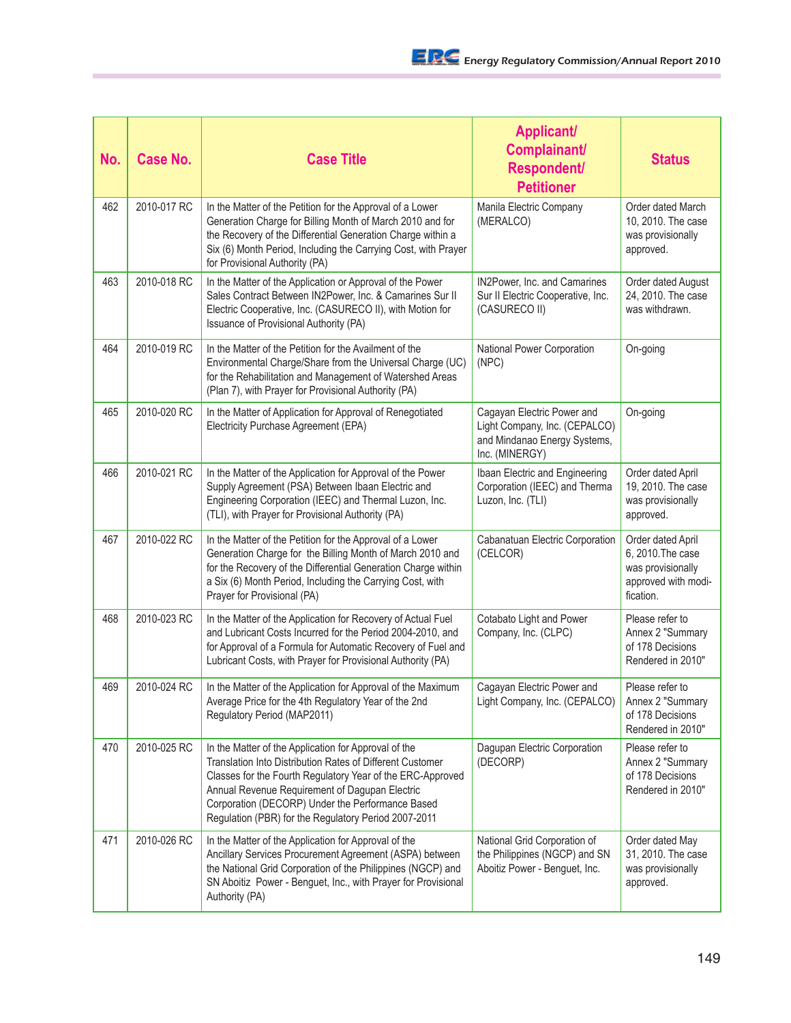| No. | <b>Case No.</b> | <b>Case Title</b>                                                                                                                                                                                                                                                                                                                             | <b>Applicant/</b><br>Complainant/<br><b>Respondent/</b><br><b>Petitioner</b>                                  | <b>Status</b>                                                                                   |
|-----|-----------------|-----------------------------------------------------------------------------------------------------------------------------------------------------------------------------------------------------------------------------------------------------------------------------------------------------------------------------------------------|---------------------------------------------------------------------------------------------------------------|-------------------------------------------------------------------------------------------------|
| 462 | 2010-017 RC     | In the Matter of the Petition for the Approval of a Lower<br>Generation Charge for Billing Month of March 2010 and for<br>the Recovery of the Differential Generation Charge within a<br>Six (6) Month Period, Including the Carrying Cost, with Prayer<br>for Provisional Authority (PA)                                                     | Manila Electric Company<br>(MERALCO)                                                                          | Order dated March<br>10, 2010. The case<br>was provisionally<br>approved.                       |
| 463 | 2010-018 RC     | In the Matter of the Application or Approval of the Power<br>Sales Contract Between IN2Power, Inc. & Camarines Sur II<br>Electric Cooperative, Inc. (CASURECO II), with Motion for<br>Issuance of Provisional Authority (PA)                                                                                                                  | IN2Power, Inc. and Camarines<br>Sur II Electric Cooperative, Inc.<br>(CASURECO II)                            | Order dated August<br>24, 2010. The case<br>was withdrawn.                                      |
| 464 | 2010-019 RC     | In the Matter of the Petition for the Availment of the<br>Environmental Charge/Share from the Universal Charge (UC)<br>for the Rehabilitation and Management of Watershed Areas<br>(Plan 7), with Prayer for Provisional Authority (PA)                                                                                                       | National Power Corporation<br>(NPC)                                                                           | On-going                                                                                        |
| 465 | 2010-020 RC     | In the Matter of Application for Approval of Renegotiated<br>Electricity Purchase Agreement (EPA)                                                                                                                                                                                                                                             | Cagayan Electric Power and<br>Light Company, Inc. (CEPALCO)<br>and Mindanao Energy Systems,<br>Inc. (MINERGY) | On-going                                                                                        |
| 466 | 2010-021 RC     | In the Matter of the Application for Approval of the Power<br>Supply Agreement (PSA) Between Ibaan Electric and<br>Engineering Corporation (IEEC) and Thermal Luzon, Inc.<br>(TLI), with Prayer for Provisional Authority (PA)                                                                                                                | Ibaan Electric and Engineering<br>Corporation (IEEC) and Therma<br>Luzon, Inc. (TLI)                          | Order dated April<br>19, 2010. The case<br>was provisionally<br>approved.                       |
| 467 | 2010-022 RC     | In the Matter of the Petition for the Approval of a Lower<br>Generation Charge for the Billing Month of March 2010 and<br>for the Recovery of the Differential Generation Charge within<br>a Six (6) Month Period, Including the Carrying Cost, with<br>Prayer for Provisional (PA)                                                           | Cabanatuan Electric Corporation<br>(CELCOR)                                                                   | Order dated April<br>6, 2010. The case<br>was provisionally<br>approved with modi-<br>fication. |
| 468 | 2010-023 RC     | In the Matter of the Application for Recovery of Actual Fuel<br>and Lubricant Costs Incurred for the Period 2004-2010, and<br>for Approval of a Formula for Automatic Recovery of Fuel and<br>Lubricant Costs, with Prayer for Provisional Authority (PA)                                                                                     | Cotabato Light and Power<br>Company, Inc. (CLPC)                                                              | Please refer to<br>Annex 2 "Summary<br>of 178 Decisions<br>Rendered in 2010"                    |
| 469 | 2010-024 RC     | In the Matter of the Application for Approval of the Maximum<br>Average Price for the 4th Regulatory Year of the 2nd<br>Regulatory Period (MAP2011)                                                                                                                                                                                           | Cagayan Electric Power and<br>Light Company, Inc. (CEPALCO)                                                   | Please refer to<br>Annex 2 "Summary<br>of 178 Decisions<br>Rendered in 2010"                    |
| 470 | 2010-025 RC     | In the Matter of the Application for Approval of the<br>Translation Into Distribution Rates of Different Customer<br>Classes for the Fourth Regulatory Year of the ERC-Approved<br>Annual Revenue Requirement of Dagupan Electric<br>Corporation (DECORP) Under the Performance Based<br>Regulation (PBR) for the Regulatory Period 2007-2011 | Dagupan Electric Corporation<br>(DECORP)                                                                      | Please refer to<br>Annex 2 "Summary<br>of 178 Decisions<br>Rendered in 2010"                    |
| 471 | 2010-026 RC     | In the Matter of the Application for Approval of the<br>Ancillary Services Procurement Agreement (ASPA) between<br>the National Grid Corporation of the Philippines (NGCP) and<br>SN Aboitiz Power - Benguet, Inc., with Prayer for Provisional<br>Authority (PA)                                                                             | National Grid Corporation of<br>the Philippines (NGCP) and SN<br>Aboitiz Power - Benguet, Inc.                | Order dated May<br>31, 2010. The case<br>was provisionally<br>approved.                         |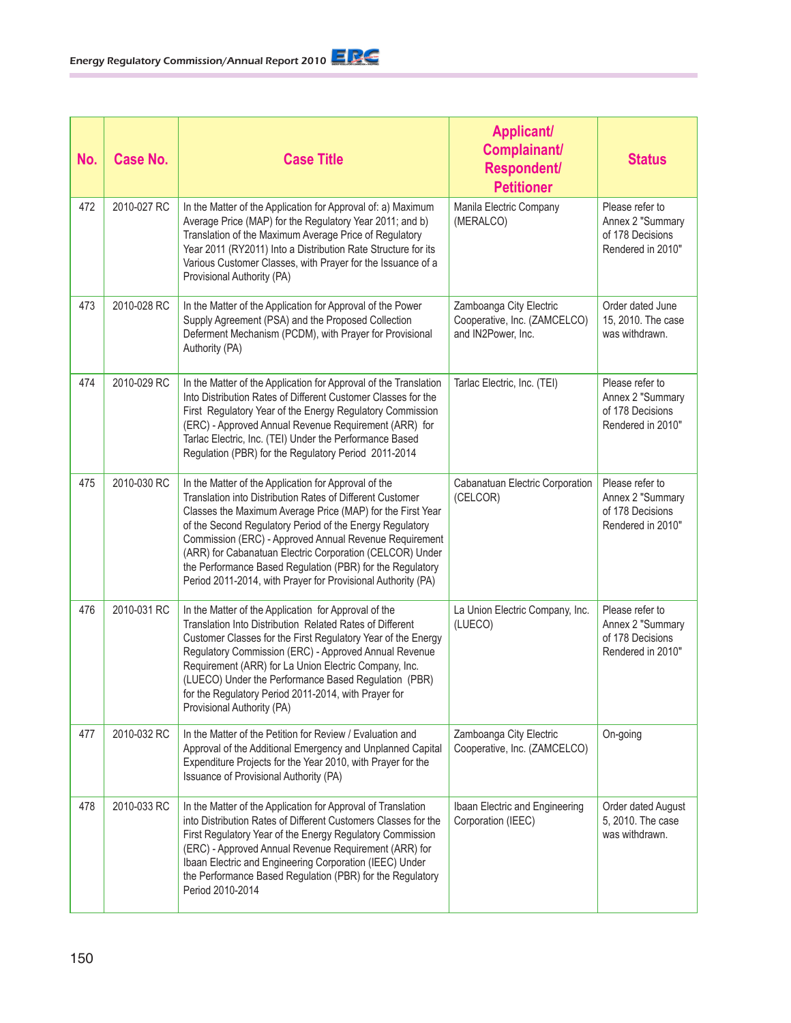| No. | <b>Case No.</b> | <b>Case Title</b>                                                                                                                                                                                                                                                                                                                                                                                                                                                                              | <b>Applicant/</b><br>Complainant/<br><b>Respondent/</b><br><b>Petitioner</b>  | <b>Status</b>                                                                |
|-----|-----------------|------------------------------------------------------------------------------------------------------------------------------------------------------------------------------------------------------------------------------------------------------------------------------------------------------------------------------------------------------------------------------------------------------------------------------------------------------------------------------------------------|-------------------------------------------------------------------------------|------------------------------------------------------------------------------|
| 472 | 2010-027 RC     | In the Matter of the Application for Approval of: a) Maximum<br>Average Price (MAP) for the Regulatory Year 2011; and b)<br>Translation of the Maximum Average Price of Regulatory<br>Year 2011 (RY2011) Into a Distribution Rate Structure for its<br>Various Customer Classes, with Prayer for the Issuance of a<br>Provisional Authority (PA)                                                                                                                                               | Manila Electric Company<br>(MERALCO)                                          | Please refer to<br>Annex 2 "Summary<br>of 178 Decisions<br>Rendered in 2010" |
| 473 | 2010-028 RC     | In the Matter of the Application for Approval of the Power<br>Supply Agreement (PSA) and the Proposed Collection<br>Deferment Mechanism (PCDM), with Prayer for Provisional<br>Authority (PA)                                                                                                                                                                                                                                                                                                  | Zamboanga City Electric<br>Cooperative, Inc. (ZAMCELCO)<br>and IN2Power, Inc. | Order dated June<br>15, 2010. The case<br>was withdrawn.                     |
| 474 | 2010-029 RC     | In the Matter of the Application for Approval of the Translation<br>Into Distribution Rates of Different Customer Classes for the<br>First Regulatory Year of the Energy Regulatory Commission<br>(ERC) - Approved Annual Revenue Requirement (ARR) for<br>Tarlac Electric, Inc. (TEI) Under the Performance Based<br>Regulation (PBR) for the Regulatory Period 2011-2014                                                                                                                     | Tarlac Electric, Inc. (TEI)                                                   | Please refer to<br>Annex 2 "Summary<br>of 178 Decisions<br>Rendered in 2010" |
| 475 | 2010-030 RC     | In the Matter of the Application for Approval of the<br>Translation into Distribution Rates of Different Customer<br>Classes the Maximum Average Price (MAP) for the First Year<br>of the Second Regulatory Period of the Energy Regulatory<br>Commission (ERC) - Approved Annual Revenue Requirement<br>(ARR) for Cabanatuan Electric Corporation (CELCOR) Under<br>the Performance Based Regulation (PBR) for the Regulatory<br>Period 2011-2014, with Prayer for Provisional Authority (PA) | Cabanatuan Electric Corporation<br>(CELCOR)                                   | Please refer to<br>Annex 2 "Summary<br>of 178 Decisions<br>Rendered in 2010" |
| 476 | 2010-031 RC     | In the Matter of the Application for Approval of the<br>Translation Into Distribution Related Rates of Different<br>Customer Classes for the First Regulatory Year of the Energy<br>Regulatory Commission (ERC) - Approved Annual Revenue<br>Requirement (ARR) for La Union Electric Company, Inc.<br>(LUECO) Under the Performance Based Regulation (PBR)<br>for the Regulatory Period 2011-2014, with Prayer for<br>Provisional Authority (PA)                                               | La Union Electric Company, Inc.<br>(LUECO)                                    | Please refer to<br>Annex 2 "Summary<br>of 178 Decisions<br>Rendered in 2010" |
| 477 | 2010-032 RC     | In the Matter of the Petition for Review / Evaluation and<br>Approval of the Additional Emergency and Unplanned Capital<br>Expenditure Projects for the Year 2010, with Prayer for the<br>Issuance of Provisional Authority (PA)                                                                                                                                                                                                                                                               | Zamboanga City Electric<br>Cooperative, Inc. (ZAMCELCO)                       | On-going                                                                     |
| 478 | 2010-033 RC     | In the Matter of the Application for Approval of Translation<br>into Distribution Rates of Different Customers Classes for the<br>First Regulatory Year of the Energy Regulatory Commission<br>(ERC) - Approved Annual Revenue Requirement (ARR) for<br>Ibaan Electric and Engineering Corporation (IEEC) Under<br>the Performance Based Regulation (PBR) for the Regulatory<br>Period 2010-2014                                                                                               | Ibaan Electric and Engineering<br>Corporation (IEEC)                          | Order dated August<br>5, 2010. The case<br>was withdrawn.                    |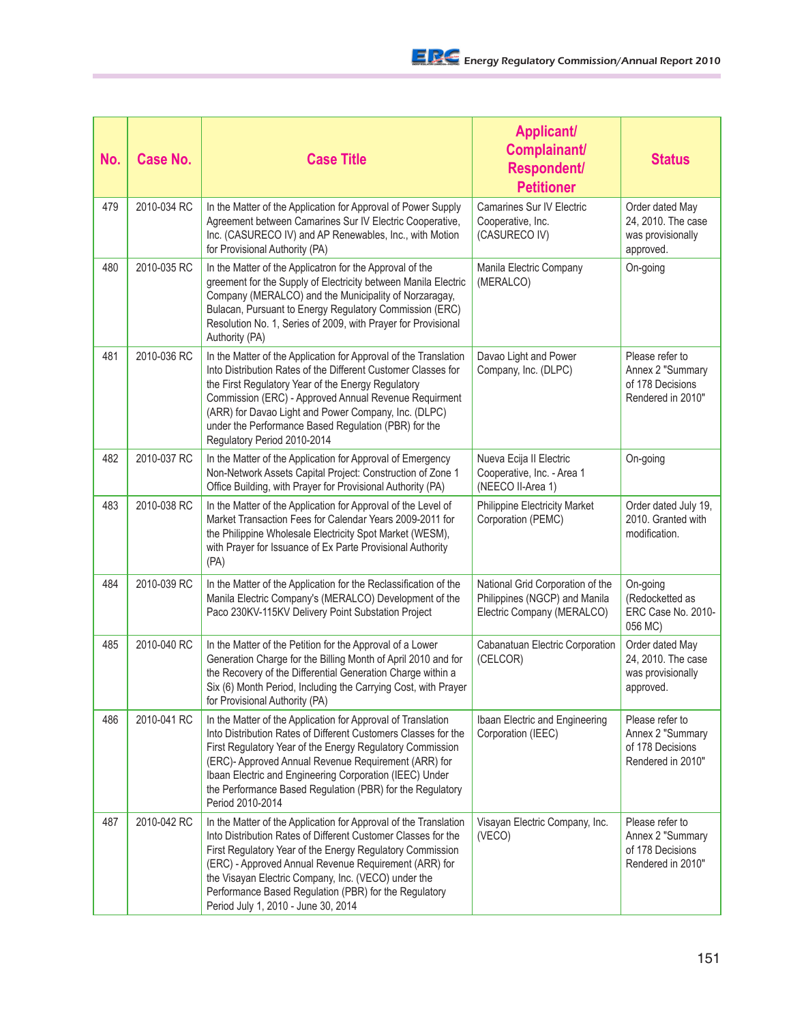| No. | <b>Case No.</b> | <b>Case Title</b>                                                                                                                                                                                                                                                                                                                                                                                              | <b>Applicant/</b><br>Complainant/<br>Respondent/<br><b>Petitioner</b>                           | <b>Status</b>                                                                |
|-----|-----------------|----------------------------------------------------------------------------------------------------------------------------------------------------------------------------------------------------------------------------------------------------------------------------------------------------------------------------------------------------------------------------------------------------------------|-------------------------------------------------------------------------------------------------|------------------------------------------------------------------------------|
| 479 | 2010-034 RC     | In the Matter of the Application for Approval of Power Supply<br>Agreement between Camarines Sur IV Electric Cooperative,<br>Inc. (CASURECO IV) and AP Renewables, Inc., with Motion<br>for Provisional Authority (PA)                                                                                                                                                                                         | <b>Camarines Sur IV Electric</b><br>Cooperative, Inc.<br>(CASURECO IV)                          | Order dated May<br>24, 2010. The case<br>was provisionally<br>approved.      |
| 480 | 2010-035 RC     | In the Matter of the Applicatron for the Approval of the<br>greement for the Supply of Electricity between Manila Electric<br>Company (MERALCO) and the Municipality of Norzaragay,<br>Bulacan, Pursuant to Energy Regulatory Commission (ERC)<br>Resolution No. 1, Series of 2009, with Prayer for Provisional<br>Authority (PA)                                                                              | Manila Electric Company<br>(MERALCO)                                                            | On-going                                                                     |
| 481 | 2010-036 RC     | In the Matter of the Application for Approval of the Translation<br>Into Distribution Rates of the Different Customer Classes for<br>the First Regulatory Year of the Energy Regulatory<br>Commission (ERC) - Approved Annual Revenue Requirment<br>(ARR) for Davao Light and Power Company, Inc. (DLPC)<br>under the Performance Based Regulation (PBR) for the<br>Regulatory Period 2010-2014                | Davao Light and Power<br>Company, Inc. (DLPC)                                                   | Please refer to<br>Annex 2 "Summary<br>of 178 Decisions<br>Rendered in 2010" |
| 482 | 2010-037 RC     | In the Matter of the Application for Approval of Emergency<br>Non-Network Assets Capital Project: Construction of Zone 1<br>Office Building, with Prayer for Provisional Authority (PA)                                                                                                                                                                                                                        | Nueva Ecija II Electric<br>Cooperative, Inc. - Area 1<br>(NEECO II-Area 1)                      | On-going                                                                     |
| 483 | 2010-038 RC     | In the Matter of the Application for Approval of the Level of<br>Market Transaction Fees for Calendar Years 2009-2011 for<br>the Philippine Wholesale Electricity Spot Market (WESM),<br>with Prayer for Issuance of Ex Parte Provisional Authority<br>(PA)                                                                                                                                                    | Philippine Electricity Market<br>Corporation (PEMC)                                             | Order dated July 19,<br>2010. Granted with<br>modification.                  |
| 484 | 2010-039 RC     | In the Matter of the Application for the Reclassification of the<br>Manila Electric Company's (MERALCO) Development of the<br>Paco 230KV-115KV Delivery Point Substation Project                                                                                                                                                                                                                               | National Grid Corporation of the<br>Philippines (NGCP) and Manila<br>Electric Company (MERALCO) | On-going<br>(Redocketted as<br>ERC Case No. 2010-<br>056 MC)                 |
| 485 | 2010-040 RC     | In the Matter of the Petition for the Approval of a Lower<br>Generation Charge for the Billing Month of April 2010 and for<br>the Recovery of the Differential Generation Charge within a<br>Six (6) Month Period, Including the Carrying Cost, with Prayer<br>for Provisional Authority (PA)                                                                                                                  | Cabanatuan Electric Corporation<br>(CELCOR)                                                     | Order dated May<br>24, 2010. The case<br>was provisionally<br>approved.      |
| 486 | 2010-041 RC     | In the Matter of the Application for Approval of Translation<br>Into Distribution Rates of Different Customers Classes for the<br>First Regulatory Year of the Energy Regulatory Commission<br>(ERC)- Approved Annual Revenue Requirement (ARR) for<br>Ibaan Electric and Engineering Corporation (IEEC) Under<br>the Performance Based Regulation (PBR) for the Regulatory<br>Period 2010-2014                | Ibaan Electric and Engineering<br>Corporation (IEEC)                                            | Please refer to<br>Annex 2 "Summary<br>of 178 Decisions<br>Rendered in 2010" |
| 487 | 2010-042 RC     | In the Matter of the Application for Approval of the Translation<br>Into Distribution Rates of Different Customer Classes for the<br>First Regulatory Year of the Energy Regulatory Commission<br>(ERC) - Approved Annual Revenue Requirement (ARR) for<br>the Visayan Electric Company, Inc. (VECO) under the<br>Performance Based Regulation (PBR) for the Regulatory<br>Period July 1, 2010 - June 30, 2014 | Visayan Electric Company, Inc.<br>(VECO)                                                        | Please refer to<br>Annex 2 "Summary<br>of 178 Decisions<br>Rendered in 2010" |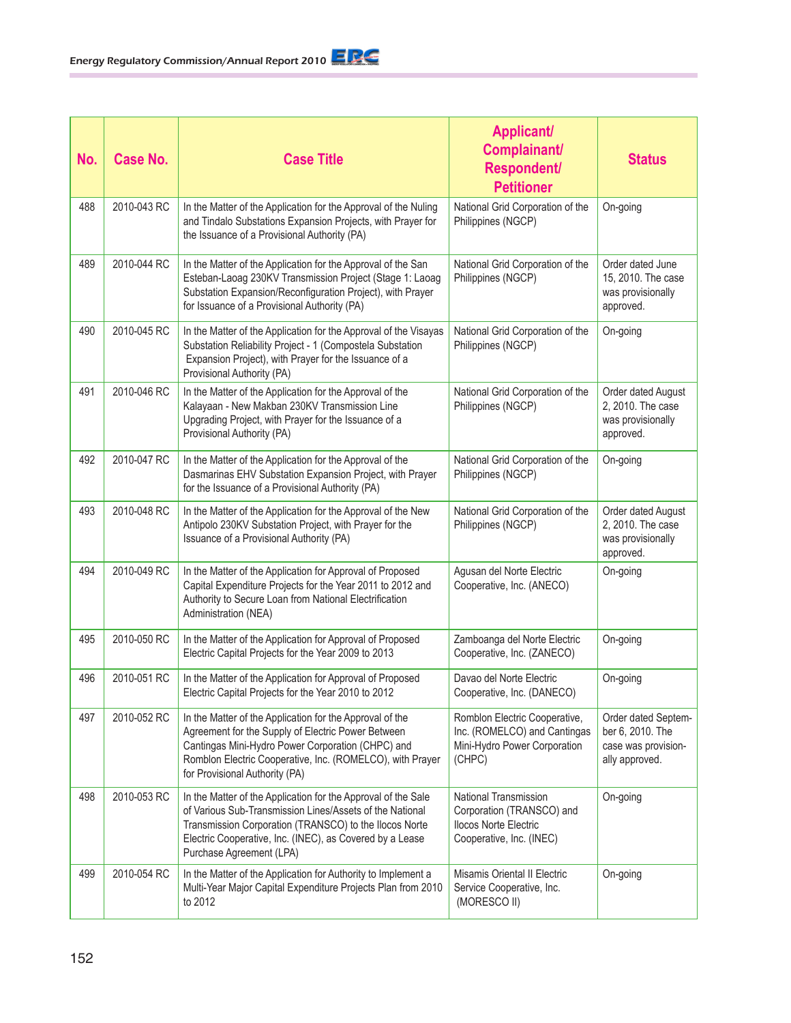| No. | <b>Case No.</b> | <b>Case Title</b>                                                                                                                                                                                                                                                           | <b>Applicant/</b><br>Complainant/<br><b>Respondent/</b><br><b>Petitioner</b>                                   | <b>Status</b>                                                                    |
|-----|-----------------|-----------------------------------------------------------------------------------------------------------------------------------------------------------------------------------------------------------------------------------------------------------------------------|----------------------------------------------------------------------------------------------------------------|----------------------------------------------------------------------------------|
| 488 | 2010-043 RC     | In the Matter of the Application for the Approval of the Nuling<br>and Tindalo Substations Expansion Projects, with Prayer for<br>the Issuance of a Provisional Authority (PA)                                                                                              | National Grid Corporation of the<br>Philippines (NGCP)                                                         | On-going                                                                         |
| 489 | 2010-044 RC     | In the Matter of the Application for the Approval of the San<br>Esteban-Laoag 230KV Transmission Project (Stage 1: Laoag<br>Substation Expansion/Reconfiguration Project), with Prayer<br>for Issuance of a Provisional Authority (PA)                                      | National Grid Corporation of the<br>Philippines (NGCP)                                                         | Order dated June<br>15, 2010. The case<br>was provisionally<br>approved.         |
| 490 | 2010-045 RC     | In the Matter of the Application for the Approval of the Visayas<br>Substation Reliability Project - 1 (Compostela Substation<br>Expansion Project), with Prayer for the Issuance of a<br>Provisional Authority (PA)                                                        | National Grid Corporation of the<br>Philippines (NGCP)                                                         | On-going                                                                         |
| 491 | 2010-046 RC     | In the Matter of the Application for the Approval of the<br>Kalayaan - New Makban 230KV Transmission Line<br>Upgrading Project, with Prayer for the Issuance of a<br>Provisional Authority (PA)                                                                             | National Grid Corporation of the<br>Philippines (NGCP)                                                         | Order dated August<br>2, 2010. The case<br>was provisionally<br>approved.        |
| 492 | 2010-047 RC     | In the Matter of the Application for the Approval of the<br>Dasmarinas EHV Substation Expansion Project, with Prayer<br>for the Issuance of a Provisional Authority (PA)                                                                                                    | National Grid Corporation of the<br>Philippines (NGCP)                                                         | On-going                                                                         |
| 493 | 2010-048 RC     | In the Matter of the Application for the Approval of the New<br>Antipolo 230KV Substation Project, with Prayer for the<br>Issuance of a Provisional Authority (PA)                                                                                                          | National Grid Corporation of the<br>Philippines (NGCP)                                                         | Order dated August<br>2, 2010. The case<br>was provisionally<br>approved.        |
| 494 | 2010-049 RC     | In the Matter of the Application for Approval of Proposed<br>Capital Expenditure Projects for the Year 2011 to 2012 and<br>Authority to Secure Loan from National Electrification<br>Administration (NEA)                                                                   | Agusan del Norte Electric<br>Cooperative, Inc. (ANECO)                                                         | On-going                                                                         |
| 495 | 2010-050 RC     | In the Matter of the Application for Approval of Proposed<br>Electric Capital Projects for the Year 2009 to 2013                                                                                                                                                            | Zamboanga del Norte Electric<br>Cooperative, Inc. (ZANECO)                                                     | On-going                                                                         |
| 496 | 2010-051 RC     | In the Matter of the Application for Approval of Proposed<br>Electric Capital Projects for the Year 2010 to 2012                                                                                                                                                            | Davao del Norte Electric<br>Cooperative, Inc. (DANECO)                                                         | On-going                                                                         |
| 497 | 2010-052 RC     | In the Matter of the Application for the Approval of the<br>Agreement for the Supply of Electric Power Between<br>Cantingas Mini-Hydro Power Corporation (CHPC) and<br>Romblon Electric Cooperative, Inc. (ROMELCO), with Prayer<br>for Provisional Authority (PA)          | Romblon Electric Cooperative,<br>Inc. (ROMELCO) and Cantingas<br>Mini-Hydro Power Corporation<br>(CHPC)        | Order dated Septem-<br>ber 6, 2010. The<br>case was provision-<br>ally approved. |
| 498 | 2010-053 RC     | In the Matter of the Application for the Approval of the Sale<br>of Various Sub-Transmission Lines/Assets of the National<br>Transmission Corporation (TRANSCO) to the Ilocos Norte<br>Electric Cooperative, Inc. (INEC), as Covered by a Lease<br>Purchase Agreement (LPA) | National Transmission<br>Corporation (TRANSCO) and<br><b>Ilocos Norte Electric</b><br>Cooperative, Inc. (INEC) | On-going                                                                         |
| 499 | 2010-054 RC     | In the Matter of the Application for Authority to Implement a<br>Multi-Year Major Capital Expenditure Projects Plan from 2010<br>to 2012                                                                                                                                    | Misamis Oriental II Electric<br>Service Cooperative, Inc.<br>(MORESCO II)                                      | On-going                                                                         |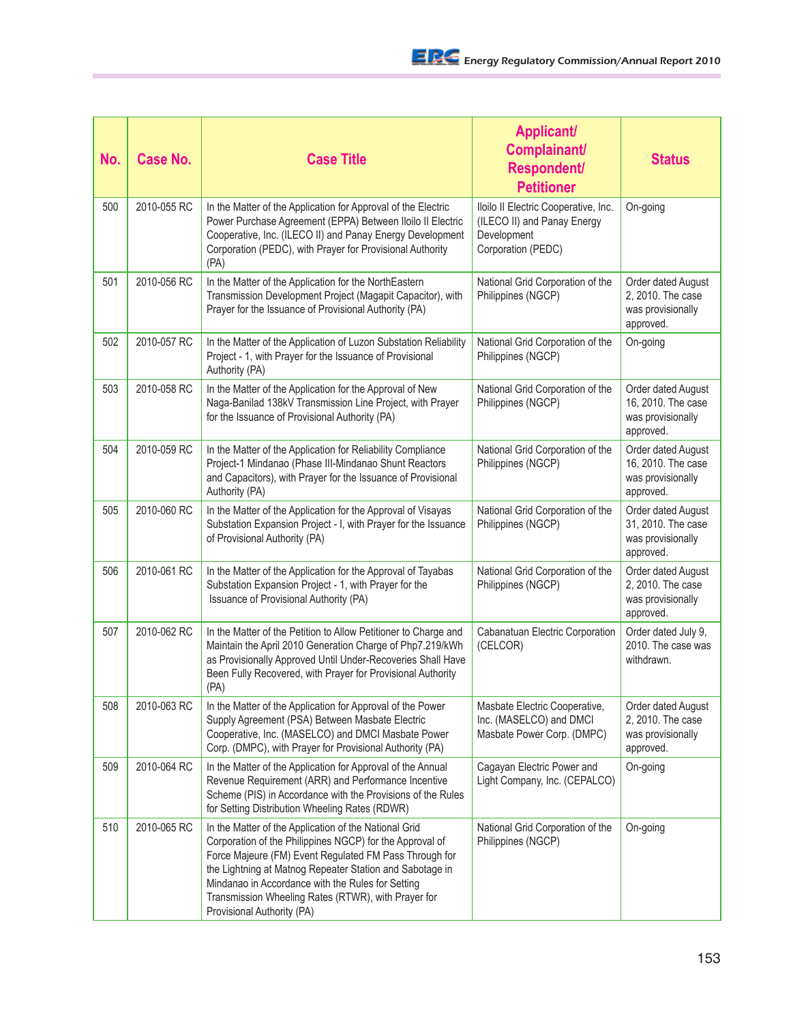| No. | <b>Case No.</b> | <b>Case Title</b>                                                                                                                                                                                                                                                                                                                                                                 | <b>Applicant/</b><br>Complainant/<br>Respondent/<br><b>Petitioner</b>                                    | <b>Status</b>                                                              |
|-----|-----------------|-----------------------------------------------------------------------------------------------------------------------------------------------------------------------------------------------------------------------------------------------------------------------------------------------------------------------------------------------------------------------------------|----------------------------------------------------------------------------------------------------------|----------------------------------------------------------------------------|
| 500 | 2010-055 RC     | In the Matter of the Application for Approval of the Electric<br>Power Purchase Agreement (EPPA) Between Iloilo II Electric<br>Cooperative, Inc. (ILECO II) and Panay Energy Development<br>Corporation (PEDC), with Prayer for Provisional Authority<br>(PA)                                                                                                                     | Iloilo II Electric Cooperative, Inc.<br>(ILECO II) and Panay Energy<br>Development<br>Corporation (PEDC) | On-going                                                                   |
| 501 | 2010-056 RC     | In the Matter of the Application for the NorthEastern<br>Transmission Development Project (Magapit Capacitor), with<br>Prayer for the Issuance of Provisional Authority (PA)                                                                                                                                                                                                      | National Grid Corporation of the<br>Philippines (NGCP)                                                   | Order dated August<br>2, 2010. The case<br>was provisionally<br>approved.  |
| 502 | 2010-057 RC     | In the Matter of the Application of Luzon Substation Reliability<br>Project - 1, with Prayer for the Issuance of Provisional<br>Authority (PA)                                                                                                                                                                                                                                    | National Grid Corporation of the<br>Philippines (NGCP)                                                   | On-going                                                                   |
| 503 | 2010-058 RC     | In the Matter of the Application for the Approval of New<br>Naga-Banilad 138kV Transmission Line Project, with Prayer<br>for the Issuance of Provisional Authority (PA)                                                                                                                                                                                                           | National Grid Corporation of the<br>Philippines (NGCP)                                                   | Order dated August<br>16, 2010. The case<br>was provisionally<br>approved. |
| 504 | 2010-059 RC     | In the Matter of the Application for Reliability Compliance<br>Project-1 Mindanao (Phase III-Mindanao Shunt Reactors<br>and Capacitors), with Prayer for the Issuance of Provisional<br>Authority (PA)                                                                                                                                                                            | National Grid Corporation of the<br>Philippines (NGCP)                                                   | Order dated August<br>16, 2010. The case<br>was provisionally<br>approved. |
| 505 | 2010-060 RC     | In the Matter of the Application for the Approval of Visayas<br>Substation Expansion Project - I, with Prayer for the Issuance<br>of Provisional Authority (PA)                                                                                                                                                                                                                   | National Grid Corporation of the<br>Philippines (NGCP)                                                   | Order dated August<br>31, 2010. The case<br>was provisionally<br>approved. |
| 506 | 2010-061 RC     | In the Matter of the Application for the Approval of Tayabas<br>Substation Expansion Project - 1, with Prayer for the<br>Issuance of Provisional Authority (PA)                                                                                                                                                                                                                   | National Grid Corporation of the<br>Philippines (NGCP)                                                   | Order dated August<br>2, 2010. The case<br>was provisionally<br>approved.  |
| 507 | 2010-062 RC     | In the Matter of the Petition to Allow Petitioner to Charge and<br>Maintain the April 2010 Generation Charge of Php7.219/kWh<br>as Provisionally Approved Until Under-Recoveries Shall Have<br>Been Fully Recovered, with Prayer for Provisional Authority<br>(PA)                                                                                                                | Cabanatuan Electric Corporation<br>(CELCOR)                                                              | Order dated July 9,<br>2010. The case was<br>withdrawn.                    |
| 508 | 2010-063 RC     | In the Matter of the Application for Approval of the Power<br>Supply Agreement (PSA) Between Masbate Electric<br>Cooperative, Inc. (MASELCO) and DMCI Masbate Power<br>Corp. (DMPC), with Prayer for Provisional Authority (PA)                                                                                                                                                   | Masbate Electric Cooperative,<br>Inc. (MASELCO) and DMCI<br>Masbate Power Corp. (DMPC)                   | Order dated August<br>2, 2010. The case<br>was provisionally<br>approved.  |
| 509 | 2010-064 RC     | In the Matter of the Application for Approval of the Annual<br>Revenue Requirement (ARR) and Performance Incentive<br>Scheme (PIS) in Accordance with the Provisions of the Rules<br>for Setting Distribution Wheeling Rates (RDWR)                                                                                                                                               | Cagayan Electric Power and<br>Light Company, Inc. (CEPALCO)                                              | On-going                                                                   |
| 510 | 2010-065 RC     | In the Matter of the Application of the National Grid<br>Corporation of the Philippines NGCP) for the Approval of<br>Force Majeure (FM) Event Regulated FM Pass Through for<br>the Lightning at Matnog Repeater Station and Sabotage in<br>Mindanao in Accordance with the Rules for Setting<br>Transmission Wheeling Rates (RTWR), with Prayer for<br>Provisional Authority (PA) | National Grid Corporation of the<br>Philippines (NGCP)                                                   | On-going                                                                   |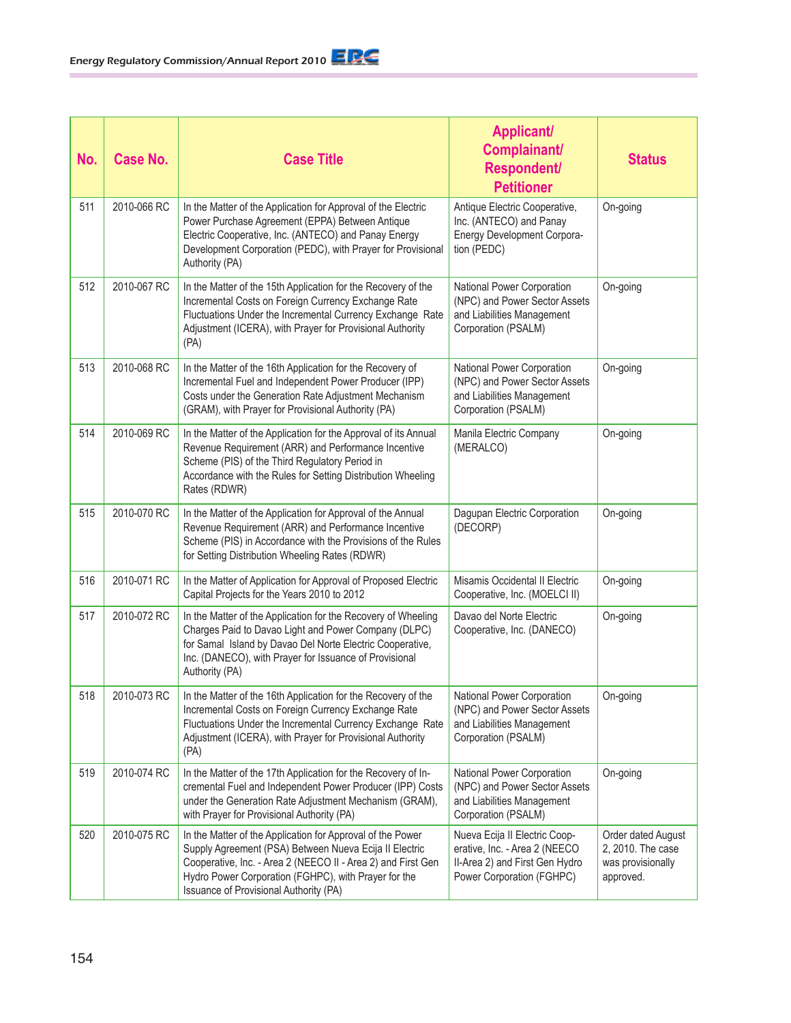| No. | Case No.    | <b>Case Title</b>                                                                                                                                                                                                                                                                      | <b>Applicant/</b><br><b>Complainant/</b><br>Respondent/<br><b>Petitioner</b>                                                  | <b>Status</b>                                                             |
|-----|-------------|----------------------------------------------------------------------------------------------------------------------------------------------------------------------------------------------------------------------------------------------------------------------------------------|-------------------------------------------------------------------------------------------------------------------------------|---------------------------------------------------------------------------|
| 511 | 2010-066 RC | In the Matter of the Application for Approval of the Electric<br>Power Purchase Agreement (EPPA) Between Antique<br>Electric Cooperative, Inc. (ANTECO) and Panay Energy<br>Development Corporation (PEDC), with Prayer for Provisional<br>Authority (PA)                              | Antique Electric Cooperative,<br>Inc. (ANTECO) and Panay<br>Energy Development Corpora-<br>tion (PEDC)                        | On-going                                                                  |
| 512 | 2010-067 RC | In the Matter of the 15th Application for the Recovery of the<br>Incremental Costs on Foreign Currency Exchange Rate<br>Fluctuations Under the Incremental Currency Exchange Rate<br>Adjustment (ICERA), with Prayer for Provisional Authority<br>(PA)                                 | National Power Corporation<br>(NPC) and Power Sector Assets<br>and Liabilities Management<br>Corporation (PSALM)              | On-going                                                                  |
| 513 | 2010-068 RC | In the Matter of the 16th Application for the Recovery of<br>Incremental Fuel and Independent Power Producer (IPP)<br>Costs under the Generation Rate Adjustment Mechanism<br>(GRAM), with Prayer for Provisional Authority (PA)                                                       | National Power Corporation<br>(NPC) and Power Sector Assets<br>and Liabilities Management<br>Corporation (PSALM)              | On-going                                                                  |
| 514 | 2010-069 RC | In the Matter of the Application for the Approval of its Annual<br>Revenue Requirement (ARR) and Performance Incentive<br>Scheme (PIS) of the Third Regulatory Period in<br>Accordance with the Rules for Setting Distribution Wheeling<br>Rates (RDWR)                                | Manila Electric Company<br>(MERALCO)                                                                                          | On-going                                                                  |
| 515 | 2010-070 RC | In the Matter of the Application for Approval of the Annual<br>Revenue Requirement (ARR) and Performance Incentive<br>Scheme (PIS) in Accordance with the Provisions of the Rules<br>for Setting Distribution Wheeling Rates (RDWR)                                                    | Dagupan Electric Corporation<br>(DECORP)                                                                                      | On-going                                                                  |
| 516 | 2010-071 RC | In the Matter of Application for Approval of Proposed Electric<br>Capital Projects for the Years 2010 to 2012                                                                                                                                                                          | Misamis Occidental II Electric<br>Cooperative, Inc. (MOELCI II)                                                               | On-going                                                                  |
| 517 | 2010-072 RC | In the Matter of the Application for the Recovery of Wheeling<br>Charges Paid to Davao Light and Power Company (DLPC)<br>for Samal Island by Davao Del Norte Electric Cooperative,<br>Inc. (DANECO), with Prayer for Issuance of Provisional<br>Authority (PA)                         | Davao del Norte Electric<br>Cooperative, Inc. (DANECO)                                                                        | On-going                                                                  |
| 518 | 2010-073 RC | In the Matter of the 16th Application for the Recovery of the<br>Incremental Costs on Foreign Currency Exchange Rate<br>Fluctuations Under the Incremental Currency Exchange Rate<br>Adjustment (ICERA), with Prayer for Provisional Authority<br>(PA)                                 | <b>National Power Corporation</b><br>(NPC) and Power Sector Assets<br>and Liabilities Management<br>Corporation (PSALM)       | On-going                                                                  |
| 519 | 2010-074 RC | In the Matter of the 17th Application for the Recovery of In-<br>cremental Fuel and Independent Power Producer (IPP) Costs<br>under the Generation Rate Adjustment Mechanism (GRAM),<br>with Prayer for Provisional Authority (PA)                                                     | National Power Corporation<br>(NPC) and Power Sector Assets<br>and Liabilities Management<br>Corporation (PSALM)              | On-going                                                                  |
| 520 | 2010-075 RC | In the Matter of the Application for Approval of the Power<br>Supply Agreement (PSA) Between Nueva Ecija II Electric<br>Cooperative, Inc. - Area 2 (NEECO II - Area 2) and First Gen<br>Hydro Power Corporation (FGHPC), with Prayer for the<br>Issuance of Provisional Authority (PA) | Nueva Ecija II Electric Coop-<br>erative, Inc. - Area 2 (NEECO<br>II-Area 2) and First Gen Hydro<br>Power Corporation (FGHPC) | Order dated August<br>2, 2010. The case<br>was provisionally<br>approved. |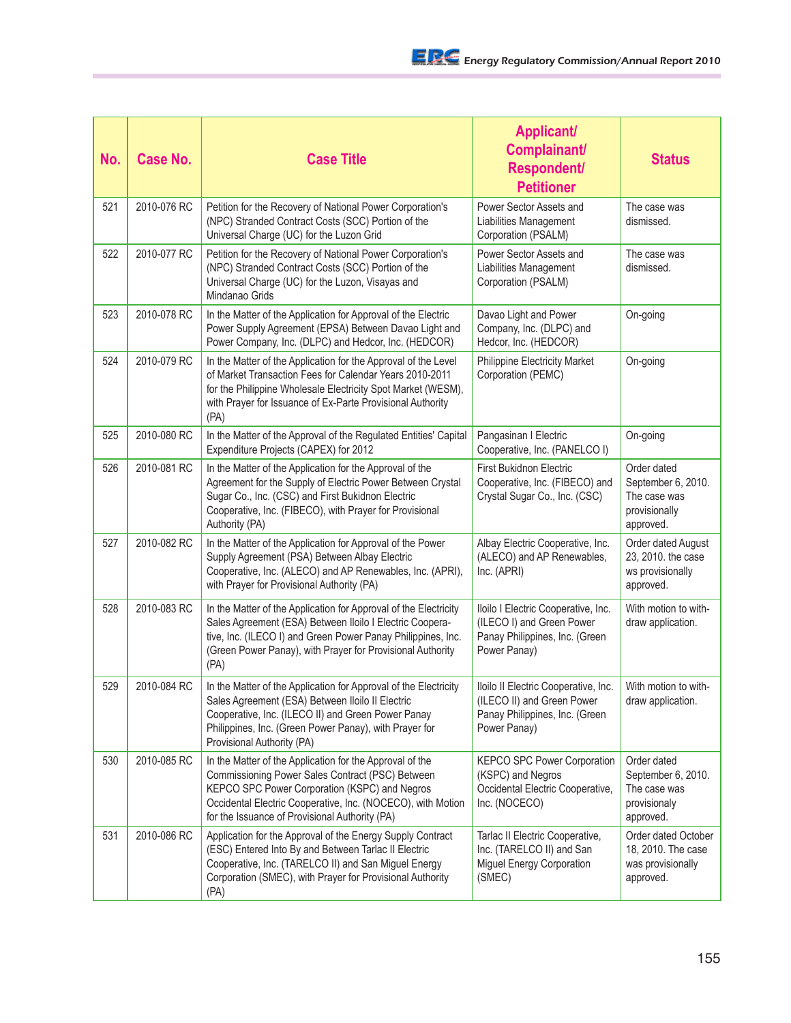| No. | <b>Case No.</b> | <b>Case Title</b>                                                                                                                                                                                                                                                              | <b>Applicant/</b><br>Complainant/<br><b>Respondent/</b><br><b>Petitioner</b>                                         | <b>Status</b>                                                                   |
|-----|-----------------|--------------------------------------------------------------------------------------------------------------------------------------------------------------------------------------------------------------------------------------------------------------------------------|----------------------------------------------------------------------------------------------------------------------|---------------------------------------------------------------------------------|
| 521 | 2010-076 RC     | Petition for the Recovery of National Power Corporation's<br>(NPC) Stranded Contract Costs (SCC) Portion of the<br>Universal Charge (UC) for the Luzon Grid                                                                                                                    | Power Sector Assets and<br>Liabilities Management<br>Corporation (PSALM)                                             | The case was<br>dismissed.                                                      |
| 522 | 2010-077 RC     | Petition for the Recovery of National Power Corporation's<br>(NPC) Stranded Contract Costs (SCC) Portion of the<br>Universal Charge (UC) for the Luzon, Visayas and<br>Mindanao Grids                                                                                          | Power Sector Assets and<br>Liabilities Management<br>Corporation (PSALM)                                             | The case was<br>dismissed.                                                      |
| 523 | 2010-078 RC     | In the Matter of the Application for Approval of the Electric<br>Power Supply Agreement (EPSA) Between Davao Light and<br>Power Company, Inc. (DLPC) and Hedcor, Inc. (HEDCOR)                                                                                                 | Davao Light and Power<br>Company, Inc. (DLPC) and<br>Hedcor, Inc. (HEDCOR)                                           | On-going                                                                        |
| 524 | 2010-079 RC     | In the Matter of the Application for the Approval of the Level<br>of Market Transaction Fees for Calendar Years 2010-2011<br>for the Philippine Wholesale Electricity Spot Market (WESM),<br>with Prayer for Issuance of Ex-Parte Provisional Authority<br>(PA)                | <b>Philippine Electricity Market</b><br>Corporation (PEMC)                                                           | On-going                                                                        |
| 525 | 2010-080 RC     | In the Matter of the Approval of the Regulated Entities' Capital<br>Expenditure Projects (CAPEX) for 2012                                                                                                                                                                      | Pangasinan I Electric<br>Cooperative, Inc. (PANELCO I)                                                               | On-going                                                                        |
| 526 | 2010-081 RC     | In the Matter of the Application for the Approval of the<br>Agreement for the Supply of Electric Power Between Crystal<br>Sugar Co., Inc. (CSC) and First Bukidnon Electric<br>Cooperative, Inc. (FIBECO), with Prayer for Provisional<br>Authority (PA)                       | <b>First Bukidnon Electric</b><br>Cooperative, Inc. (FIBECO) and<br>Crystal Sugar Co., Inc. (CSC)                    | Order dated<br>September 6, 2010.<br>The case was<br>provisionally<br>approved. |
| 527 | 2010-082 RC     | In the Matter of the Application for Approval of the Power<br>Supply Agreement (PSA) Between Albay Electric<br>Cooperative, Inc. (ALECO) and AP Renewables, Inc. (APRI),<br>with Prayer for Provisional Authority (PA)                                                         | Albay Electric Cooperative, Inc.<br>(ALECO) and AP Renewables,<br>Inc. (APRI)                                        | Order dated August<br>23, 2010. the case<br>ws provisionally<br>approved.       |
| 528 | 2010-083 RC     | In the Matter of the Application for Approval of the Electricity<br>Sales Agreement (ESA) Between Iloilo I Electric Coopera-<br>tive, Inc. (ILECO I) and Green Power Panay Philippines, Inc.<br>(Green Power Panay), with Prayer for Provisional Authority<br>(PA)             | Iloilo I Electric Cooperative, Inc.<br>(ILECO I) and Green Power<br>Panay Philippines, Inc. (Green<br>Power Panay)   | With motion to with-<br>draw application.                                       |
| 529 | 2010-084 RC     | In the Matter of the Application for Approval of the Electricity<br>Sales Agreement (ESA) Between Iloilo II Electric<br>Cooperative, Inc. (ILECO II) and Green Power Panay<br>Philippines, Inc. (Green Power Panay), with Prayer for<br>Provisional Authority (PA)             | Iloilo II Electric Cooperative, Inc.<br>(ILECO II) and Green Power<br>Panay Philippines, Inc. (Green<br>Power Panay) | With motion to with-<br>draw application.                                       |
| 530 | 2010-085 RC     | In the Matter of the Application for the Approval of the<br>Commissioning Power Sales Contract (PSC) Between<br>KEPCO SPC Power Corporation (KSPC) and Negros<br>Occidental Electric Cooperative, Inc. (NOCECO), with Motion<br>for the Issuance of Provisional Authority (PA) | <b>KEPCO SPC Power Corporation</b><br>(KSPC) and Negros<br>Occidental Electric Cooperative,<br>Inc. (NOCECO)         | Order dated<br>September 6, 2010.<br>The case was<br>provisionaly<br>approved.  |
| 531 | 2010-086 RC     | Application for the Approval of the Energy Supply Contract<br>(ESC) Entered Into By and Between Tarlac II Electric<br>Cooperative, Inc. (TARELCO II) and San Miguel Energy<br>Corporation (SMEC), with Prayer for Provisional Authority<br>(PA)                                | Tarlac II Electric Cooperative,<br>Inc. (TARELCO II) and San<br>Miguel Energy Corporation<br>(SMEC)                  | Order dated October<br>18, 2010. The case<br>was provisionally<br>approved.     |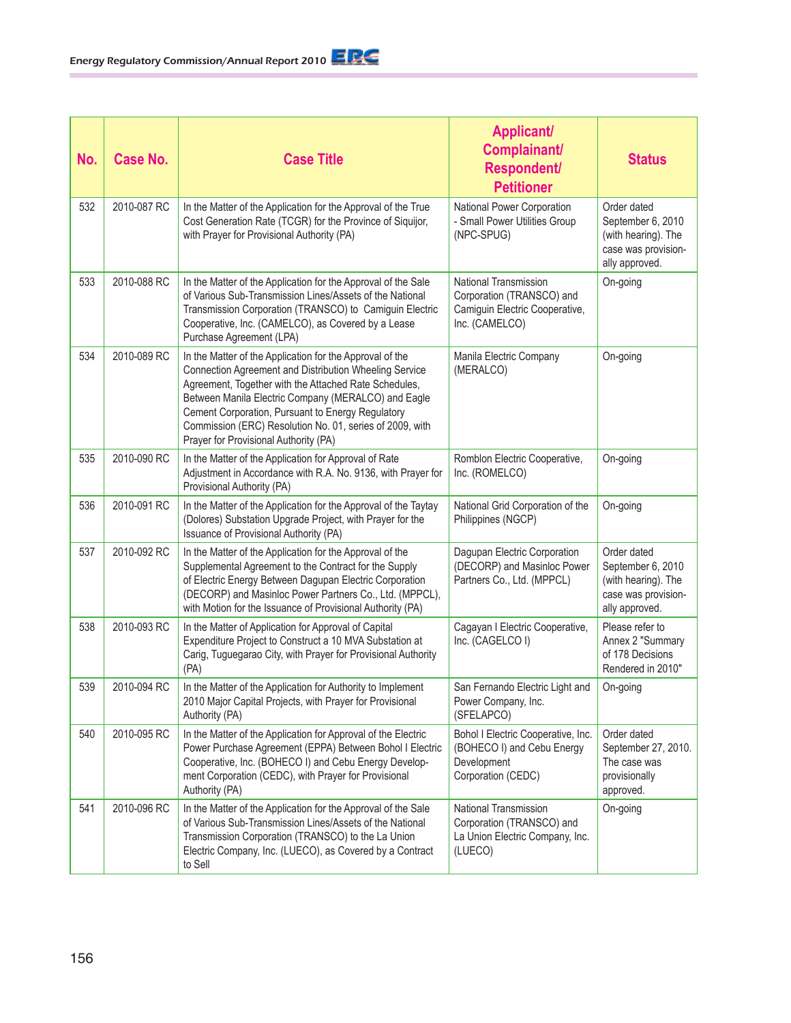| No. | Case No.    | <b>Case Title</b>                                                                                                                                                                                                                                                                                                                                                                            | <b>Applicant/</b><br>Complainant/<br><b>Respondent/</b><br><b>Petitioner</b>                           | <b>Status</b>                                                                                    |
|-----|-------------|----------------------------------------------------------------------------------------------------------------------------------------------------------------------------------------------------------------------------------------------------------------------------------------------------------------------------------------------------------------------------------------------|--------------------------------------------------------------------------------------------------------|--------------------------------------------------------------------------------------------------|
| 532 | 2010-087 RC | In the Matter of the Application for the Approval of the True<br>Cost Generation Rate (TCGR) for the Province of Siquijor,<br>with Prayer for Provisional Authority (PA)                                                                                                                                                                                                                     | National Power Corporation<br>- Small Power Utilities Group<br>(NPC-SPUG)                              | Order dated<br>September 6, 2010<br>(with hearing). The<br>case was provision-<br>ally approved. |
| 533 | 2010-088 RC | In the Matter of the Application for the Approval of the Sale<br>of Various Sub-Transmission Lines/Assets of the National<br>Transmission Corporation (TRANSCO) to Camiguin Electric<br>Cooperative, Inc. (CAMELCO), as Covered by a Lease<br>Purchase Agreement (LPA)                                                                                                                       | National Transmission<br>Corporation (TRANSCO) and<br>Camiguin Electric Cooperative,<br>Inc. (CAMELCO) | On-going                                                                                         |
| 534 | 2010-089 RC | In the Matter of the Application for the Approval of the<br>Connection Agreement and Distribution Wheeling Service<br>Agreement, Together with the Attached Rate Schedules,<br>Between Manila Electric Company (MERALCO) and Eagle<br>Cement Corporation, Pursuant to Energy Regulatory<br>Commission (ERC) Resolution No. 01, series of 2009, with<br>Prayer for Provisional Authority (PA) | Manila Electric Company<br>(MERALCO)                                                                   | On-going                                                                                         |
| 535 | 2010-090 RC | In the Matter of the Application for Approval of Rate<br>Adjustment in Accordance with R.A. No. 9136, with Prayer for<br>Provisional Authority (PA)                                                                                                                                                                                                                                          | Romblon Electric Cooperative,<br>Inc. (ROMELCO)                                                        | On-going                                                                                         |
| 536 | 2010-091 RC | In the Matter of the Application for the Approval of the Taytay<br>(Dolores) Substation Upgrade Project, with Prayer for the<br>Issuance of Provisional Authority (PA)                                                                                                                                                                                                                       | National Grid Corporation of the<br>Philippines (NGCP)                                                 | On-going                                                                                         |
| 537 | 2010-092 RC | In the Matter of the Application for the Approval of the<br>Supplemental Agreement to the Contract for the Supply<br>of Electric Energy Between Dagupan Electric Corporation<br>(DECORP) and Masinloc Power Partners Co., Ltd. (MPPCL),<br>with Motion for the Issuance of Provisional Authority (PA)                                                                                        | Dagupan Electric Corporation<br>(DECORP) and Masinloc Power<br>Partners Co., Ltd. (MPPCL)              | Order dated<br>September 6, 2010<br>(with hearing). The<br>case was provision-<br>ally approved. |
| 538 | 2010-093 RC | In the Matter of Application for Approval of Capital<br>Expenditure Project to Construct a 10 MVA Substation at<br>Carig, Tuguegarao City, with Prayer for Provisional Authority<br>(PA)                                                                                                                                                                                                     | Cagayan I Electric Cooperative,<br>Inc. (CAGELCO I)                                                    | Please refer to<br>Annex 2 "Summary<br>of 178 Decisions<br>Rendered in 2010"                     |
| 539 | 2010-094 RC | In the Matter of the Application for Authority to Implement<br>2010 Major Capital Projects, with Prayer for Provisional<br>Authority (PA)                                                                                                                                                                                                                                                    | San Fernando Electric Light and<br>Power Company, Inc.<br>(SFELAPCO)                                   | On-going                                                                                         |
| 540 | 2010-095 RC | In the Matter of the Application for Approval of the Electric<br>Power Purchase Agreement (EPPA) Between Bohol I Electric<br>Cooperative, Inc. (BOHECO I) and Cebu Energy Develop-<br>ment Corporation (CEDC), with Prayer for Provisional<br>Authority (PA)                                                                                                                                 | Bohol I Electric Cooperative, Inc.<br>(BOHECO I) and Cebu Energy<br>Development<br>Corporation (CEDC)  | Order dated<br>September 27, 2010.<br>The case was<br>provisionally<br>approved.                 |
| 541 | 2010-096 RC | In the Matter of the Application for the Approval of the Sale<br>of Various Sub-Transmission Lines/Assets of the National<br>Transmission Corporation (TRANSCO) to the La Union<br>Electric Company, Inc. (LUECO), as Covered by a Contract<br>to Sell                                                                                                                                       | National Transmission<br>Corporation (TRANSCO) and<br>La Union Electric Company, Inc.<br>(LUECO)       | On-going                                                                                         |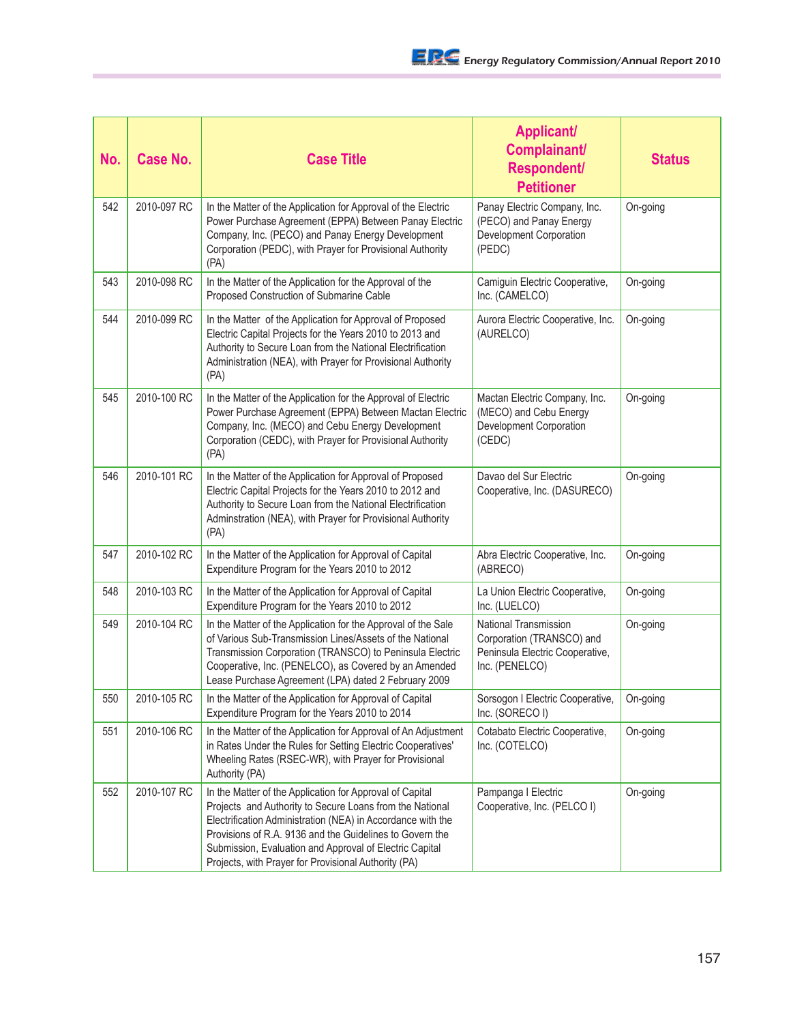| No. | <b>Case No.</b> | <b>Case Title</b>                                                                                                                                                                                                                                                                                                                                                  | <b>Applicant/</b><br>Complainant/<br>Respondent/<br><b>Petitioner</b>                                          | <b>Status</b> |
|-----|-----------------|--------------------------------------------------------------------------------------------------------------------------------------------------------------------------------------------------------------------------------------------------------------------------------------------------------------------------------------------------------------------|----------------------------------------------------------------------------------------------------------------|---------------|
| 542 | 2010-097 RC     | In the Matter of the Application for Approval of the Electric<br>Power Purchase Agreement (EPPA) Between Panay Electric<br>Company, Inc. (PECO) and Panay Energy Development<br>Corporation (PEDC), with Prayer for Provisional Authority<br>(PA)                                                                                                                  | Panay Electric Company, Inc.<br>(PECO) and Panay Energy<br>Development Corporation<br>(PEDC)                   | On-going      |
| 543 | 2010-098 RC     | In the Matter of the Application for the Approval of the<br>Proposed Construction of Submarine Cable                                                                                                                                                                                                                                                               | Camiguin Electric Cooperative,<br>Inc. (CAMELCO)                                                               | On-going      |
| 544 | 2010-099 RC     | In the Matter of the Application for Approval of Proposed<br>Electric Capital Projects for the Years 2010 to 2013 and<br>Authority to Secure Loan from the National Electrification<br>Administration (NEA), with Prayer for Provisional Authority<br>(PA)                                                                                                         | Aurora Electric Cooperative, Inc.<br>(AURELCO)                                                                 | On-going      |
| 545 | 2010-100 RC     | In the Matter of the Application for the Approval of Electric<br>Power Purchase Agreement (EPPA) Between Mactan Electric<br>Company, Inc. (MECO) and Cebu Energy Development<br>Corporation (CEDC), with Prayer for Provisional Authority<br>(PA)                                                                                                                  | Mactan Electric Company, Inc.<br>(MECO) and Cebu Energy<br>Development Corporation<br>(CEDC)                   | On-going      |
| 546 | 2010-101 RC     | In the Matter of the Application for Approval of Proposed<br>Electric Capital Projects for the Years 2010 to 2012 and<br>Authority to Secure Loan from the National Electrification<br>Adminstration (NEA), with Prayer for Provisional Authority<br>(PA)                                                                                                          | Davao del Sur Electric<br>Cooperative, Inc. (DASURECO)                                                         | On-going      |
| 547 | 2010-102 RC     | In the Matter of the Application for Approval of Capital<br>Expenditure Program for the Years 2010 to 2012                                                                                                                                                                                                                                                         | Abra Electric Cooperative, Inc.<br>(ABRECO)                                                                    | On-going      |
| 548 | 2010-103 RC     | In the Matter of the Application for Approval of Capital<br>Expenditure Program for the Years 2010 to 2012                                                                                                                                                                                                                                                         | La Union Electric Cooperative,<br>Inc. (LUELCO)                                                                | On-going      |
| 549 | 2010-104 RC     | In the Matter of the Application for the Approval of the Sale<br>of Various Sub-Transmission Lines/Assets of the National<br>Transmission Corporation (TRANSCO) to Peninsula Electric<br>Cooperative, Inc. (PENELCO), as Covered by an Amended<br>Lease Purchase Agreement (LPA) dated 2 February 2009                                                             | <b>National Transmission</b><br>Corporation (TRANSCO) and<br>Peninsula Electric Cooperative,<br>Inc. (PENELCO) | On-going      |
| 550 | 2010-105 RC     | In the Matter of the Application for Approval of Capital<br>Expenditure Program for the Years 2010 to 2014                                                                                                                                                                                                                                                         | Sorsogon I Electric Cooperative,<br>Inc. (SORECO I)                                                            | On-going      |
| 551 | 2010-106 RC     | In the Matter of the Application for Approval of An Adjustment<br>in Rates Under the Rules for Setting Electric Cooperatives'<br>Wheeling Rates (RSEC-WR), with Prayer for Provisional<br>Authority (PA)                                                                                                                                                           | Cotabato Electric Cooperative,<br>Inc. (COTELCO)                                                               | On-going      |
| 552 | 2010-107 RC     | In the Matter of the Application for Approval of Capital<br>Projects and Authority to Secure Loans from the National<br>Electrification Administration (NEA) in Accordance with the<br>Provisions of R.A. 9136 and the Guidelines to Govern the<br>Submission, Evaluation and Approval of Electric Capital<br>Projects, with Prayer for Provisional Authority (PA) | Pampanga I Electric<br>Cooperative, Inc. (PELCO I)                                                             | On-going      |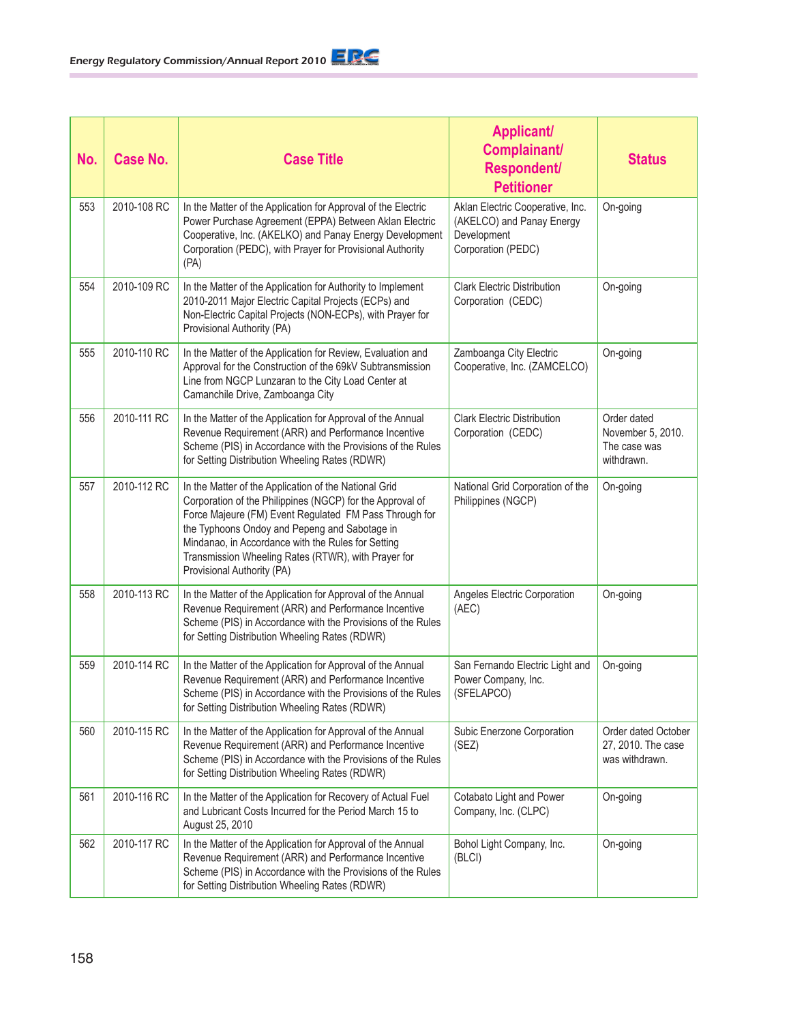| No. | Case No.    | <b>Case Title</b>                                                                                                                                                                                                                                                                                                                                                        | <b>Applicant/</b><br>Complainant/<br><b>Respondent/</b><br><b>Petitioner</b>                       | <b>Status</b>                                                  |
|-----|-------------|--------------------------------------------------------------------------------------------------------------------------------------------------------------------------------------------------------------------------------------------------------------------------------------------------------------------------------------------------------------------------|----------------------------------------------------------------------------------------------------|----------------------------------------------------------------|
| 553 | 2010-108 RC | In the Matter of the Application for Approval of the Electric<br>Power Purchase Agreement (EPPA) Between Aklan Electric<br>Cooperative, Inc. (AKELKO) and Panay Energy Development<br>Corporation (PEDC), with Prayer for Provisional Authority<br>(PA)                                                                                                                  | Aklan Electric Cooperative, Inc.<br>(AKELCO) and Panay Energy<br>Development<br>Corporation (PEDC) | On-going                                                       |
| 554 | 2010-109 RC | In the Matter of the Application for Authority to Implement<br>2010-2011 Major Electric Capital Projects (ECPs) and<br>Non-Electric Capital Projects (NON-ECPs), with Prayer for<br>Provisional Authority (PA)                                                                                                                                                           | <b>Clark Electric Distribution</b><br>Corporation (CEDC)                                           | On-going                                                       |
| 555 | 2010-110 RC | In the Matter of the Application for Review, Evaluation and<br>Approval for the Construction of the 69kV Subtransmission<br>Line from NGCP Lunzaran to the City Load Center at<br>Camanchile Drive, Zamboanga City                                                                                                                                                       | Zamboanga City Electric<br>Cooperative, Inc. (ZAMCELCO)                                            | On-going                                                       |
| 556 | 2010-111 RC | In the Matter of the Application for Approval of the Annual<br>Revenue Requirement (ARR) and Performance Incentive<br>Scheme (PIS) in Accordance with the Provisions of the Rules<br>for Setting Distribution Wheeling Rates (RDWR)                                                                                                                                      | <b>Clark Electric Distribution</b><br>Corporation (CEDC)                                           | Order dated<br>November 5, 2010.<br>The case was<br>withdrawn. |
| 557 | 2010-112 RC | In the Matter of the Application of the National Grid<br>Corporation of the Philippines (NGCP) for the Approval of<br>Force Majeure (FM) Event Regulated FM Pass Through for<br>the Typhoons Ondoy and Pepeng and Sabotage in<br>Mindanao, in Accordance with the Rules for Setting<br>Transmission Wheeling Rates (RTWR), with Prayer for<br>Provisional Authority (PA) | National Grid Corporation of the<br>Philippines (NGCP)                                             | On-going                                                       |
| 558 | 2010-113 RC | In the Matter of the Application for Approval of the Annual<br>Revenue Requirement (ARR) and Performance Incentive<br>Scheme (PIS) in Accordance with the Provisions of the Rules<br>for Setting Distribution Wheeling Rates (RDWR)                                                                                                                                      | Angeles Electric Corporation<br>(AEC)                                                              | On-going                                                       |
| 559 | 2010-114 RC | In the Matter of the Application for Approval of the Annual<br>Revenue Requirement (ARR) and Performance Incentive<br>Scheme (PIS) in Accordance with the Provisions of the Rules<br>for Setting Distribution Wheeling Rates (RDWR)                                                                                                                                      | San Fernando Electric Light and<br>Power Company, Inc.<br>(SFELAPCO)                               | On-going                                                       |
| 560 | 2010-115 RC | In the Matter of the Application for Approval of the Annual<br>Revenue Requirement (ARR) and Performance Incentive<br>Scheme (PIS) in Accordance with the Provisions of the Rules<br>for Setting Distribution Wheeling Rates (RDWR)                                                                                                                                      | Subic Enerzone Corporation<br>(SEZ)                                                                | Order dated October<br>27, 2010. The case<br>was withdrawn.    |
| 561 | 2010-116 RC | In the Matter of the Application for Recovery of Actual Fuel<br>and Lubricant Costs Incurred for the Period March 15 to<br>August 25, 2010                                                                                                                                                                                                                               | Cotabato Light and Power<br>Company, Inc. (CLPC)                                                   | On-going                                                       |
| 562 | 2010-117 RC | In the Matter of the Application for Approval of the Annual<br>Revenue Requirement (ARR) and Performance Incentive<br>Scheme (PIS) in Accordance with the Provisions of the Rules<br>for Setting Distribution Wheeling Rates (RDWR)                                                                                                                                      | Bohol Light Company, Inc.<br>(BLCI)                                                                | On-going                                                       |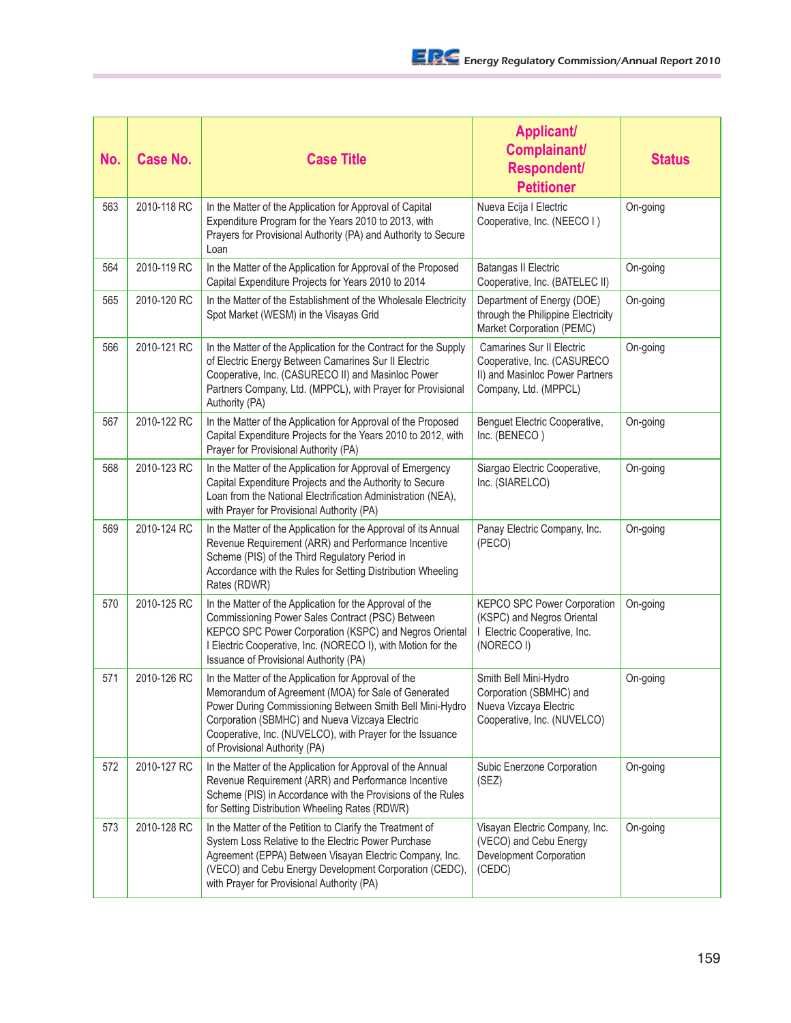| No. | <b>Case No.</b> | <b>Case Title</b>                                                                                                                                                                                                                                                                                                       | <b>Applicant/</b><br>Complainant/<br><b>Respondent/</b><br><b>Petitioner</b>                                                | <b>Status</b> |
|-----|-----------------|-------------------------------------------------------------------------------------------------------------------------------------------------------------------------------------------------------------------------------------------------------------------------------------------------------------------------|-----------------------------------------------------------------------------------------------------------------------------|---------------|
| 563 | 2010-118 RC     | In the Matter of the Application for Approval of Capital<br>Expenditure Program for the Years 2010 to 2013, with<br>Prayers for Provisional Authority (PA) and Authority to Secure<br>Loan                                                                                                                              | Nueva Ecija I Electric<br>Cooperative, Inc. (NEECO I)                                                                       | On-going      |
| 564 | 2010-119 RC     | In the Matter of the Application for Approval of the Proposed<br>Capital Expenditure Projects for Years 2010 to 2014                                                                                                                                                                                                    | <b>Batangas II Electric</b><br>Cooperative, Inc. (BATELEC II)                                                               | On-going      |
| 565 | 2010-120 RC     | In the Matter of the Establishment of the Wholesale Electricity<br>Spot Market (WESM) in the Visayas Grid                                                                                                                                                                                                               | Department of Energy (DOE)<br>through the Philippine Electricity<br>Market Corporation (PEMC)                               | On-going      |
| 566 | 2010-121 RC     | In the Matter of the Application for the Contract for the Supply<br>of Electric Energy Between Camarines Sur II Electric<br>Cooperative, Inc. (CASURECO II) and Masinloc Power<br>Partners Company, Ltd. (MPPCL), with Prayer for Provisional<br>Authority (PA)                                                         | <b>Camarines Sur II Electric</b><br>Cooperative, Inc. (CASURECO<br>II) and Masinloc Power Partners<br>Company, Ltd. (MPPCL) | On-going      |
| 567 | 2010-122 RC     | In the Matter of the Application for Approval of the Proposed<br>Capital Expenditure Projects for the Years 2010 to 2012, with<br>Prayer for Provisional Authority (PA)                                                                                                                                                 | Benguet Electric Cooperative,<br>Inc. (BENECO)                                                                              | On-going      |
| 568 | 2010-123 RC     | In the Matter of the Application for Approval of Emergency<br>Capital Expenditure Projects and the Authority to Secure<br>Loan from the National Electrification Administration (NEA),<br>with Prayer for Provisional Authority (PA)                                                                                    | Siargao Electric Cooperative,<br>Inc. (SIARELCO)                                                                            | On-going      |
| 569 | 2010-124 RC     | In the Matter of the Application for the Approval of its Annual<br>Revenue Requirement (ARR) and Performance Incentive<br>Scheme (PIS) of the Third Regulatory Period in<br>Accordance with the Rules for Setting Distribution Wheeling<br>Rates (RDWR)                                                                 | Panay Electric Company, Inc.<br>(PECO)                                                                                      | On-going      |
| 570 | 2010-125 RC     | In the Matter of the Application for the Approval of the<br>Commissioning Power Sales Contract (PSC) Between<br>KEPCO SPC Power Corporation (KSPC) and Negros Oriental<br>I Electric Cooperative, Inc. (NORECO I), with Motion for the<br>Issuance of Provisional Authority (PA)                                        | KEPCO SPC Power Corporation<br>(KSPC) and Negros Oriental<br>I Electric Cooperative, Inc.<br>(NORECO I)                     | On-going      |
| 571 | 2010-126 RC     | In the Matter of the Application for Approval of the<br>Memorandum of Agreement (MOA) for Sale of Generated<br>Power During Commissioning Between Smith Bell Mini-Hydro<br>Corporation (SBMHC) and Nueva Vizcaya Electric<br>Cooperative, Inc. (NUVELCO), with Prayer for the Issuance<br>of Provisional Authority (PA) | Smith Bell Mini-Hydro<br>Corporation (SBMHC) and<br>Nueva Vizcaya Electric<br>Cooperative, Inc. (NUVELCO)                   | On-going      |
| 572 | 2010-127 RC     | In the Matter of the Application for Approval of the Annual<br>Revenue Requirement (ARR) and Performance Incentive<br>Scheme (PIS) in Accordance with the Provisions of the Rules<br>for Setting Distribution Wheeling Rates (RDWR)                                                                                     | Subic Enerzone Corporation<br>(SEZ)                                                                                         | On-going      |
| 573 | 2010-128 RC     | In the Matter of the Petition to Clarify the Treatment of<br>System Loss Relative to the Electric Power Purchase<br>Agreement (EPPA) Between Visayan Electric Company, Inc.<br>(VECO) and Cebu Energy Development Corporation (CEDC),<br>with Prayer for Provisional Authority (PA)                                     | Visayan Electric Company, Inc.<br>(VECO) and Cebu Energy<br>Development Corporation<br>(CEDC)                               | On-going      |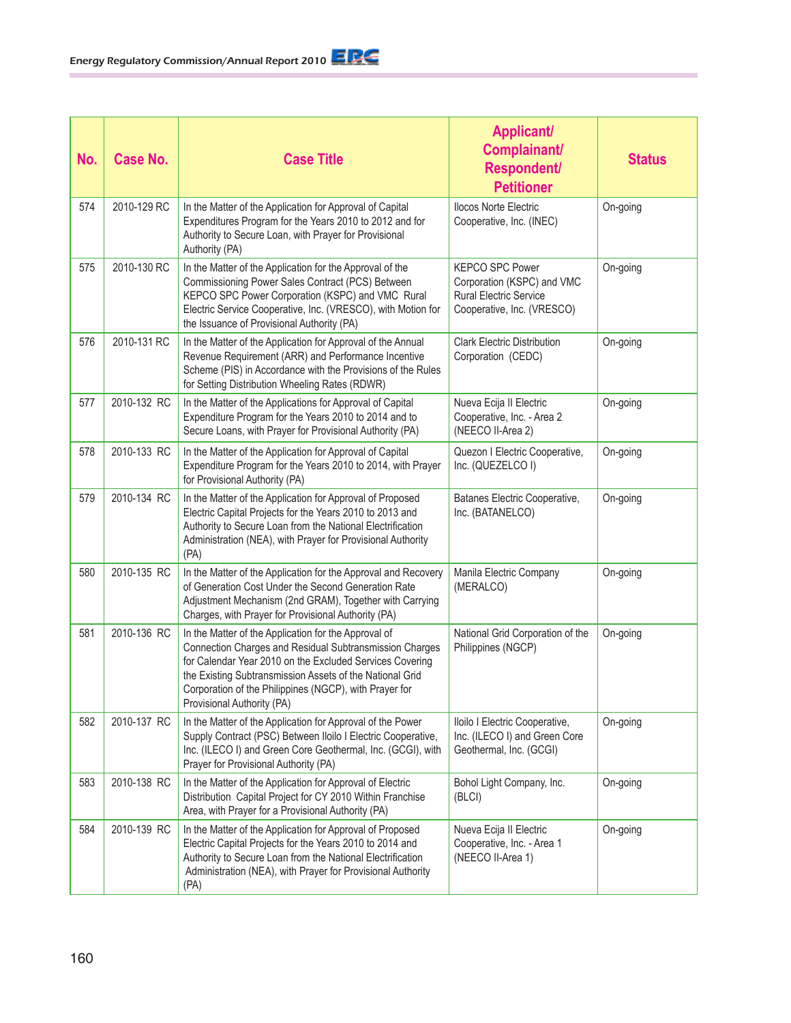| No. | <b>Case No.</b> | <b>Case Title</b>                                                                                                                                                                                                                                                                                                               | <b>Applicant/</b><br>Complainant/<br><b>Respondent/</b><br><b>Petitioner</b>                                        | <b>Status</b> |
|-----|-----------------|---------------------------------------------------------------------------------------------------------------------------------------------------------------------------------------------------------------------------------------------------------------------------------------------------------------------------------|---------------------------------------------------------------------------------------------------------------------|---------------|
| 574 | 2010-129 RC     | In the Matter of the Application for Approval of Capital<br>Expenditures Program for the Years 2010 to 2012 and for<br>Authority to Secure Loan, with Prayer for Provisional<br>Authority (PA)                                                                                                                                  | <b>Ilocos Norte Electric</b><br>Cooperative, Inc. (INEC)                                                            | On-going      |
| 575 | 2010-130 RC     | In the Matter of the Application for the Approval of the<br>Commissioning Power Sales Contract (PCS) Between<br>KEPCO SPC Power Corporation (KSPC) and VMC Rural<br>Electric Service Cooperative, Inc. (VRESCO), with Motion for<br>the Issuance of Provisional Authority (PA)                                                  | <b>KEPCO SPC Power</b><br>Corporation (KSPC) and VMC<br><b>Rural Electric Service</b><br>Cooperative, Inc. (VRESCO) | On-going      |
| 576 | 2010-131 RC     | In the Matter of the Application for Approval of the Annual<br>Revenue Requirement (ARR) and Performance Incentive<br>Scheme (PIS) in Accordance with the Provisions of the Rules<br>for Setting Distribution Wheeling Rates (RDWR)                                                                                             | <b>Clark Electric Distribution</b><br>Corporation (CEDC)                                                            | On-going      |
| 577 | 2010-132 RC     | In the Matter of the Applications for Approval of Capital<br>Expenditure Program for the Years 2010 to 2014 and to<br>Secure Loans, with Prayer for Provisional Authority (PA)                                                                                                                                                  | Nueva Ecija II Electric<br>Cooperative, Inc. - Area 2<br>(NEECO II-Area 2)                                          | On-going      |
| 578 | 2010-133 RC     | In the Matter of the Application for Approval of Capital<br>Expenditure Program for the Years 2010 to 2014, with Prayer<br>for Provisional Authority (PA)                                                                                                                                                                       | Quezon I Electric Cooperative,<br>Inc. (QUEZELCO I)                                                                 | On-going      |
| 579 | 2010-134 RC     | In the Matter of the Application for Approval of Proposed<br>Electric Capital Projects for the Years 2010 to 2013 and<br>Authority to Secure Loan from the National Electrification<br>Administration (NEA), with Prayer for Provisional Authority<br>(PA)                                                                      | Batanes Electric Cooperative,<br>Inc. (BATANELCO)                                                                   | On-going      |
| 580 | 2010-135 RC     | In the Matter of the Application for the Approval and Recovery<br>of Generation Cost Under the Second Generation Rate<br>Adjustment Mechanism (2nd GRAM), Together with Carrying<br>Charges, with Prayer for Provisional Authority (PA)                                                                                         | Manila Electric Company<br>(MERALCO)                                                                                | On-going      |
| 581 | 2010-136 RC     | In the Matter of the Application for the Approval of<br>Connection Charges and Residual Subtransmission Charges<br>for Calendar Year 2010 on the Excluded Services Covering<br>the Existing Subtransmission Assets of the National Grid<br>Corporation of the Philippines (NGCP), with Prayer for<br>Provisional Authority (PA) | National Grid Corporation of the<br>Philippines (NGCP)                                                              | On-going      |
| 582 | 2010-137 RC     | In the Matter of the Application for Approval of the Power<br>Supply Contract (PSC) Between Iloilo I Electric Cooperative,<br>Inc. (ILECO I) and Green Core Geothermal, Inc. (GCGI), with<br>Prayer for Provisional Authority (PA)                                                                                              | Iloilo I Electric Cooperative,<br>Inc. (ILECO I) and Green Core<br>Geothermal, Inc. (GCGI)                          | On-going      |
| 583 | 2010-138 RC     | In the Matter of the Application for Approval of Electric<br>Distribution Capital Project for CY 2010 Within Franchise<br>Area, with Prayer for a Provisional Authority (PA)                                                                                                                                                    | Bohol Light Company, Inc.<br>(BLCI)                                                                                 | On-going      |
| 584 | 2010-139 RC     | In the Matter of the Application for Approval of Proposed<br>Electric Capital Projects for the Years 2010 to 2014 and<br>Authority to Secure Loan from the National Electrification<br>Administration (NEA), with Prayer for Provisional Authority<br>(PA)                                                                      | Nueva Ecija II Electric<br>Cooperative, Inc. - Area 1<br>(NEECO II-Area 1)                                          | On-going      |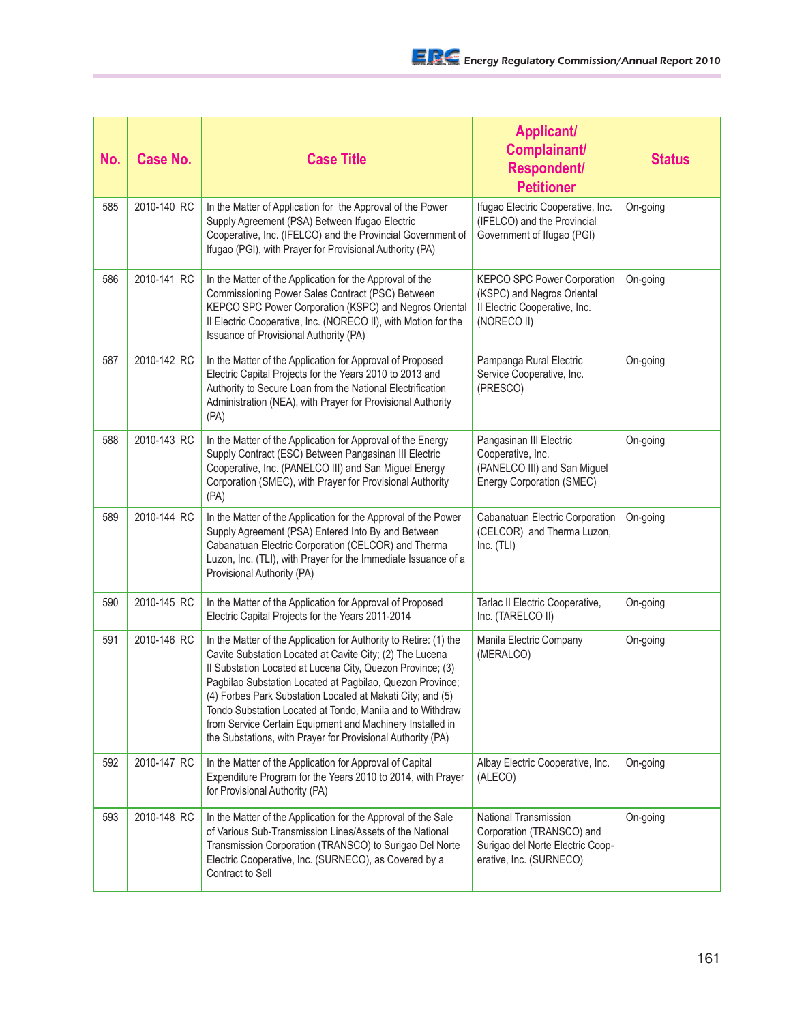| No. | <b>Case No.</b> | <b>Case Title</b>                                                                                                                                                                                                                                                                                                                                                                                                                                                                                               | <b>Applicant/</b><br>Complainant/<br><b>Respondent/</b><br><b>Petitioner</b>                                             | <b>Status</b> |
|-----|-----------------|-----------------------------------------------------------------------------------------------------------------------------------------------------------------------------------------------------------------------------------------------------------------------------------------------------------------------------------------------------------------------------------------------------------------------------------------------------------------------------------------------------------------|--------------------------------------------------------------------------------------------------------------------------|---------------|
| 585 | 2010-140 RC     | In the Matter of Application for the Approval of the Power<br>Supply Agreement (PSA) Between Ifugao Electric<br>Cooperative, Inc. (IFELCO) and the Provincial Government of<br>Ifugao (PGI), with Prayer for Provisional Authority (PA)                                                                                                                                                                                                                                                                         | Ifugao Electric Cooperative, Inc.<br>(IFELCO) and the Provincial<br>Government of Ifugao (PGI)                           | On-going      |
| 586 | 2010-141 RC     | In the Matter of the Application for the Approval of the<br>Commissioning Power Sales Contract (PSC) Between<br>KEPCO SPC Power Corporation (KSPC) and Negros Oriental<br>Il Electric Cooperative, Inc. (NORECO II), with Motion for the<br>Issuance of Provisional Authority (PA)                                                                                                                                                                                                                              | KEPCO SPC Power Corporation<br>(KSPC) and Negros Oriental<br>Il Electric Cooperative, Inc.<br>(NORECO II)                | On-going      |
| 587 | 2010-142 RC     | In the Matter of the Application for Approval of Proposed<br>Electric Capital Projects for the Years 2010 to 2013 and<br>Authority to Secure Loan from the National Electrification<br>Administration (NEA), with Prayer for Provisional Authority<br>(PA)                                                                                                                                                                                                                                                      | Pampanga Rural Electric<br>Service Cooperative, Inc.<br>(PRESCO)                                                         | On-going      |
| 588 | 2010-143 RC     | In the Matter of the Application for Approval of the Energy<br>Supply Contract (ESC) Between Pangasinan III Electric<br>Cooperative, Inc. (PANELCO III) and San Miguel Energy<br>Corporation (SMEC), with Prayer for Provisional Authority<br>(PA)                                                                                                                                                                                                                                                              | Pangasinan III Electric<br>Cooperative, Inc.<br>(PANELCO III) and San Miguel<br><b>Energy Corporation (SMEC)</b>         | On-going      |
| 589 | 2010-144 RC     | In the Matter of the Application for the Approval of the Power<br>Supply Agreement (PSA) Entered Into By and Between<br>Cabanatuan Electric Corporation (CELCOR) and Therma<br>Luzon, Inc. (TLI), with Prayer for the Immediate Issuance of a<br>Provisional Authority (PA)                                                                                                                                                                                                                                     | Cabanatuan Electric Corporation<br>(CELCOR) and Therma Luzon,<br>Inc. (TLI)                                              | On-going      |
| 590 | 2010-145 RC     | In the Matter of the Application for Approval of Proposed<br>Electric Capital Projects for the Years 2011-2014                                                                                                                                                                                                                                                                                                                                                                                                  | Tarlac II Electric Cooperative,<br>Inc. (TARELCO II)                                                                     | On-going      |
| 591 | 2010-146 RC     | In the Matter of the Application for Authority to Retire: (1) the<br>Cavite Substation Located at Cavite City; (2) The Lucena<br>Il Substation Located at Lucena City, Quezon Province; (3)<br>Pagbilao Substation Located at Pagbilao, Quezon Province;<br>(4) Forbes Park Substation Located at Makati City; and (5)<br>Tondo Substation Located at Tondo, Manila and to Withdraw<br>from Service Certain Equipment and Machinery Installed in<br>the Substations, with Prayer for Provisional Authority (PA) | Manila Electric Company<br>(MERALCO)                                                                                     | On-going      |
| 592 | 2010-147 RC     | In the Matter of the Application for Approval of Capital<br>Expenditure Program for the Years 2010 to 2014, with Prayer<br>for Provisional Authority (PA)                                                                                                                                                                                                                                                                                                                                                       | Albay Electric Cooperative, Inc.<br>(ALECO)                                                                              | On-going      |
| 593 | 2010-148 RC     | In the Matter of the Application for the Approval of the Sale<br>of Various Sub-Transmission Lines/Assets of the National<br>Transmission Corporation (TRANSCO) to Surigao Del Norte<br>Electric Cooperative, Inc. (SURNECO), as Covered by a<br>Contract to Sell                                                                                                                                                                                                                                               | <b>National Transmission</b><br>Corporation (TRANSCO) and<br>Surigao del Norte Electric Coop-<br>erative, Inc. (SURNECO) | On-going      |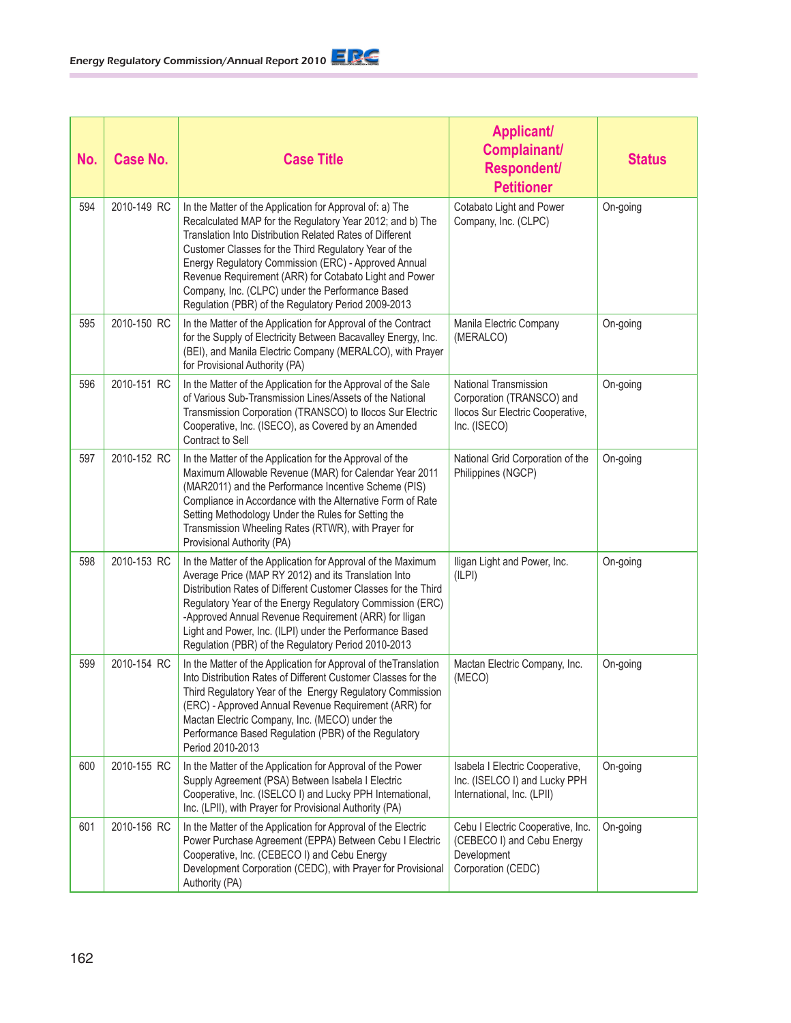| No. | <b>Case No.</b> | <b>Case Title</b>                                                                                                                                                                                                                                                                                                                                                                                                                                                       | <b>Applicant/</b><br>Complainant/<br><b>Respondent/</b><br><b>Petitioner</b>                           | <b>Status</b> |
|-----|-----------------|-------------------------------------------------------------------------------------------------------------------------------------------------------------------------------------------------------------------------------------------------------------------------------------------------------------------------------------------------------------------------------------------------------------------------------------------------------------------------|--------------------------------------------------------------------------------------------------------|---------------|
| 594 | 2010-149 RC     | In the Matter of the Application for Approval of: a) The<br>Recalculated MAP for the Regulatory Year 2012; and b) The<br>Translation Into Distribution Related Rates of Different<br>Customer Classes for the Third Regulatory Year of the<br>Energy Regulatory Commission (ERC) - Approved Annual<br>Revenue Requirement (ARR) for Cotabato Light and Power<br>Company, Inc. (CLPC) under the Performance Based<br>Regulation (PBR) of the Regulatory Period 2009-2013 | Cotabato Light and Power<br>Company, Inc. (CLPC)                                                       | On-going      |
| 595 | 2010-150 RC     | In the Matter of the Application for Approval of the Contract<br>for the Supply of Electricity Between Bacavalley Energy, Inc.<br>(BEI), and Manila Electric Company (MERALCO), with Prayer<br>for Provisional Authority (PA)                                                                                                                                                                                                                                           | Manila Electric Company<br>(MERALCO)                                                                   | On-going      |
| 596 | 2010-151 RC     | In the Matter of the Application for the Approval of the Sale<br>of Various Sub-Transmission Lines/Assets of the National<br>Transmission Corporation (TRANSCO) to Ilocos Sur Electric<br>Cooperative, Inc. (ISECO), as Covered by an Amended<br>Contract to Sell                                                                                                                                                                                                       | National Transmission<br>Corporation (TRANSCO) and<br>Ilocos Sur Electric Cooperative,<br>Inc. (ISECO) | On-going      |
| 597 | 2010-152 RC     | In the Matter of the Application for the Approval of the<br>Maximum Allowable Revenue (MAR) for Calendar Year 2011<br>(MAR2011) and the Performance Incentive Scheme (PIS)<br>Compliance in Accordance with the Alternative Form of Rate<br>Setting Methodology Under the Rules for Setting the<br>Transmission Wheeling Rates (RTWR), with Prayer for<br>Provisional Authority (PA)                                                                                    | National Grid Corporation of the<br>Philippines (NGCP)                                                 | On-going      |
| 598 | 2010-153 RC     | In the Matter of the Application for Approval of the Maximum<br>Average Price (MAP RY 2012) and its Translation Into<br>Distribution Rates of Different Customer Classes for the Third<br>Regulatory Year of the Energy Regulatory Commission (ERC)<br>-Approved Annual Revenue Requirement (ARR) for Iligan<br>Light and Power, Inc. (ILPI) under the Performance Based<br>Regulation (PBR) of the Regulatory Period 2010-2013                                         | Iligan Light and Power, Inc.<br>(ILPI)                                                                 | On-going      |
| 599 | 2010-154 RC     | In the Matter of the Application for Approval of the Translation<br>Into Distribution Rates of Different Customer Classes for the<br>Third Regulatory Year of the Energy Regulatory Commission<br>(ERC) - Approved Annual Revenue Requirement (ARR) for<br>Mactan Electric Company, Inc. (MECO) under the<br>Performance Based Regulation (PBR) of the Regulatory<br>Period 2010-2013                                                                                   | Mactan Electric Company, Inc.<br>(MECO)                                                                | On-going      |
| 600 | 2010-155 RC     | In the Matter of the Application for Approval of the Power<br>Supply Agreement (PSA) Between Isabela I Electric<br>Cooperative, Inc. (ISELCO I) and Lucky PPH International,<br>Inc. (LPII), with Prayer for Provisional Authority (PA)                                                                                                                                                                                                                                 | Isabela I Electric Cooperative,<br>Inc. (ISELCO I) and Lucky PPH<br>International, Inc. (LPII)         | On-going      |
| 601 | 2010-156 RC     | In the Matter of the Application for Approval of the Electric<br>Power Purchase Agreement (EPPA) Between Cebu I Electric<br>Cooperative, Inc. (CEBECO I) and Cebu Energy<br>Development Corporation (CEDC), with Prayer for Provisional<br>Authority (PA)                                                                                                                                                                                                               | Cebu I Electric Cooperative, Inc.<br>(CEBECO I) and Cebu Energy<br>Development<br>Corporation (CEDC)   | On-going      |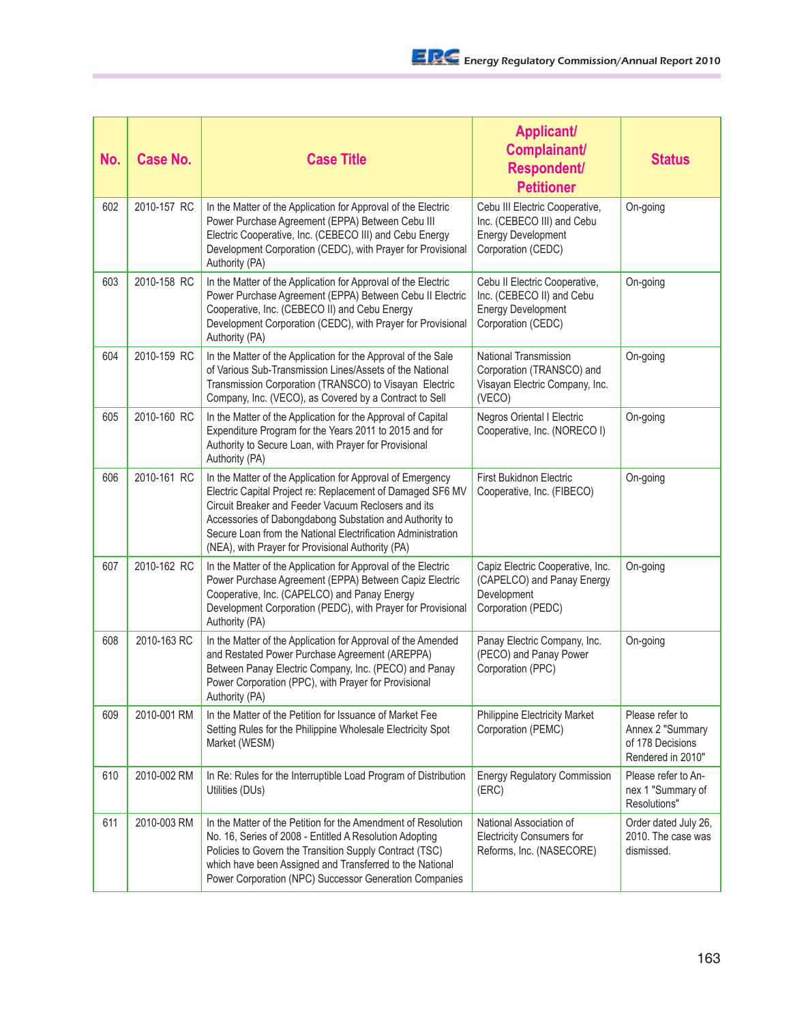| No. | <b>Case No.</b> | <b>Case Title</b>                                                                                                                                                                                                                                                                                                                                               | <b>Applicant/</b><br>Complainant/<br><b>Respondent/</b><br><b>Petitioner</b>                                    | <b>Status</b>                                                                |
|-----|-----------------|-----------------------------------------------------------------------------------------------------------------------------------------------------------------------------------------------------------------------------------------------------------------------------------------------------------------------------------------------------------------|-----------------------------------------------------------------------------------------------------------------|------------------------------------------------------------------------------|
| 602 | 2010-157 RC     | In the Matter of the Application for Approval of the Electric<br>Power Purchase Agreement (EPPA) Between Cebu III<br>Electric Cooperative, Inc. (CEBECO III) and Cebu Energy<br>Development Corporation (CEDC), with Prayer for Provisional<br>Authority (PA)                                                                                                   | Cebu III Electric Cooperative,<br>Inc. (CEBECO III) and Cebu<br><b>Energy Development</b><br>Corporation (CEDC) | On-going                                                                     |
| 603 | 2010-158 RC     | In the Matter of the Application for Approval of the Electric<br>Power Purchase Agreement (EPPA) Between Cebu II Electric<br>Cooperative, Inc. (CEBECO II) and Cebu Energy<br>Development Corporation (CEDC), with Prayer for Provisional<br>Authority (PA)                                                                                                     | Cebu II Electric Cooperative,<br>Inc. (CEBECO II) and Cebu<br><b>Energy Development</b><br>Corporation (CEDC)   | On-going                                                                     |
| 604 | 2010-159 RC     | In the Matter of the Application for the Approval of the Sale<br>of Various Sub-Transmission Lines/Assets of the National<br>Transmission Corporation (TRANSCO) to Visayan Electric<br>Company, Inc. (VECO), as Covered by a Contract to Sell                                                                                                                   | National Transmission<br>Corporation (TRANSCO) and<br>Visayan Electric Company, Inc.<br>(VECO)                  | On-going                                                                     |
| 605 | 2010-160 RC     | In the Matter of the Application for the Approval of Capital<br>Expenditure Program for the Years 2011 to 2015 and for<br>Authority to Secure Loan, with Prayer for Provisional<br>Authority (PA)                                                                                                                                                               | <b>Negros Oriental I Electric</b><br>Cooperative, Inc. (NORECO I)                                               | On-going                                                                     |
| 606 | 2010-161 RC     | In the Matter of the Application for Approval of Emergency<br>Electric Capital Project re: Replacement of Damaged SF6 MV<br>Circuit Breaker and Feeder Vacuum Reclosers and its<br>Accessories of Dabongdabong Substation and Authority to<br>Secure Loan from the National Electrification Administration<br>(NEA), with Prayer for Provisional Authority (PA) | First Bukidnon Electric<br>Cooperative, Inc. (FIBECO)                                                           | On-going                                                                     |
| 607 | 2010-162 RC     | In the Matter of the Application for Approval of the Electric<br>Power Purchase Agreement (EPPA) Between Capiz Electric<br>Cooperative, Inc. (CAPELCO) and Panay Energy<br>Development Corporation (PEDC), with Prayer for Provisional<br>Authority (PA)                                                                                                        | Capiz Electric Cooperative, Inc.<br>(CAPELCO) and Panay Energy<br>Development<br>Corporation (PEDC)             | On-going                                                                     |
| 608 | 2010-163 RC     | In the Matter of the Application for Approval of the Amended<br>and Restated Power Purchase Agreement (AREPPA)<br>Between Panay Electric Company, Inc. (PECO) and Panay<br>Power Corporation (PPC), with Prayer for Provisional<br>Authority (PA)                                                                                                               | Panay Electric Company, Inc.<br>(PECO) and Panay Power<br>Corporation (PPC)                                     | On-going                                                                     |
| 609 | 2010-001 RM     | In the Matter of the Petition for Issuance of Market Fee<br>Setting Rules for the Philippine Wholesale Electricity Spot<br>Market (WESM)                                                                                                                                                                                                                        | <b>Philippine Electricity Market</b><br>Corporation (PEMC)                                                      | Please refer to<br>Annex 2 "Summary<br>of 178 Decisions<br>Rendered in 2010" |
| 610 | 2010-002 RM     | In Re: Rules for the Interruptible Load Program of Distribution<br>Utilities (DUs)                                                                                                                                                                                                                                                                              | <b>Energy Regulatory Commission</b><br>(ERC)                                                                    | Please refer to An-<br>nex 1 "Summary of<br>Resolutions"                     |
| 611 | 2010-003 RM     | In the Matter of the Petition for the Amendment of Resolution<br>No. 16, Series of 2008 - Entitled A Resolution Adopting<br>Policies to Govern the Transition Supply Contract (TSC)<br>which have been Assigned and Transferred to the National<br>Power Corporation (NPC) Successor Generation Companies                                                       | National Association of<br><b>Electricity Consumers for</b><br>Reforms, Inc. (NASECORE)                         | Order dated July 26,<br>2010. The case was<br>dismissed.                     |